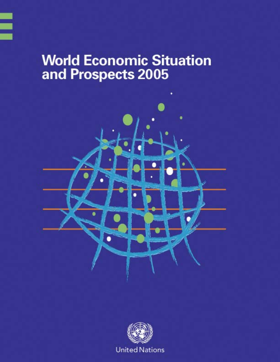# **World Economic Situation** and Prospects 2005



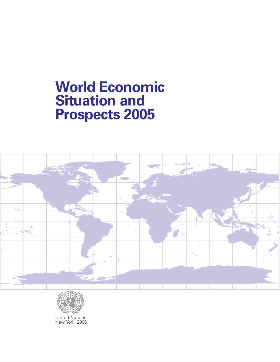# **World Economic Situation and Prospects 2005**





United Nations New York, 2005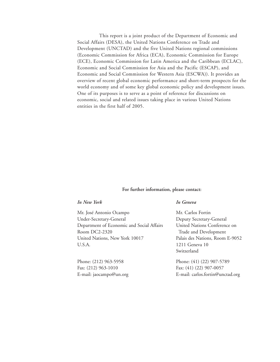This report is a joint product of the Department of Economic and Social Affairs (DESA), the United Nations Conference on Trade and Development (UNCTAD) and the five United Nations regional commissions (Economic Commission for Africa (ECA), Economic Commission for Europe (ECE), Economic Commission for Latin America and the Caribbean (ECLAC), Economic and Social Commission for Asia and the Pacific (ESCAP), and Economic and Social Commission for Western Asia (ESCWA)). It provides an overview of recent global economic performance and short-term prospects for the world economy and of some key global economic policy and development issues. One of its purposes is to serve as a point of reference for discussions on economic, social and related issues taking place in various United Nations entities in the first half of 2005.

#### **For further information, please contact:**

#### *In New York In Geneva*

Mr. José Antonio Ocampo Mr. Carlos Fortin Under-Secretary-General Deputy Secretary-General Department of Economic and Social Affairs United Nations Conference on Room DC2-2320 Trade and Development United Nations, New York 10017 Palais des Nations, Room E-9052 U.S.A. 1211 Geneva 10

Fax: (212) 963-1010 Fax: (41) (22) 907-0057

Switzerland

Phone: (212) 963-5958 Phone: (41) (22) 907-5789 E-mail: jaocampo@un.org E-mail: carlos.fortin@unctad.org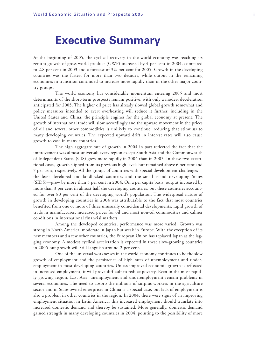## **Executive Summary**

At the beginning of 2005, the cyclical recovery in the world economy was reaching its zenith; growth of gross world product (GWP) increased by 4 per cent in 2004, compared to 2.8 per cent in 2003 and a forecast of 3¼ per cent for 2005. Growth in the developing countries was the fastest for more than two decades, while output in the remaining economies in transition continued to increase more rapidly than in the other major country groups.

The world economy has considerable momentum entering 2005 and most determinants of the short-term prospects remain positive, with only a modest deceleration anticipated for 2005. The higher oil price has already slowed global growth somewhat and policy measures intended to avert overheating will reduce it further, including in the United States and China, the principle engines for the global economy at present. The growth of international trade will slow accordingly and the upward movement in the prices of oil and several other commodities is unlikely to continue, reducing that stimulus to many developing countries. The expected upward drift in interest rates will also cause growth to ease in many countries.

The high aggregate rate of growth in 2004 in part reflected the fact that the improvement was almost universal: every region except South Asia and the Commonwealth of Independent States (CIS) grew more rapidly in 2004 than in 2003. In these two exceptional cases, growth slipped from its previous high levels but remained above 6 per cent and 7 per cent, respectively. All the groups of countries with special development challenges the least developed and landlocked countries and the small island developing States (SIDS)—grew by more than 5 per cent in 2004. On a per capita basis, output increased by more than 3 per cent in almost half the developing countries, but these countries accounted for over 80 per cent of the developing world's population. The widespread nature of growth in developing countries in 2004 was attributable to the fact that most countries benefited from one or more of three unusually coincidental developments: rapid growth of trade in manufactures, increased prices for oil and most non-oil commodities and calmer conditions in international financial markets.

Among the developed countries, performance was more varied. Growth was strong in North America, moderate in Japan but weak in Europe. With the exception of its new members and a few other countries, the European Union has replaced Japan as the lagging economy. A modest cyclical acceleration is expected in these slow-growing countries in 2005 but growth will still languish around 2 per cent.

One of the universal weaknesses in the world economy continues to be the slow growth of employment and the persistence of high rates of unemployment and underemployment in most developing countries. Unless improved economic growth is reflected in increased employment, it will prove difficult to reduce poverty. Even in the most rapidly growing region, East Asia, unemployment and underemployment remain problems in several economies. The need to absorb the millions of surplus workers in the agriculture sector and in State-owned enterprises in China is a special case, but lack of employment is also a problem in other countries in the region. In 2004, there were signs of an improving employment situation in Latin America; this increased employment should translate into increased domestic demand and thereby be sustained. More generally, domestic demand gained strength in many developing countries in 2004, pointing to the possibility of more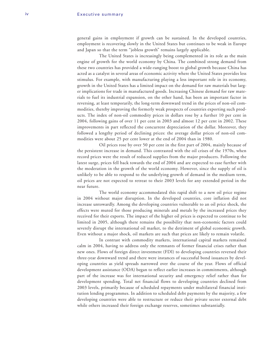general gains in employment if growth can be sustained. In the developed countries, employment is recovering slowly in the United States but continues to be weak in Europe and Japan so that the term "jobless growth" remains largely applicable.

The United States is increasingly being complemented in its role as the main engine of growth for the world economy by China. The combined strong demand from these two countries has provided a wide-ranging boost to global growth because China has acted as a catalyst in several areas of economic activity where the United States provides less stimulus. For example, with manufacturing playing a less important role in its economy, growth in the United States has a limited impact on the demand for raw materials but larger implications for trade in manufactured goods. Increasing Chinese demand for raw materials to fuel its industrial expansion, on the other hand, has been an important factor in reversing, at least temporarily, the long-term downward trend in the prices of non-oil commodities, thereby improving the formerly weak prospects of countries exporting such products. The index of non-oil commodity prices in dollars rose by a further 10 per cent in 2004, following gains of over 11 per cent in 2003 and almost 12 per cent in 2002. These improvements in part reflected the concurrent depreciation of the dollar. Moreover, they followed a lengthy period of declining prices: the average dollar prices of non-oil commodities were about 25 per cent lower at the end of 2004 than in 1980.

Oil prices rose by over 50 per cent in the first part of 2004, mainly because of the persistent increase in demand. This contrasted with the oil crises of the 1970s, when record prices were the result of reduced supplies from the major producers. Following the latest surge, prices fell back towards the end of 2004 and are expected to ease further with the moderation in the growth of the world economy. However, since the supply of oil is unlikely to be able to respond to the underlying growth of demand in the medium term, oil prices are not expected to retreat to their 2003 levels for any extended period in the near future.

The world economy accommodated this rapid shift to a new oil price regime in 2004 without major disruption. In the developed countries, core inflation did not increase untowardly. Among the developing countries vulnerable to an oil price shock, the effects were muted for those producing minerals and metals by the increased prices they received for their exports. The impact of the higher oil prices is expected to continue to be limited in 2005, although there remains the possibility that non-economic factors could severely disrupt the international oil market, to the detriment of global economic growth. Even without a major shock, oil markets are such that prices are likely to remain volatile.

In contrast with commodity markets, international capital markets remained calm in 2004, having to address only the remnants of former financial crises rather than new ones. Flows of foreign direct investment (FDI) to developing countries reversed their three-year downward trend and there were instances of successful bond issuances by developing countries as yield spreads narrowed over the course of the year. Flows of official development assistance (ODA) began to reflect earlier increases in commitments, although part of the increase was for international security and emergency relief rather than for development spending. Total net financial flows to developing countries declined from 2003 levels, primarily because of scheduled repayments under multilateral financial institution lending programmes. In addition to scheduled debt payments by the majority, a few developing countries were able to restructure or reduce their private sector external debt while others increased their foreign exchange reserves, sometimes substantially.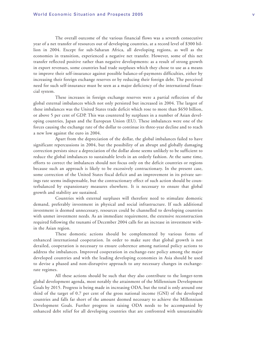The overall outcome of the various financial flows was a seventh consecutive year of a net transfer of resources out of developing countries, at a record level of \$300 billion in 2004. Except for sub-Saharan Africa, all developing regions, as well as the economies in transition, experienced a negative net transfer. However, some of this net transfer reflected positive rather than negative developments: as a result of strong growth in export revenues, some countries had trade surpluses which they chose to use as a means to improve their self-insurance against possible balance-of-payments difficulties, either by increasing their foreign exchange reserves or by reducing their foreign debt. The perceived need for such self-insurance must be seen as a major deficiency of the international financial system.

These increases in foreign exchange reserves were a partial reflection of the global external imbalances which not only persisted but increased in 2004. The largest of these imbalances was the United States trade deficit which rose to more than \$650 billion, or above 5 per cent of GDP. This was countered by surpluses in a number of Asian developing countries, Japan and the European Union (EU). These imbalances were one of the forces causing the exchange rate of the dollar to continue its three-year decline and to reach a new low against the euro in 2004.

Apart from the depreciation of the dollar, the global imbalances failed to have significant repercussions in 2004, but the possibility of an abrupt and globally damaging correction persists since a depreciation of the dollar alone seems unlikely to be sufficient to reduce the global imbalances to sustainable levels in an orderly fashion. At the same time, efforts to correct the imbalances should not focus only on the deficit countries or regions because such an approach is likely to be excessively contractionary. In the present case, some correction of the United States fiscal deficit and an improvement in its private savings rate seems indispensable, but the contractionary effect of such action should be counterbalanced by expansionary measures elsewhere. It is necessary to ensure that global growth and stability are sustained.

Countries with external surpluses will therefore need to stimulate domestic demand, preferably investment in physical and social infrastructure. If such additional investment is deemed unnecessary, resources could be channelled to developing countries with unmet investment needs. As an immediate requirement, the extensive reconstruction required following the tsunami of December 2004 calls for an increase in investment within the Asian region.

These domestic actions should be complemented by various forms of enhanced international cooperation. In order to make sure that global growth is not derailed, cooperation is necessary to ensure coherence among national policy actions to address the imbalances. Improved cooperation in exchange-rate policy among the major developed countries and with the leading developing economies in Asia should be used to devise a phased and non-disruptive approach to any necessary changes in exchangerate regimes.

All these actions should be such that they also contribute to the longer-term global development agenda, most notably the attainment of the Millennium Development Goals by 2015. Progress is being made in increasing ODA, but the total is only around one third of the target of 0.7 per cent of the gross national income (GNI) of the developed countries and falls far short of the amount deemed necessary to achieve the Millennium Development Goals. Further progress in raising ODA needs to be accompanied by enhanced debt relief for all developing countries that are confronted with unsustainable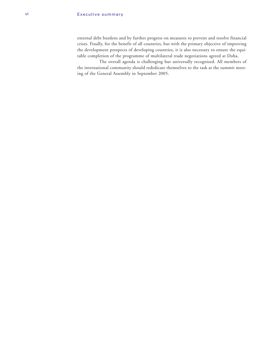external debt burdens and by further progress on measures to prevent and resolve financial crises. Finally, for the benefit of all countries, but with the primary objective of improving the development prospects of developing countries, it is also necessary to ensure the equitable completion of the programme of multilateral trade negotiations agreed at Doha.

The overall agenda is challenging but universally recognized. All members of the international community should rededicate themselves to the task at the summit meeting of the General Assembly in September 2005.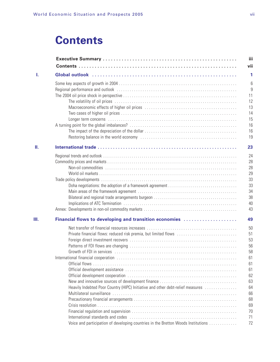## **Contents**

| L. |                                                                                                                                                                                                                                |
|----|--------------------------------------------------------------------------------------------------------------------------------------------------------------------------------------------------------------------------------|
|    |                                                                                                                                                                                                                                |
|    | Regional performance and outlook (and accommodated accommodated and outlook (and accommodated accommodated accommodated accommodated accommodated accommodated accommodated accommodated accommodated accommodated accommodate |
|    |                                                                                                                                                                                                                                |
|    |                                                                                                                                                                                                                                |
|    |                                                                                                                                                                                                                                |
|    |                                                                                                                                                                                                                                |
|    |                                                                                                                                                                                                                                |
|    |                                                                                                                                                                                                                                |
|    |                                                                                                                                                                                                                                |
|    |                                                                                                                                                                                                                                |
| Ш. |                                                                                                                                                                                                                                |
|    |                                                                                                                                                                                                                                |
|    |                                                                                                                                                                                                                                |
|    |                                                                                                                                                                                                                                |
|    |                                                                                                                                                                                                                                |
|    |                                                                                                                                                                                                                                |
|    |                                                                                                                                                                                                                                |
|    |                                                                                                                                                                                                                                |
|    |                                                                                                                                                                                                                                |
|    |                                                                                                                                                                                                                                |
|    |                                                                                                                                                                                                                                |
| Ш. | Financial flows to developing and transition economies                                                                                                                                                                         |
|    |                                                                                                                                                                                                                                |
|    | Private financial flows: reduced risk premia, but limited flows                                                                                                                                                                |
|    |                                                                                                                                                                                                                                |
|    |                                                                                                                                                                                                                                |
|    |                                                                                                                                                                                                                                |
|    |                                                                                                                                                                                                                                |
|    |                                                                                                                                                                                                                                |
|    |                                                                                                                                                                                                                                |
|    |                                                                                                                                                                                                                                |
|    |                                                                                                                                                                                                                                |
|    | Heavily Indebted Poor Country (HIPC) Initiative and other debt-relief measures                                                                                                                                                 |
|    |                                                                                                                                                                                                                                |
|    |                                                                                                                                                                                                                                |
|    |                                                                                                                                                                                                                                |
|    |                                                                                                                                                                                                                                |
|    |                                                                                                                                                                                                                                |
|    | Voice and participation of developing countries in the Bretton Woods Institutions                                                                                                                                              |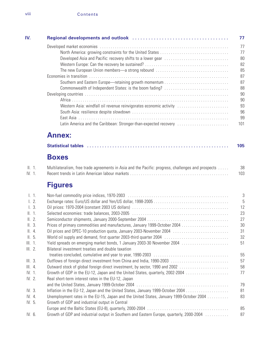| IV.                 |                                                                                                                                                      | 77        |
|---------------------|------------------------------------------------------------------------------------------------------------------------------------------------------|-----------|
|                     |                                                                                                                                                      | 77        |
|                     |                                                                                                                                                      | 77        |
|                     |                                                                                                                                                      | 80        |
|                     |                                                                                                                                                      | 82        |
|                     |                                                                                                                                                      | 85        |
|                     |                                                                                                                                                      | 87        |
|                     |                                                                                                                                                      | 87        |
|                     | Commonwealth of Independent States: is the boom fading?                                                                                              | 88        |
|                     |                                                                                                                                                      | 90        |
|                     |                                                                                                                                                      | 90        |
|                     | Western Asia: windfall oil revenue reinvigorates economic activity                                                                                   | 93        |
|                     |                                                                                                                                                      | 96<br>99  |
|                     | Latin America and the Caribbean: Stronger-than-expected recovery                                                                                     | 101       |
|                     |                                                                                                                                                      |           |
|                     | <b>Annex:</b>                                                                                                                                        |           |
|                     |                                                                                                                                                      | 105       |
|                     | <b>Boxes</b>                                                                                                                                         |           |
| II. 1.<br>IV. 1.    | Multilateralism, free trade agreements in Asia and the Pacific: progress, challenges and prospects                                                   | 38<br>103 |
|                     | <b>Figures</b>                                                                                                                                       |           |
| 1.1.                |                                                                                                                                                      | 3         |
| $\lfloor 2 \rfloor$ |                                                                                                                                                      | 5         |
| 1.3.                |                                                                                                                                                      | 12        |
| II. 1.              |                                                                                                                                                      | 23        |
| II. 2.              |                                                                                                                                                      | 27        |
| II. 3.              |                                                                                                                                                      | 30        |
| II.4.               | Oil prices and OPEC-10 production quota, January 2003-November 2004                                                                                  | 31        |
| II.5.               |                                                                                                                                                      | 32        |
| III. 1.             | Yield spreads on emerging market bonds, 1 January 2003-30 November 2004                                                                              | 51        |
| III. 2.             | Bilateral investment treaties and double taxation                                                                                                    |           |
|                     |                                                                                                                                                      | 55<br>57  |
| III.3.<br>III.4.    | Outflows of foreign direct investment from China and India, 1990-2003<br>Outward stock of global foreign direct investment, by sector, 1990 and 2002 | 58        |
| IV. 1.              | Growth of GDP in the EU-12, Japan and the United States, quarterly, 2002-2004                                                                        | 77        |
| IV. 2.              | Real short-term interest rates in the EU-12, Japan                                                                                                   |           |
|                     |                                                                                                                                                      | 79        |
| IV. 3.              | Inflation in the EU-12, Japan and the United States, January 1999-October 2004                                                                       | 81        |
| IV. 4.              | Unemployment rates in the EU-15, Japan and the United States, January 1999-October 2004                                                              | 83        |
| IV. 5.              | Growth of GDP and industrial output in Central                                                                                                       |           |
|                     |                                                                                                                                                      | 85        |
| IV. 6.              | Growth of GDP and industrial output in Southern and Eastern Europe, quarterly, 2000-2004                                                             | 87        |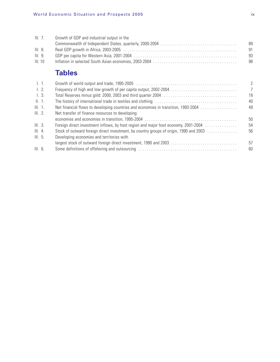|       | IV. $71$ | Growth of GDP and industrial output in the |     |
|-------|----------|--------------------------------------------|-----|
|       |          |                                            | -89 |
| IV.8  |          |                                            | -91 |
| IV.9. |          |                                            | -93 |
|       | IV.10    |                                            | -98 |
|       |          |                                            |     |

## **Tables**

|                                                                                        | 2              |
|----------------------------------------------------------------------------------------|----------------|
| Frequency of high and low growth of per capita output, 2002-2004                       | $\overline{7}$ |
|                                                                                        | 18             |
|                                                                                        | 40             |
| Net financial flows to developing countries and economies in transition, 1993-2004     | 49             |
| Net transfer of finance resources to developing                                        |                |
|                                                                                        | 50             |
| Foreign direct investment inflows, by host region and major host economy, 2001-2004    | 54             |
| Stock of outward foreign direct investment, by country groups of origin, 1990 and 2003 | 56             |
| Developing economies and territories with                                              |                |
| largest stock of outward foreign direct investment, 1990 and 2003                      | 57             |
|                                                                                        | 60             |
|                                                                                        |                |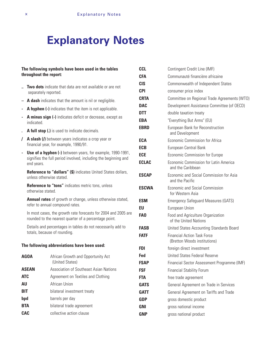## **Explanatory Notes**

|                            | throughout the report:       | The following symbols have been used in the tables                                                                                   | C<br><b>CI</b>                   |  |
|----------------------------|------------------------------|--------------------------------------------------------------------------------------------------------------------------------------|----------------------------------|--|
|                            | separately reported.         | Two dots indicate that data are not available or are not                                                                             | C <sub>1</sub><br>C <sub>1</sub> |  |
|                            |                              | A dash indicates that the amount is nil or negligible.                                                                               | <b>CI</b>                        |  |
|                            |                              | A hyphen (-) indicates that the item is not applicable.                                                                              | D,                               |  |
|                            | indicated.                   | A minus sign (-) indicates deficit or decrease, except as                                                                            | D.<br>EI                         |  |
|                            |                              | A full stop (.) is used to indicate decimals.                                                                                        | EI                               |  |
| $\prime$                   |                              | A slash (/) between years indicates a crop year or<br>financial year, for example, 1990/91.                                          | E(<br>E                          |  |
|                            | end years.                   | <b>Use of a hyphen (-)</b> between years, for example, 1990-1991,<br>signifies the full period involved, including the beginning and | E(<br>E                          |  |
|                            | unless otherwise stated.     | <b>Reference to "dollars" (\$)</b> indicates United States dollars,                                                                  | E                                |  |
|                            | otherwise stated.            | Reference to "tons" indicates metric tons, unless                                                                                    | E                                |  |
|                            |                              | Annual rates of growth or change, unless otherwise stated,<br>refer to annual compound rates.                                        | E<br>E                           |  |
|                            |                              | In most cases, the growth rate forecasts for 2004 and 2005 are<br>rounded to the nearest quarter of a percentage point.              | Fl                               |  |
|                            | totals, because of rounding. | Details and percentages in tables do not necessarily add to                                                                          | F<br>F                           |  |
|                            |                              | The following abbreviations have been used:                                                                                          | FI                               |  |
|                            | <b>AGOA</b>                  | African Growth and Opportunity Act<br>(United States)                                                                                | F٥<br>F                          |  |
|                            | <b>ASEAN</b>                 | Association of Southeast Asian Nations                                                                                               | F.                               |  |
|                            | <b>ATC</b>                   | Agreement on Textiles and Clothing                                                                                                   | FI                               |  |
| African Union<br><b>AU</b> |                              |                                                                                                                                      |                                  |  |
| <b>BIT</b>                 |                              | bilateral investment treaty                                                                                                          | G,                               |  |
| bpd                        |                              | barrels per day                                                                                                                      | G                                |  |
|                            | <b>BTA</b>                   | bilateral trade agreement                                                                                                            | G                                |  |

**CAC** collective action clause

| CCL         | Contingent Credit Line (IMF)                                       |
|-------------|--------------------------------------------------------------------|
| CFA         | Communauté financière africaine                                    |
| CIS         | Commonwealth of Independent States                                 |
| CPI         | consumer price index                                               |
| CRTA        | Committee on Regional Trade Agreements (WTO)                       |
| DAC         | Development Assistance Committee (of OECD)                         |
| DTT         | double taxation treaty                                             |
| EBA         | "Everything But Arms" (EU)                                         |
| <b>EBRD</b> | European Bank for Reconstruction<br>and Development                |
| ECA         | Economic Commission for Africa                                     |
| ECB         | European Central Bank                                              |
| ECE         | Economic Commission for Europe                                     |
| ECLAC       | Economic Commission for Latin America<br>and the Caribbean         |
| ESCAP       | Economic and Social Commission for Asia<br>and the Pacific         |
| ESCWA       | Economic and Social Commission<br>for Western Asia                 |
| ESM         | <b>Emergency Safeguard Measures (GATS)</b>                         |
| EU          | European Union                                                     |
| FA0         | Food and Agriculture Organization<br>of the United Nations         |
| FASB        | United States Accounting Standards Board                           |
| <b>FATF</b> | <b>Financial Action Task Force</b><br>(Bretton Woods institutions) |
| FDI         | foreign direct investment                                          |
| Fed         | United States Federal Reserve                                      |
| FSAP        | Financial Sector Assessment Programme (IMF)                        |
| FSF         | <b>Financial Stability Forum</b>                                   |
| FTA         | free trade agreement                                               |
| GATS        | General Agreement on Trade in Services                             |
| GATT        | General Agreement on Tariffs and Trade                             |
| <b>GDP</b>  | gross domestic product                                             |
| <b>GNI</b>  | gross national income                                              |
| GNP         | gross national product                                             |
|             |                                                                    |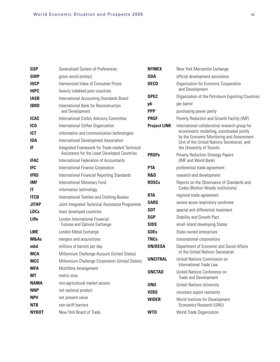| <b>GSP</b>       | Generalized System of Preferences                                                                | <b>NYMEX</b>        | New York Mercantile Exchange                                                            |
|------------------|--------------------------------------------------------------------------------------------------|---------------------|-----------------------------------------------------------------------------------------|
| <b>GWP</b>       | gross world product                                                                              | <b>ODA</b>          | official development assistance                                                         |
| <b>HICP</b>      | Harmonized Index of Consumer Prices                                                              | <b>OECD</b>         | Organization for Economic Cooperation                                                   |
| <b>HIPC</b>      | heavily indebted poor countries                                                                  |                     | and Development                                                                         |
| <b>IASB</b>      | International Accounting Standards Board                                                         | <b>OPEC</b>         | Organization of the Petroleum Exporting Countries                                       |
| <b>IBRD</b>      | International Bank for Reconstruction                                                            | pb                  | per barrel                                                                              |
|                  | and Development                                                                                  | <b>PPP</b>          | purchasing power parity                                                                 |
| <b>ICAC</b>      | International Cotton Advisory Committee                                                          | <b>PRGF</b>         | Poverty Reduction and Growth Facility (IMF)                                             |
| IC <sub>0</sub>  | International Coffee Organization                                                                | <b>Project LINK</b> | international collaborative research group for                                          |
| <b>ICT</b>       | information and communication technologies                                                       |                     | econometric modelling, coordinated jointly<br>by the Economic Monitoring and Assessment |
| <b>IDA</b>       | International Development Association                                                            |                     | Unit of the United Nations Secretariat, and                                             |
| IF               | Integrated Framework for Trade-related Technical<br>Assistance for the Least Developed Countries | <b>PRSPs</b>        | the University of Toronto<br><b>Poverty Reduction Strategy Papers</b>                   |
| <b>IFAC</b>      | International Federation of Accountants                                                          |                     | (IMF and World Bank)                                                                    |
| <b>IFC</b>       | International Finance Corporation                                                                | <b>PTA</b>          | preferential trade agreement                                                            |
| <b>IFRS</b>      | International Financial Reporting Standards                                                      | <b>R&amp;D</b>      | research and development                                                                |
| <b>IMF</b><br>IT | International Monetary Fund<br>information technology                                            | <b>ROSCs</b>        | Reports on the Observance of Standards and<br>Codes (Bretton Woods institutions)        |
| <b>ITCB</b>      | International Textiles and Clothing Bureau                                                       | <b>RTA</b>          | regional trade agreement                                                                |
| <b>JITAP</b>     | Joint Integrated Technical Assistance Programme                                                  | <b>SARS</b>         | severe acute respiratory syndrome                                                       |
| <b>LDCs</b>      | least developed countries                                                                        | <b>SDT</b>          | special and differential treatment                                                      |
| Liffe            | London International Financial                                                                   | <b>SGP</b>          | Stability and Growth Pact                                                               |
|                  | Futures and Options Exchange                                                                     | <b>SIDS</b>         | small island developing States                                                          |
| <b>LME</b>       | London Metal Exchange                                                                            | <b>SOEs</b>         | State-owned enterprises                                                                 |
| M&As             | mergers and acquisitions                                                                         | <b>TNCs</b>         | transnational corporations                                                              |
| mbd              | millions of barrels per day                                                                      | <b>UN/DESA</b>      | Department of Economic and Social Affairs                                               |
| <b>MCA</b>       | Millennium Challenge Account (United States)                                                     |                     | of the United Nations Secretariat                                                       |
| <b>MCC</b>       | Millennium Challenge Corporation (United States)                                                 | <b>UNCITRAL</b>     | United Nations Commission on<br>International Trade Law                                 |
| <b>MFA</b>       | Multifibre Arrangement                                                                           | <b>UNCTAD</b>       | United Nations Conference on                                                            |
| <b>MT</b>        | metric tons                                                                                      |                     | Trade and Development                                                                   |
| <b>NAMA</b>      | non-agricultural market access                                                                   | <b>UNU</b>          | <b>United Nations University</b>                                                        |
| <b>NNP</b>       | net national product                                                                             | <b>VERS</b>         | voluntary export restraints                                                             |
| <b>NPV</b>       | net present value                                                                                | <b>WIDER</b>        | World Institute for Development                                                         |
| <b>NTB</b>       | non-tariff barriers                                                                              |                     | Economics Research (UNU)                                                                |
| <b>NYBOT</b>     | New York Board of Trade                                                                          | WT0                 | World Trade Organization                                                                |
|                  |                                                                                                  |                     |                                                                                         |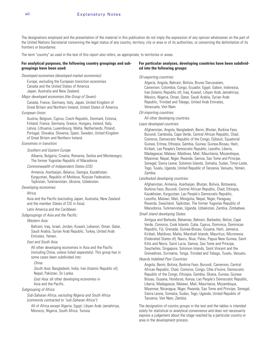The designations employed and the presentation of the material in this publication do not imply the expression of any opinion whatsoever on the part of the United Nations Secretariat concerning the legal status of any country, territory, city or area or of its authorities, or concerning the delimitation of its frontiers or boundaries.

The term "country" as used in the text of this report also refers, as appropriate, to territories or areas.

#### **For analytical purposes, the following country groupings and subgroupings have been used:**

#### Developed economies (developed market economies):

Europe, excluding the European transition economies Canada and the United States of America Japan, Australia and New Zealand.

Major developed economies (the Group of Seven):

Canada, France, Germany, Italy, Japan, United Kingdom of Great Britain and Northern Ireland, United States of America.

#### European Union:

Austria, Belgium, Cyprus, Czech Republic, Denmark, Estonia, Finland, France, Germany, Greece, Hungary, Ireland, Italy, Latvia, Lithuania, Luxembourg, Malta, Netherlands, Poland, Portugal, Slovakia, Slovenia, Spain, Sweden, United Kingdom of Great Britain and Northern Ireland.

#### Economies in transition:

#### Southern and Eastern Europe

Albania, Bulgaria, Croatia, Romania, Serbia and Montenegro, The former Yugoslav Republic of Macedonia.

#### Commonwealth of Independent States (CIS)

Armenia, Azerbaijan, Belarus, Georgia, Kazakhstan, Kyrgyzstan, Republic of Moldova, Russian Federation, Tajikistan, Turkmenistan, Ukraine, Uzbekistan.

#### Developing economies:

#### Africa

Asia and the Pacific (excluding Japan, Australia, New Zealand and the member States of CIS in Asia).

Latin America and the Caribbean.

#### Subgroupings of Asia and the Pacific:

#### Western Asia:

Bahrain, Iraq, Israel, Jordan, Kuwait, Lebanon, Oman, Qatar, Saudi Arabia, Syrian Arab Republic, Turkey, United Arab Emirates, Yemen.

#### East and South Asia:

All other developing economies in Asia and the Pacific (including China, unless listed separately). This group has in some cases been subdivided into:

#### China

South Asia: Bangladesh, India, Iran (Islamic Republic of), Nepal, Pakistan, Sri Lanka.

East Asia: all other developing economies in Asia and the Pacific.

#### Subgrouping of Africa:

Sub-Saharan Africa, excluding Nigeria and South Africa (commonly contracted to "sub-Saharan Africa"):

All of Africa except Algeria, Egypt, Libyan Arab Jamahiriya, Morocco, Nigeria, South Africa, Tunisia.

#### **For particular analyses, developing countries have been subdivided into the following groups:**

#### Oil-exporting countries:

Algeria, Angola, Bahrain, Bolivia, Brunei Darussalam, Cameroon, Colombia, Congo, Ecuador, Egypt, Gabon, Indonesia, Iran (Islamic Republic of), Iraq, Kuwait, Libyan Arab Jamahiriya, Mexico, Nigeria, Oman, Qatar, Saudi Arabia, Syrian Arab Republic, Trinidad and Tobago, United Arab Emirates, Venezuela, Viet Nam.

#### Oil-importing countries:

All other developing countries.

#### Least developed countries:

Afghanistan, Angola, Bangladesh, Benin, Bhutan, Burkina Faso, Burundi, Cambodia, Cape Verde, Central African Republic, Chad, Comoros, Democratic Republic of the Congo, Djibouti, Equatorial Guinea, Eritrea, Ethiopia, Gambia, Guinea, Guinea-Bissau, Haiti, Kiribati, Lao People's Democratic Republic, Lesotho, Liberia, Madagascar, Malawi, Maldives, Mali, Mauritania, Mozambique, Myanmar, Nepal, Niger, Rwanda, Samoa, Sao Tome and Principe, Senegal, Sierra Leone, Solomon Islands, Somalia, Sudan, Timor-Leste, Togo, Tuvalu, Uganda, United Republic of Tanzania, Vanuatu, Yemen, Zambia.

#### Landlocked developing countries:

Afghanistan, Armenia, Azerbaijan, Bhutan, Bolivia, Botswana, Burkina Faso, Burundi, Central African Republic, Chad, Ethiopia, Kazakhstan, Kyrgyzstan, Lao People's Democratic Republic, Lesotho, Malawi, Mali, Mongolia, Nepal, Niger, Paraguay, Rwanda, Swaziland, Tajikistan, The former Yugoslav Republic of Macedonia, Turkmenistan, Uganda, Uzbekistan, Zambia, Zimbabwe.

#### Small island developing States:

Antigua and Barbuda, Bahamas, Bahrain, Barbados, Belize, Cape Verde, Comoros, Cook Islands, Cuba, Cyprus, Dominica, Dominican Republic, Fiji, Grenada, Guinea-Bissau, Guyana, Haiti, Jamaica, Kiribati, Maldives, Malta, Marshall Islands, Mauritius, Micronesia (Federated States of), Nauru, Niue, Palau, Papua New Guinea, Saint Kitts and Nevis, Saint Lucia, Samoa, Sao Tome and Principe, Seychelles, Singapore, Solomon Islands, Saint Vincent and the Grenadines, Suriname, Tonga, Trinidad and Tobago, Tuvalu, Vanuatu.

#### Heavily Indebted Poor Countries:

Angola, Benin, Bolivia, Burkina Faso, Burundi, Cameroon, Central African Republic, Chad, Comoros, Congo, Côte d'Ivoire, Democratic Republic of the Congo, Ethiopia, Gambia, Ghana, Guinea, Guinea-Bissau, Guyana, Honduras, Kenya, Lao People's Democratic Republic, Liberia, Madagascar, Malawi, Mali, Mauritania, Mozambique, Myanmar, Nicaragua, Niger, Rwanda, Sao Tome and Principe, Senegal, Sierra Leone, Somalia, Sudan, Togo, Uganda, United Republic of Tanzania, Viet Nam, Zambia.

The designation of country groups in the text and the tables is intended solely for statistical or analytical convenience and does not necessarily express a judgement about the stage reached by a particular country or area in the development process.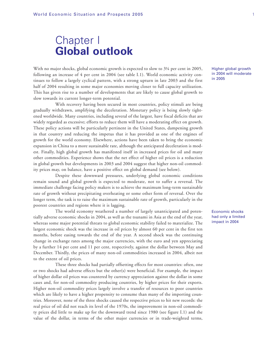## Chapter I **Global outlook**

With no major shocks, global economic growth is expected to slow to  $3\frac{1}{4}$  per cent in 2005, following an increase of 4 per cent in 2004 (see table I.1). World economic activity continues to follow a largely cyclical pattern, with a strong upturn in late 2003 and the first half of 2004 resulting in some major economies moving closer to full capacity utilization. This has given rise to a number of developments that are likely to cause global growth to slow towards its current longer-term potential.

With recovery having been secured in most countries, policy stimuli are being gradually withdrawn, amplifying the deceleration. Monetary policy is being slowly tightened worldwide. Many countries, including several of the largest, have fiscal deficits that are widely regarded as excessive; efforts to reduce them will have a moderating effect on growth. These policy actions will be particularly pertinent in the United States, dampening growth in that country and reducing the impetus that it has provided as one of the engines of growth for the world economy. Elsewhere, actions have been taken to bring the economic expansion in China to a more sustainable rate, although the anticipated deceleration is modest. Finally, high global growth has manifested itself in increased prices for oil and many other commodities. Experience shows that the net effect of higher oil prices is a reduction in global growth but developments in 2003 and 2004 suggest that higher non-oil commodity prices may, on balance, have a positive effect on global demand (see below).

Despite these downward pressures, underlying global economic conditions remain sound and global growth is expected to moderate, not to suffer a reversal. The immediate challenge facing policy makers is to achieve the maximum long-term sustainable rate of growth without precipitating overheating or some other form of reversal. Over the longer term, the task is to raise the maximum sustainable rate of growth, particularly in the poorest countries and regions where it is lagging.

The world economy weathered a number of largely unanticipated and potentially adverse economic shocks in 2004, as well as the tsunami in Asia at the end of the year, whereas some major potential threats to global economic stability failed to materialize. The largest economic shock was the increase in oil prices by almost 60 per cent in the first ten months, before easing towards the end of the year. A second shock was the continuing change in exchange rates among the major currencies, with the euro and yen appreciating by a further 14 per cent and 11 per cent, respectively, against the dollar between May and December. Thirdly, the prices of many non-oil commodities increased in 2004, albeit not to the extent of oil prices.

These three shocks had partially offsetting effects for most countries: often, one or two shocks had adverse effects but the other(s) were beneficial. For example, the impact of higher dollar oil prices was countered by currency appreciation against the dollar in some cases and, for non-oil commodity producing countries, by higher prices for their exports. Higher non-oil commodity prices largely involve a transfer of resources to poor countries which are likely to have a higher propensity to consume than many of the importing countries. Moreover, none of the three shocks caused the respective prices to hit new records: the real price of oil did not reach its level of the 1970s, the improvement in non-oil commodity prices did little to make up for the downward trend since 1980 (see figure I.1) and the value of the dollar, in terms of the other major currencies or in trade-weighted terms,

Higher global growth in 2004 will moderate in 2005

Economic shocks had only a limited impact in 2004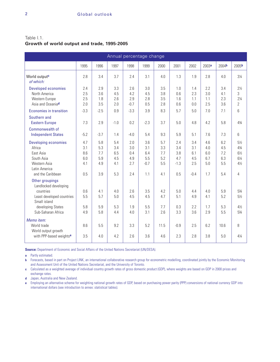Table I.1. **Growth of world output and trade, 1995-2005**

| Annual percentage change                                                                                                                      |                                        |                                        |                                        |                                        |                                           |                                        |                                           |                                           |                                        |                                        |                                                                                   |
|-----------------------------------------------------------------------------------------------------------------------------------------------|----------------------------------------|----------------------------------------|----------------------------------------|----------------------------------------|-------------------------------------------|----------------------------------------|-------------------------------------------|-------------------------------------------|----------------------------------------|----------------------------------------|-----------------------------------------------------------------------------------|
|                                                                                                                                               | 1995                                   | 1996                                   | 1997                                   | 1998                                   | 1999                                      | 2000                                   | 2001                                      | 2002                                      | 2003 <sup>a</sup>                      | 2004 <sup>b</sup>                      | 2005 <sup>b</sup>                                                                 |
| World output <sup>c</sup><br>of which:                                                                                                        | 2.8                                    | 3.4                                    | 3.7                                    | 2.4                                    | 3.1                                       | 4.0                                    | 1.3                                       | 1.9                                       | 2.8                                    | 4.0                                    | $3\frac{1}{4}$                                                                    |
| <b>Developed economies</b><br>North America<br>Western Europe<br>Asia and Oceania <sup>d</sup>                                                | 2.4<br>2.5<br>2.5<br>2.0               | 2.9<br>3.6<br>1.8<br>3.5               | 3.3<br>4.5<br>2.6<br>2.0               | 2.6<br>4.2<br>2.9<br>$-0.7$            | 3.0<br>4.5<br>2.8<br>0.5                  | 3.5<br>3.8<br>3.5<br>2.8               | 1.0<br>0.6<br>1.6<br>0.6                  | 1.4<br>2.3<br>1.1<br>0.0                  | 2.2<br>3.0<br>1.1<br>2.5               | 3.4<br>4.1<br>2.3<br>3.6               | $2\frac{1}{2}$<br>3<br>$2\frac{1}{4}$<br>2                                        |
| Economies in transition                                                                                                                       | $-3.3$                                 | $-2.5$                                 | 0.9                                    | $-3.3$                                 | 3.9                                       | 8.3                                    | 5.7                                       | 5.0                                       | 7.0                                    | 7.1                                    | 6                                                                                 |
| Southern and<br><b>Eastern Europe</b>                                                                                                         | 7.3                                    | 2.9                                    | $-1.0$                                 | 0.2                                    | $-2.3$                                    | 3.7                                    | 5.0                                       | 4.8                                       | 4.2                                    | 5.8                                    | 43/4                                                                              |
| Commonwealth of<br><b>Independent States</b>                                                                                                  | $-5.2$                                 | $-3.7$                                 | 1.4                                    | $-4.0$                                 | 5.4                                       | 9.3                                    | 5.9                                       | 5.1                                       | 7.6                                    | 7.3                                    | 6                                                                                 |
| <b>Developing economies</b><br>Africa<br>East Asia<br>South Asia<br>Western Asia<br>Latin America<br>and the Caribbean                        | 4.7<br>3.1<br>8.6<br>6.0<br>4.1<br>0.5 | 5.8<br>5.3<br>7.7<br>5.9<br>4.9<br>3.9 | 5.4<br>3.4<br>6.5<br>4.5<br>4.1<br>5.3 | 2.0<br>3.0<br>0.4<br>4.9<br>2.7<br>2.4 | 3.6<br>3.1<br>6.4<br>5.5<br>$-0.7$<br>1.1 | 5.7<br>3.3<br>7.7<br>5.2<br>5.5<br>4.1 | 2.4<br>3.4<br>3.8<br>4.7<br>$-1.3$<br>0.5 | 3.4<br>3.1<br>6.1<br>4.5<br>2.5<br>$-0.4$ | 4.6<br>4.0<br>6.0<br>6.7<br>5.0<br>1.7 | 6.2<br>4.5<br>7.2<br>6.3<br>5.5<br>5.4 | $5\frac{1}{2}$<br>43/4<br>$6\frac{1}{2}$<br>$6\frac{1}{4}$<br>$4\frac{1}{2}$<br>4 |
| Other groupings<br>Landlocked developing<br>countries<br>Least developed countries<br>Small island<br>developing States<br>Sub-Saharan Africa | 0.6<br>5.5<br>5.8<br>4.9               | 4.1<br>5.7<br>5.9<br>5.8               | 4.0<br>5.0<br>5.3<br>4.4               | 2.6<br>4.5<br>1.9<br>4.0               | 3.5<br>4.5<br>5.5<br>3.1                  | 4.2<br>4.7<br>7.7<br>2.6               | 5.0<br>5.1<br>0.3<br>3.3                  | 4.4<br>4.9<br>2.2<br>3.6                  | 4.0<br>4.1<br>1.7<br>2.9               | 5.9<br>5.2<br>5.3<br>5.5               | 53/4<br>$5\frac{1}{2}$<br>$4\frac{1}{2}$<br>53/4                                  |
| Memo item:<br>World trade<br>World output growth<br>with PPP-based weights <sup>e</sup>                                                       | 8.6<br>3.5                             | 5.5<br>4.0                             | 9.2<br>4.2                             | 3.3<br>2.6                             | 5.2<br>3.6                                | 11.5<br>4.6                            | $-0.9$<br>2.3                             | 2.5<br>2.8                                | 6.2<br>3.8                             | 10.6<br>5.0                            | 8<br>$4\frac{1}{4}$                                                               |

**Source:** Department of Economic and Social Affairs of the United Nations Secretariat (UN/DESA).

**a** Partly estimated.

**b** Forecasts, based in part on Project LINK, an international collaborative research group for econometric modelling, coordinated jointly by the Economic Monitoring and Assessment Unit of the United Nations Secretariat, and the University of Toronto.

**c** Calculated as a weighted average of individual country growth rates of gross domestic product (GDP), where weights are based on GDP in 2000 prices and exchange rates.

**d** Japan, Australia and New Zealand.

**e** Employing an alternative scheme for weighting national growth rates of GDP, based on purchasing power parity (PPP) conversions of national currency GDP into international dollars (see introduction to annex: statistical tables).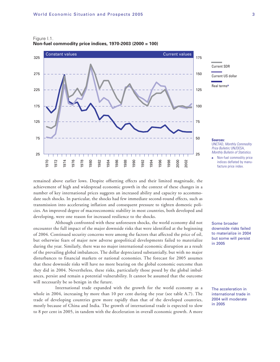

#### Figure I.1. **Non-fuel commodity price indices, 1970-2003 (2000 = 100)**

remained above earlier lows. Despite offsetting effects and their limited magnitude, the achievement of high and widespread economic growth in the context of these changes in a number of key international prices suggests an increased ability and capacity to accommodate such shocks. In particular, the shocks had few immediate second-round effects, such as transmission into accelerating inflation and consequent pressure to tighten domestic policies. An improved degree of macroeconomic stability in most countries, both developed and developing, were one reason for increased resilience to the shocks.

Although confronted with these unforeseen shocks, the world economy did not encounter the full impact of the major downside risks that were identified at the beginning of 2004. Continued security concerns were among the factors that affected the price of oil, but otherwise fears of major new adverse geopolitical developments failed to materialize during the year. Similarly, there was no major international economic disruption as a result of the prevailing global imbalances. The dollar depreciated substantially, but with no major disturbances to financial markets or national economies. The forecast for 2005 assumes that these downside risks will have no more bearing on the global economic outcome than they did in 2004. Nevertheless, these risks, particularly those posed by the global imbalances, persist and remain a potential vulnerability. It cannot be assumed that the outcome will necessarily be so benign in the future.

International trade expanded with the growth for the world economy as a whole in 2004, increasing by more than 10 per cent during the year (see table A.7). The trade of developing countries grew more rapidly than that of the developed countries, mostly because of China and India. The growth of international trade is expected to slow to 8 per cent in 2005, in tandem with the deceleration in overall economic growth. A more



**Sources:** UNCTAD, Monthly Commodity Price Bulletin; UN/DESA, Monthly Bulletin of Statistics.

**a** Non-fuel commodity price indices deflated by manu-

facture price index.

Some broader downside risks failed to materialize in 2004 but some will persist in 2005

The acceleration in international trade in 2004 will moderate in 2005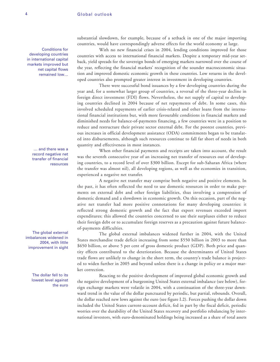Conditions for developing countries in international capital markets improved but net capital flows remained low…

> … and there was a record negative net transfer of financial resources

The global external imbalances widened in 2004, with little improvement in sight

> The dollar fell to its lowest level against the euro

substantial slowdown, for example, because of a setback in one of the major importing countries, would have correspondingly adverse effects for the world economy at large.

With no new financial crises in 2004, lending conditions improved for those countries with access to international financial markets. Despite a temporary mid-year setback, yield spreads for the sovereign bonds of emerging markets narrowed over the course of the year, reflecting the financial markets' recognition of the sounder macroeconomic situation and improved domestic economic growth in these countries. Low returns in the developed countries also prompted greater interest in investment in developing countries.

There were successful bond issuances by a few developing countries during the year and, for a somewhat larger group of countries, a reversal of the three-year decline in foreign direct investment (FDI) flows. Nevertheless, the net supply of capital to developing countries declined in 2004 because of net repayments of debt. In some cases, this involved scheduled repayments of earlier crisis-related and other loans from the international financial institutions but, with more favourable conditions in financial markets and diminished needs for balance-of-payments financing, a few countries were in a position to reduce and restructure their private sector external debt. For the poorest countries, previous increases in official development assistance (ODA) commitments began to be translated into disbursements, although such resources continue to fall far short of needs in both quantity and effectiveness in most instances.

When other financial payments and receipts are taken into account, the result was the seventh consecutive year of an increasing net transfer of resources out of developing countries, to a record level of over \$300 billion. Except for sub-Saharan Africa (where the transfer was almost nil), all developing regions, as well as the economies in transition, experienced a negative net transfer.

A negative net transfer may comprise both negative and positive elements. In the past, it has often reflected the need to use domestic resources in order to make payments on external debt and other foreign liabilities, thus involving a compression of domestic demand and a slowdown in economic growth. On this occasion, part of the negative net transfer had more positive connotations for many developing countries: it reflected strong domestic growth and the fact that export revenues exceeded import expenditures; this allowed the countries concerned to use their surpluses either to reduce their foreign debt or to accumulate foreign reserves as a precaution against future balanceof-payments difficulties.

The global external imbalances widened further in 2004, with the United States merchandise trade deficit increasing from some \$550 billion in 2003 to more than \$650 billion, or above 5 per cent of gross domestic product (GDP). Both price and quantity effects contributed to the deterioration. Because the determinants of United States trade flows are unlikely to change in the short term, the country's trade balance is projected to widen further in 2005 and beyond unless there is a change in policy or a major market correction.

Reacting to the positive development of improved global economic growth and the negative development of a burgeoning United States external imbalance (see below), foreign exchange markets were volatile in 2004, with a continuation of the three-year downward trend in the value of the dollar punctuated by periodic, but partial, rebounds. Overall, the dollar reached new lows against the euro (see figure I.2). Forces pushing the dollar down included the United States current-account deficit, fed in part by the fiscal deficit, periodic worries over the durability of the United States recovery and portfolio rebalancing by international investors, with euro-denominated holdings being increased as a share of total assets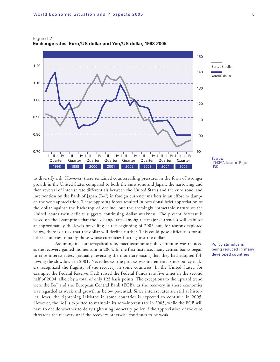Figure I.2. **Exchange rates: Euro/US dollar and Yen/US dollar, 1998-2005**



to diversify risk. However, there remained countervailing pressures in the form of stronger growth in the United States compared to both the euro zone and Japan, the narrowing and then reversal of interest rate differentials between the United States and the euro zone, and intervention by the Bank of Japan (BoJ) in foreign currency markets in an effort to dampen the yen's appreciation. These opposing forces resulted in occasional brief appreciation of the dollar against the backdrop of decline, but the seemingly intractable nature of the United States twin deficits suggests continuing dollar weakness. The present forecast is based on the assumption that the exchange rates among the major currencies will stabilize at approximately the levels prevailing at the beginning of 2005 but, for reasons explored below, there is a risk that the dollar will decline further. This could pose difficulties for all other countries, notably those whose currencies float against the dollar.

Assuming its countercyclical role, macroeconomic policy stimulus was reduced as the recovery gained momentum in 2004. In the first instance, many central banks began to raise interest rates, gradually reversing the monetary easing that they had adopted following the slowdown in 2001. Nevertheless, the process was incremental since policy makers recognized the fragility of the recovery in some countries. In the United States, for example, the Federal Reserve (Fed) raised the Federal Funds rate five times in the second half of 2004, albeit by a total of only 125 basis points. The exceptions to the upward trend were the BoJ and the European Central Bank (ECB), as the recovery in these economies was regarded as weak and growth as below potential. Since interest rates are still at historical lows, the tightening initiated in some countries is expected to continue in 2005. However, the BoJ is expected to maintain its zero-interest rate in 2005, while the ECB will have to decide whether to delay tightening monetary policy if the appreciation of the euro threatens the recovery or if the recovery otherwise continues to be weak.

UN/DESA, based on Project

Policy stimulus is being reduced in many developed countries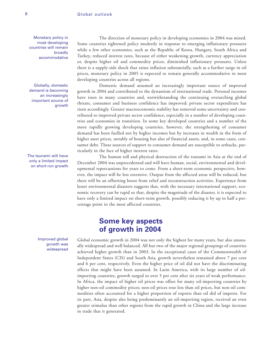Monetary policy in most developing countries will remain broadly accommodative

Globally, domestic demand is becoming an increasingly important source of growth

The tsunami will have only a limited impact on short-run growth

> Improved global growth was widespread

The direction of monetary policy in developing economies in 2004 was mixed. Some countries tightened policy modestly in response to emerging inflationary pressures while a few other economies, such as the Republic of Korea, Hungary, South Africa and Turkey, reduced interest rates, because of either weakening growth, currency appreciation or, despite higher oil and commodity prices, diminished inflationary pressures. Unless there is a supply-side shock that raises inflation substantially, such as a further surge in oil prices, monetary policy in 2005 is expected to remain generally accommodative in most developing countries across all regions.

Domestic demand assumed an increasingly important source of improved growth in 2004 and contributed to the dynamism of international trade. Personal incomes have risen in many countries and, notwithstanding the continuing overarching global threats, consumer and business confidence has improved; private sector expenditure has risen accordingly. Greater macroeconomic stability has removed some uncertainty and contributed to improved private sector confidence, especially in a number of developing countries and economies in transition. In some key developed countries and a number of the more rapidly growing developing countries, however, the strengthening of consumer demand has been fuelled not by higher incomes but by increases in wealth in the form of higher asset prices, notably of housing but also of financial assets, and, in some cases, consumer debt. These sources of support to consumer demand are susceptible to setbacks, particularly in the face of higher interest rates.

The human toll and physical destruction of the tsunami in Asia at the end of December 2004 was unprecedented and will have human, social, environmental and developmental repercussions for years to come. From a short-term economic perspective, however, the impact will be less extensive. Output from the affected areas will be reduced, but there will be an offsetting boost from relief and reconstruction activities. Experience from lesser environmental disasters suggests that, with the necessary international support, economic recovery can be rapid so that, despite the magnitude of the disaster, it is expected to have only a limited impact on short-term growth, possibly reducing it by up to half a percentage point in the most affected countries.

### **Some key aspects of growth in 2004**

Global economic growth in 2004 was not only the highest for many years, but also unusually widespread and well balanced. All but two of the major regional groupings of countries achieved higher growth than in 2003. In the exceptional cases of the Commonwealth of Independent States (CIS) and South Asia, growth nevertheless remained above 7 per cent and 6 per cent, respectively. Even the higher price of oil did not have the discriminating effects that might have been assumed. In Latin America, with its large number of oilimporting countries, growth surged to over 5 per cent after six years of weak performance. In Africa, the impact of higher oil prices was offset for many oil-importing countries by higher non-oil commodity prices; non-oil prices rose less than oil prices, but non-oil commodities often accounted for a higher proportion of exports than oil did of imports. For its part, Asia, despite also being predominantly an oil-importing region, received an even greater stimulus than other regions from the rapid growth in China and the large increase in trade that it generated.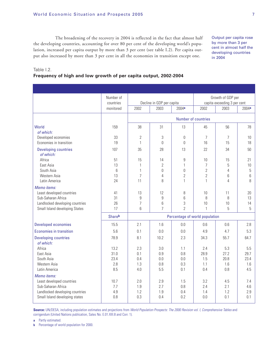The broadening of the recovery in 2004 is reflected in the fact that almost half the developing countries, accounting for over 80 per cent of the developing world's population, increased per capita output by more than 3 per cent (see table I.2). Per capita output also increased by more than 3 per cent in all the economies in transition except one.

Output per capita rose by more than 3 per cent in almost half the developing countries in 2004

#### Table I.2.

#### **Frequency of high and low growth of per capita output, 2002-2004**

|                                                 | Number of<br>countries                   |                     | Decline in GDP per capita        |                               |                                  | Growth of GDP per<br>capita exceeding 3 per cent |            |
|-------------------------------------------------|------------------------------------------|---------------------|----------------------------------|-------------------------------|----------------------------------|--------------------------------------------------|------------|
|                                                 | monitored                                | 2002                | 2003                             | 2004a                         | 2002                             | 2003                                             | 2004a      |
|                                                 |                                          |                     |                                  |                               | Number of countries              |                                                  |            |
| World<br>of which:                              | 159                                      | 38                  | 31                               | 13                            | 45                               | 56                                               | 78         |
| Developed economies                             | 33                                       | 2                   | $\sqrt{3}$                       | 0                             | $\overline{7}$                   | 7                                                | 10         |
| Economies in transition                         | 19                                       | 1                   | $\Omega$                         | $\Omega$                      | 16                               | 15                                               | 18         |
| <b>Developing countries</b><br>of which:        | 107                                      | 35                  | 28                               | 13                            | 22                               | 34                                               | 50         |
| Africa                                          | 51                                       | 15                  | 14                               | 9                             | 10                               | 15                                               | 21         |
| East Asia                                       | 13                                       | 1                   | $\overline{2}$                   | $\mathbf{1}$                  | $\overline{7}$                   | 5                                                | 10         |
| South Asia<br>Western Asia                      | 6<br>13                                  | 1<br>$\overline{7}$ | $\overline{0}$<br>$\overline{4}$ | $\mathbf 0$<br>$\overline{2}$ | $\overline{2}$<br>$\overline{2}$ | $\overline{4}$<br>6                              | 5<br>6     |
| Latin America                                   | 24                                       | 11                  | 8                                | $\mathbf{1}$                  | 1                                | 4                                                | 8          |
| Memo items:                                     |                                          |                     |                                  |                               |                                  |                                                  |            |
| Least developed countries                       | 41                                       | 13                  | 12                               | 8                             | 10                               | 11                                               | 20         |
| Sub-Saharan Africa                              | 31                                       | 9                   | 9                                | 6                             | 8                                | 8                                                | 13         |
| Landlocked developing countries                 | 26                                       | $\overline{7}$      | 6                                | 3                             | 10                               | 10                                               | 14         |
| Small Island developing States                  | 17                                       | 6                   | $\overline{7}$                   | $\overline{2}$                | $\mathbf{1}$                     | 5                                                | 5          |
|                                                 | Shareb<br>Percentage of world population |                     |                                  |                               |                                  |                                                  |            |
| <b>Developed economies</b>                      | 15.5                                     | 2.1                 | 1.6                              | 0.0                           | 0.6                              | 0.6                                              | 2.8        |
| <b>Economies in transition</b>                  | 5.6                                      | 0.1                 | 0.0                              | 0.0                           | 4.9                              | 4.7                                              | 5.3        |
| <b>Developing countries</b><br>of which:        | 78.9                                     | 8.1                 | 10.2                             | 2.3                           | 34.3                             | 55.7                                             | 64.7       |
| Africa                                          | 13.2                                     | 2.3                 | 3.0                              | 1.1                           | 2.4                              | 5.3                                              | 5.5        |
| East Asia                                       | 31.0                                     | 0.1                 | 0.9                              | 0.8                           | 28.9                             | 27.2                                             | 29.7       |
| South Asia                                      | 23.4                                     | 0.4                 | 0.0                              | 0.0                           | 1.5                              | 20.8                                             | 23.4       |
| Western Asia                                    | 2.8                                      | 1.3                 | 0.8                              | 0.3                           | 1.1                              | 1.6                                              | 1.6        |
| Latin America                                   | 8.5                                      | 4.0                 | 5.5                              | 0.1                           | 0.4                              | 0.8                                              | 4.5        |
| Memo items:                                     |                                          |                     |                                  |                               |                                  |                                                  |            |
| Least developed countries<br>Sub-Saharan Africa | 10.7<br>7.7                              | 2.0<br>1.9          | 2.9<br>2.7                       | 1.5<br>0.8                    | 3.2<br>2.4                       | 4.5<br>2.1                                       | 7.4<br>4.6 |
| Landlocked developing countries                 | 4.9                                      | 1.2                 | 1.9                              | 0.4                           | 1.4                              | 1.2                                              | 2.9        |
| Small Island developing states                  | 0.8                                      | 0.3                 | 0.4                              | 0.2                           | 0.0                              | 0.1                                              | 0.1        |
|                                                 |                                          |                     |                                  |                               |                                  |                                                  |            |

**Source:** UN/DESA, including population estimates and projections from World Population Prospects: The 2000 Revision vol. I, Comprehensive Tables and corrigendum (United Nations publication, Sales No. E.01.XIII.8 and Corr. 1).

**a** Partly estimated.

**b** Percentage of world population for 2000.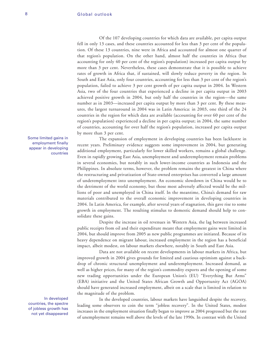Of the 107 developing countries for which data are available, per capita output fell in only 13 cases, and these countries accounted for less than 3 per cent of the population. Of these 13 countries, nine were in Africa and accounted for almost one quarter of that region's population. On the other hand, almost half the countries in Africa (but accounting for only 40 per cent of the region's population) increased per capita output by more than 3 per cent. Nevertheless, these cases demonstrate that it is possible to achieve rates of growth in Africa that, if sustained, will slowly reduce poverty in the region. In South and East Asia, only four countries, accounting for less than 3 per cent of the region's population, failed to achieve 3 per cent growth of per capita output in 2004. In Western Asia, two of the four countries that experienced a decline in per capita output in 2003 achieved positive growth in 2004, but only half the countries in the region—the same number as in 2003—increased per capita output by more than 3 per cent. By these measures, the largest turnaround in 2004 was in Latin America: in 2003, one third of the 24 countries in the region for which data are available (accounting for over 60 per cent of the region's population) experienced a decline in per capita output; in 2004, the same number of countries, accounting for over half the region's population, increased per capita output by more than 3 per cent.

Some limited gains in employment finally appear in developing countries

In developed countries, the spectre of jobless growth has not yet disappeared

The expansion of employment in developing countries has been lacklustre in recent years. Preliminary evidence suggests some improvement in 2004, but generating additional employment, particularly for lower skilled workers, remains a global challenge. Even in rapidly growing East Asia, unemployment and underemployment remain problems in several economies, but notably in such lower-income countries as Indonesia and the Philippines. In absolute terms, however, the problem remains the greatest in China where the restructuring and privatization of State-owned enterprises has converted a large amount of underemployment into unemployment. An economic slowdown in China would be to the detriment of the world economy, but those most adversely affected would be the millions of poor and unemployed in China itself. In the meantime, China's demand for raw materials contributed to the overall economic improvement in developing countries in 2004. In Latin America, for example, after several years of stagnation, this gave rise to some growth in employment. The resulting stimulus to domestic demand should help to consolidate these gains.

Despite the increase in oil revenues in Western Asia, the lag between increased public receipts from oil and their expenditure meant that employment gains were limited in 2004, but should improve from 2005 as new public programmes are initiated. Because of its heavy dependence on migrant labour, increased employment in the region has a beneficial impact, albeit modest, on labour markets elsewhere, notably in South and East Asia.

Data are not available on recent developments in labour markets in Africa, but improved growth in 2004 gives grounds for limited and cautious optimism against a backdrop of chronic structural unemployment and underemployment. Increased demand, as well as higher prices, for many of the region's commodity exports and the opening of some new trading opportunities under the European Union's (EU) "Everything But Arms" (EBA) initiative and the United States African Growth and Opportunity Act (AGOA) should have generated increased employment, albeit on a scale that is limited in relation to the magnitude of the problem.

In the developed countries, labour markets have languished despite the recovery, leading some observers to coin the term "jobless recovery". In the United States, modest increases in the employment situation finally began to improve as 2004 progressed but the rate of unemployment remains well above the levels of the late 1990s. In contrast with the United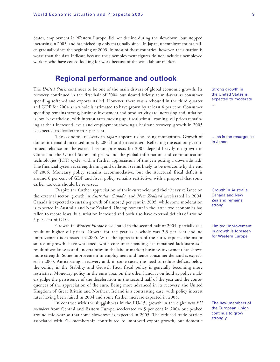States, employment in Western Europe did not decline during the slowdown, but stopped increasing in 2003, and has picked up only marginally since. In Japan, unemployment has fallen gradually since the beginning of 2003. In most of these countries, however, the situation is worse than the data indicate because the unemployment figures do not include unemployed workers who have ceased looking for work because of the weak labour market.

### **Regional performance and outlook**

The *United States* continues to be one of the main drivers of global economic growth. Its recovery continued in the first half of 2004 but slowed briefly at mid-year as consumer spending softened and exports stalled. However, there was a rebound in the third quarter and GDP for 2004 as a whole is estimated to have grown by at least 4 per cent. Consumer spending remains strong, business investment and productivity are increasing and inflation is low. Nevertheless, with interest rates moving up, fiscal stimuli waning, oil prices remaining at their increased levels and employment showing a hesitant recovery, growth in 2005 is expected to decelerate to 3 per cent.

The economic recovery in *Japan* appears to be losing momentum. Growth of domestic demand increased in early 2004 but then retreated. Reflecting the economy's continued reliance on the external sector, prospects for 2005 depend heavily on growth in China and the United States, oil prices and the global information and communication technologies (ICT) cycle, with a further appreciation of the yen posing a downside risk. The financial system is strengthening and deflation seems likely to be overcome by the end of 2005. Monetary policy remains accommodative, but the structural fiscal deficit is around 6 per cent of GDP and fiscal policy remains restrictive, with a proposal that some earlier tax cuts should be reversed.

Despite the further appreciation of their currencies and their heavy reliance on the external sector, growth in *Australia, Canada,* and *New Zealand* accelerated in 2004. Canada is expected to sustain growth of almost 3 per cent in 2005, while some moderation is expected in Australia and New Zealand. Unemployment in the latter two economies has fallen to record lows, but inflation increased and both also have external deficits of around 5 per cent of GDP.

Growth in *Western Europe* decelerated in the second half of 2004, partially as a result of higher oil prices. Growth for the year as a whole was 2.3 per cent and no improvement is expected in 2005. With the appreciation of the euro, exports, the major source of growth, have weakened, while consumer spending has remained lacklustre as a result of weaknesses and uncertainties in the labour market; business investment has shown more strength. Some improvement in employment and hence consumer demand is expected in 2005. Anticipating a recovery and, in some cases, the need to reduce deficits below the ceiling in the Stability and Growth Pact, fiscal policy is generally becoming more restrictive. Monetary policy in the euro area, on the other hand, is on hold as policy makers judge the persistence of the deceleration in the second half of the year and the consequences of the appreciation of the euro. Being more advanced in its recovery, the United Kingdom of Great Britain and Northern Ireland is a contrasting case, with policy interest rates having been raised in 2004 and some further increase expected in 2005.

In contrast with the sluggishness in the EU-15, growth in the eight *new EU members* from Central and Eastern Europe accelerated to 5 per cent in 2004 but peaked around mid-year so that some slowdown is expected in 2005. The reduced trade barriers associated with EU membership contributed to improved export growth, but domestic Strong growth in the United States is expected to moderate …

… as is the resurgence in Japan

Growth in Australia, Canada and New Zealand remains strong

Limited improvement in growth is foreseen for Western Europe

The new members of the European Union continue to grow strongly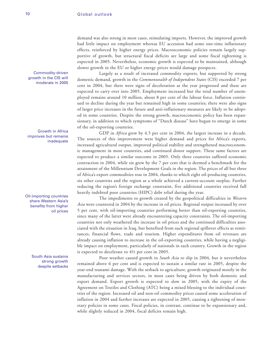Commodity-driven growth in the CIS will moderate in 2005

Growth in Africa improves but remains inadequate

Oil-importing countries share Western Asia's benefits from higher oil prices

> South Asia sustains strong growth despite setbacks

demand was also strong in most cases, stimulating imports. However, the improved growth had little impact on employment whereas EU accession had some one-time inflationary effects, reinforced by higher energy prices. Macroeconomic policies remain largely supportive of growth, but structural fiscal deficits are large and some fiscal tightening is expected in 2005. Nevertheless, economic growth is expected to be maintained, although slower growth in the EU or higher energy prices would damage prospects.

Largely as a result of increased commodity exports, but supported by strong domestic demand, growth in the *Commonwealth of Independent States* (CIS) exceeded 7 per cent in 2004, but there were signs of deceleration as the year progressed and these are expected to carry over into 2005. Employment increased but the total number of unemployed remains around 10 million, about 8 per cent of the labour force. Inflation continued to decline during the year but remained high in some countries; there were also signs of larger price increases in the future and anti-inflationary measures are likely to be adopted in some countries. Despite the strong growth, macroeconomic policy has been expansionary, in addition to which symptoms of "Dutch disease" have begun to emerge in some of the oil-exporting countries.

GDP in *Africa* grew by 4.5 per cent in 2004, the largest increase in a decade. The sources of this improvement were higher demand and prices for Africa's exports, increased agricultural output, improved political stability and strengthened macroeconomic management in most countries, and continued donor support. These same factors are expected to produce a similar outcome in 2005. Only three countries suffered economic contraction in 2004, while six grew by the 7 per cent that is deemed a benchmark for the attainment of the Millennium Development Goals in the region. The prices of all but three of Africa's export commodities rose in 2004, thanks to which eight oil-producing countries, six other countries and the region as a whole achieved a current-account surplus. Further reducing the region's foreign exchange constraint, five additional countries received full heavily indebted poor countries (HIPC) debt relief during the year.

The impediments to growth created by the geopolitical difficulties in *Western Asia* were countered in 2004 by the increase in oil prices. Regional output increased by over 5 per cent, with oil-importing countries performing better than oil-exporting countries, since many of the latter were already encountering capacity constraints. The oil-importing countries not only weathered the increase in oil prices and the continued difficulties associated with the situation in Iraq, but benefited from such regional spillover effects as remittances, financial flows, trade and tourism. Higher expenditures from oil revenues are already causing inflation to increase in the oil-exporting countries, while having a negligible impact on employment, particularly of nationals in each country. Growth in the region is expected to decelerate to 4½ per cent in 2005.

Poor weather caused growth in *South Asia* to slip in 2004, but it nevertheless remained above 6 per cent and is expected to sustain a similar rate in 2005, despite the year-end tsunami damage. With the setback to agriculture, growth originated mostly in the manufacturing and services sectors, in most cases being driven by both domestic and export demand. Export growth is expected to slow in 2005, with the expiry of the Agreement on Textiles and Clothing (ATC) being a mixed blessing to the individual countries of the region. Increased oil and non-oil commodity prices caused some acceleration of inflation in 2004 and further increases are expected in 2005, causing a tightening of monetary policies in some cases. Fiscal policies, in contrast, continue to be expansionary and, while slightly reduced in 2004, fiscal deficits remain high.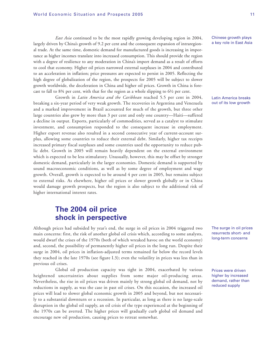*East Asia* continued to be the most rapidly growing developing region in 2004, largely driven by China's growth of 9.2 per cent and the consequent expansion of intraregional trade. At the same time, domestic demand for manufactured goods is increasing in importance as higher incomes translate into increased consumption. This should provide the region with a degree of resilience to any moderation in China's import demand as a result of efforts to cool that economy. Higher oil prices narrowed external surpluses in 2004 and contributed to an acceleration in inflation; price pressures are expected to persist in 2005. Reflecting the high degree of globalization of the region, the prospects for 2005 will be subject to slower growth worldwide, the deceleration in China and higher oil prices. Growth in China is forecast to fall to  $8\frac{3}{4}$  per cent, with that for the region as a whole slipping to  $6\frac{1}{2}$  per cent.

Growth in *Latin America and the Caribbean* reached 5.5 per cent in 2004, breaking a six-year period of very weak growth. The recoveries in Argentina and Venezuela and a marked improvement in Brazil accounted for much of the growth, but three other large countries also grew by more than 3 per cent and only one country—Haiti—suffered a decline in output. Exports, particularly of commodities, served as a catalyst to stimulate investment, and consumption responded to the consequent increase in employment. Higher export revenue also resulted in a second consecutive year of current-account surplus, allowing some countries to reduce their external debt. Similarly, higher tax receipts increased primary fiscal surpluses and some countries used the opportunity to reduce public debt. Growth in 2005 will remain heavily dependent on the external environment which is expected to be less stimulatory. Unusually, however, this may be offset by stronger domestic demand, particularly in the larger economies. Domestic demand is supported by sound macroeconomic conditions, as well as by some degree of employment and wage growth. Overall, growth is expected to be around 4 per cent in 2005, but remains subject to external risks. As elsewhere, higher oil prices or slower growth globally or in China would damage growth prospects, but the region is also subject to the additional risk of higher international interest rates.

### **The 2004 oil price shock in perspective**

Although prices had subsided by year's end, the surge in oil prices in 2004 triggered two main concerns: first, the risk of another global oil crisis which, according to some analysts, would dwarf the crises of the 1970s (both of which wreaked havoc on the world economy) and, second, the possibility of permanently higher oil prices in the long run. Despite their surge in 2004, oil prices in inflation-adjusted terms remained far below the record levels they reached in the late 1970s (see figure I.3); even the volatility in prices was less than in previous oil crises.

Global oil production capacity was tight in 2004, exacerbated by various heightened uncertainties about supplies from some major oil-producing areas. Nevertheless, the rise in oil prices was driven mainly by strong global oil demand, not by reductions in supply, as was the case in past oil crises. On this occasion, the increased oil prices will lead to slower global economic growth in 2005 and beyond, but not necessarily to a substantial downturn or a recession. In particular, as long as there is no large-scale disruption in the global oil supply, an oil crisis of the type experienced at the beginning of the 1970s can be averted. The higher prices will gradually curb global oil demand and encourage new oil production, causing prices to retreat somewhat.

Chinese growth plays a key role in East Asia

Latin America breaks out of its low growth

The surge in oil prices resurrects short- and long-term concerns

Prices were driven higher by increased demand, rather than reduced supply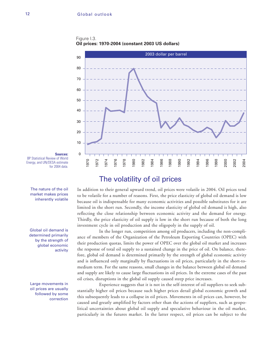Figure I.3. **Oil prices: 1970-2004 (constant 2003 US dollars)**



**Sources:** BP Statistical Review of World Energy, and UN/DESA estimate for 2004 data.

The nature of the oil market makes prices inherently volatile

Global oil demand is determined primarily by the strength of global economic activity

Large movements in oil prices are usually followed by some correction

### The volatility of oil prices

In addition to their general upward trend, oil prices were volatile in 2004. Oil prices tend to be volatile for a number of reasons. First, the price elasticity of global oil demand is low because oil is indispensable for many economic activities and possible substitutes for it are limited in the short run. Secondly, the income elasticity of global oil demand is high, also reflecting the close relationship between economic activity and the demand for energy. Thirdly, the price elasticity of oil supply is low in the short run because of both the long investment cycle in oil production and the oligopoly in the supply of oil.

In the longer run, competition among oil producers, including the non-compliance of members of the Organization of the Petroleum Exporting Countries (OPEC) with their production quotas, limits the power of OPEC over the global oil market and increases the response of total oil supply to a sustained change in the price of oil. On balance, therefore, global oil demand is determined primarily by the strength of global economic activity and is influenced only marginally by fluctuations in oil prices, particularly in the short-tomedium term. For the same reasons, small changes in the balance between global oil demand and supply are likely to cause large fluctuations in oil prices. In the extreme cases of the past oil crises, disruptions in the global oil supply caused steep price increases.

Experience suggests that it is not in the self-interest of oil suppliers to seek substantially higher oil prices because such higher prices derail global economic growth and this subsequently leads to a collapse in oil prices. Movements in oil prices can, however, be caused and greatly amplified by factors other than the actions of suppliers, such as geopolitical uncertainties about global oil supply and speculative behaviour in the oil market, particularly in the futures market. In the latter respect, oil prices can be subject to the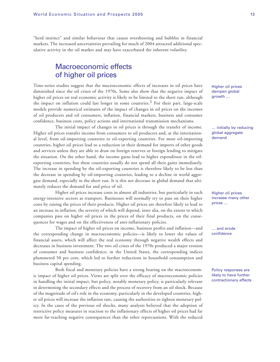"herd instinct" and similar behaviour that causes overshooting and bubbles in financial markets. The increased uncertainties prevailing for much of 2004 attracted additional speculative activity in the oil market and may have exacerbated the inherent volatility.

### Macroeconomic effects of higher oil prices

Time-series studies suggest that the macroeconomic effects of increases in oil prices have diminished since the oil crises of the 1970s. Some also show that the negative impact of higher oil prices on real economic activity is likely to be limited to the short run, although the impact on inflation could last longer in some countries.<sup>1</sup> For their part, large-scale models provide numerical estimates of the impact of changes in oil prices on the incomes of oil producers and oil consumers, inflation, financial markets, business and consumer confidence, business costs, policy actions and international transmission mechanisms.

The initial impact of changes in oil prices is through the transfer of income. Higher oil prices transfer income from consumers to oil producers and, at the international level, from oil-importing countries to oil-exporting countries. For most oil-importing countries, higher oil prices lead to a reduction in their demand for imports of other goods and services unless they are able to draw on foreign reserves or foreign lending to mitigate the situation. On the other hand, the income gains lead to higher expenditure in the oilexporting countries, but these countries usually do not spend all their gains immediately. The increase in spending by the oil-exporting countries is therefore likely to be less than the decrease in spending by oil-importing countries, leading to a decline in world aggregate demand, especially in the short run. It is this net decrease in global demand that ultimately reduces the demand for and price of oil.

Higher oil prices increase costs in almost all industries, but particularly in such energy-intensive sectors as transport. Businesses will normally try to pass on their higher costs by raising the prices of their products. Higher oil prices are therefore likely to lead to an increase in inflation, the severity of which will depend, inter alia, on the extent to which companies pass on higher oil prices in the prices of their final products, on the consequences for wages and on the effectiveness of anti-inflationary policies.

The impact of higher oil prices on income, business profits and inflation—and the corresponding change in macroeconomic policies—is likely to lower the values of financial assets, which will affect the real economy through negative wealth effects and decreases in business investment. The two oil crises of the 1970s produced a major erosion of consumer and business confidence; in the United States, the corresponding indices plummeted 50 per cent, which led to further reductions in household consumption and business capital spending.

Both fiscal and monetary policies have a strong bearing on the macroeconomic impact of higher oil prices. Views are split over the efficacy of macroeconomic policies in handling the initial impact, but policy, notably monetary policy, is particularly relevant in determining the secondary effects and the process of recovery from an oil shock. Because of the magnitude of oil's role in the economy, particularly in the developed countries, higher oil prices will increase the inflation rate, causing the authorities to tighten monetary policy. In the cases of the previous oil shocks, many analysts believed that the adoption of restrictive policy measures in reaction to the inflationary effects of higher oil prices had far more far-reaching negative consequences than the other repercussions. With the reduced

Higher oil prices dampen global growth …

… initially by reducing global aggregate demand

Higher oil prices increase many other prices …

… and erode confidence

Policy responses are likely to have further contractionary effects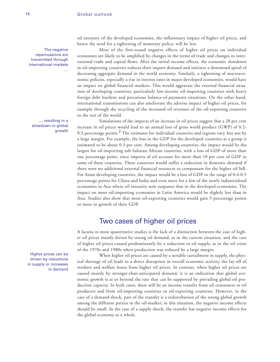The negative repercussions are transmitted through international markets …

… resulting in a slowdown in global growth

Higher prices can be driven by reductions in supply or increases in demand oil intensity of the developed economies, the inflationary impact of higher oil prices, and hence the need for a tightening of monetary policy, will be less.

Most of the first-round negative effects of higher oil prices on individual economies are likely to be amplified by changes in the terms of trade and changes in international trade and capital flows. After the initial income effects, the economic slowdown in oil-importing countries reduces their import demand and initiates a downward spiral of decreasing aggregate demand in the world economy. Similarly, a tightening of macroeconomic policies, especially a rise in interest rates in major developed economies, would have an impact on global financial markets. This would aggravate the external financial situation of developing countries, particularly low-income oil-importing countries with heavy foreign debt burdens and precarious balance-of-payments situations. On the other hand, international transmissions can also ameliorate the adverse impact of higher oil prices, for example through the recycling of the increased oil revenues of the oil-exporting countries to the rest of the world.

Simulations of the impacts of an increase in oil prices suggest that a 20 per cent increase in oil prices would lead to an annual loss of gross world product (GWP) of 0.2- 0.3 percentage points. $^2$  The estimates for individual countries and regions vary, but not by a large margin. For example, the loss in the GDP for the developed countries as a group is estimated to be about 0.3 per cent. Among developing countries, the impact would be the largest for oil-importing sub-Saharan African countries, with a loss of GDP of more than one percentage point, since imports of oil account for more than 10 per cent of GDP in some of these countries. These countries would suffer a reduction in domestic demand if there were no additional external financial resources to compensate for the higher oil bill. For Asian developing countries, the impact would be a loss of GDP in the range of 0.4-0.5 percentage points for China and India and even more for a few of the newly industrialized economies in Asia where oil intensity now surpasses that in the developed economies. The impact on most oil-importing economies in Latin America would be slightly less than in Asia. Studies also show that most oil-exporting countries would gain 5 percentage points or more in growth of their GDP.

### Two cases of higher oil prices

A lacuna in most quantitative studies is the lack of a distinction between the case of higher oil prices mainly driven by strong oil demand, as in the current situation, and the case of higher oil prices caused predominantly by a reduction in oil supply, as in the oil crises of the 1970s and 1980s when production was reduced by a large margin.

When higher oil prices are caused by a notable curtailment in supply, the physical shortage of oil leads to a direct disruption in overall economic activity, the lay-off of workers and welfare losses from higher oil prices. In contrast, when higher oil prices are caused mainly by stronger-than-anticipated demand, it is an indication that global economic growth is at or beyond the rate that can be supported by prevailing global oil production capacity. In both cases, there will be an income transfer from oil consumers to oil producers and from oil-importing countries to oil-exporting countries. However, in the case of a demand shock, part of the transfer is a redistribution of the strong global growth among the different parties in the oil-market; in this situation, the negative income effects should be small. In the case of a supply shock, the transfer has negative income effects for the global economy as a whole.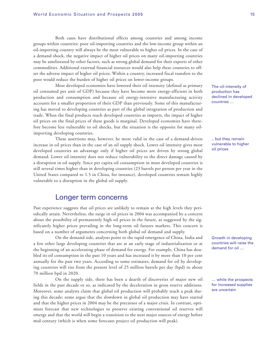Both cases have distributional effects among countries and among income groups within countries: poor oil-importing countries and the low-income group within an oil-importing country will always be the most vulnerable to higher oil prices. In the case of a demand shock, the negative impact of higher oil prices on many oil-importing countries may be ameliorated by other factors, such as strong global demand for their exports of other commodities. Additional external financial resources would also help these countries to offset the adverse impact of higher oil prices. Within a country, increased fiscal transfers to the poor would reduce the burden of higher oil prices on lower-income groups.

Most developed economies have lowered their oil intensity (defined as primary oil consumed per unit of GDP) because they have become more energy-efficient in both production and consumption and because oil energy-intensive manufacturing activity accounts for a smaller proportion of their GDP than previously. Some of this manufacturing has moved to developing countries as part of the global integration of production and trade. When the final products reach developed countries as imports, the impact of higher oil prices on the final prices of these goods is marginal. Developed economies have therefore become less vulnerable to oil shocks, but the situation is the opposite for many oilimporting developing countries.

These assertions may, however, be more valid in the case of a demand-driven increase in oil prices than in the case of an oil supply shock. Lower oil intensity gives most developed countries an advantage only if higher oil prices are driven by strong global demand. Lower oil intensity does not reduce vulnerability to the direct damage caused by a disruption in oil supply. Since per capita oil consumption in most developed countries is still several times higher than in developing countries (23 barrels per person per year in the United States compared to 1.5 in China, for instance), developed countries remain highly vulnerable to a disruption in the global oil supply.

### Longer term concerns

Past experience suggests that oil prices are unlikely to remain at the high levels they periodically attain. Nevertheless, the surge in oil prices in 2004 was accompanied by a concern about the possibility of permanently high oil prices in the future, as suggested by the significantly higher prices prevailing in the long-term oil futures markets. This concern is based on a number of arguments concerning both global oil demand and supply.

On the demand side, analysts point to the rapid emergence of China, India and a few other large developing countries that are at an early stage of industrialization or at the beginning of an accelerating phase of demand for energy. For example, China has doubled its oil consumption in the past 10 years and has increased it by more than 10 per cent annually for the past two years. According to some estimates, demand for oil by developing countries will rise from the present level of 25 million barrels per day (bpd) to about 70 million bpd in 2020.

On the supply side, there has been a dearth of discoveries of major new oil fields in the past decade or so, as indicated by the deceleration in gross reserve additions. Moreover, some analysts claim that global oil production will probably reach a peak during this decade; some argue that the slowdown in global oil production may have started and that the higher prices in 2004 may be the precursor of a major crisis. In contrast, optimists forecast that new technologies to preserve existing conventional oil reserves will emerge and that the world will begin a transition to the next major sources of energy before mid-century (which is when some forecasts project oil production will peak).

The oil-intensity of production has declined in developed countries …

.. but they remain vulnerable to higher oil prices

Growth in developing countries will raise the demand for oil …

… while the prospects for increased supplies are uncertain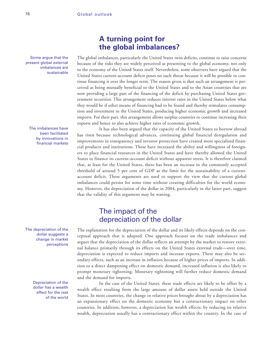Some argue that the present global external imbalances are sustainable

The imbalances have been facilitated by innovations in financial markets

The depreciation of the dollar suggests a change in market perceptions

> Depreciation of the dollar has a wealth effect for the rest of the world

### **A turning point for the global imbalances?**

The global imbalances, particularly the United States twin deficits, continue to raise concerns because of the risks they are widely perceived as presenting to the global economy, not only to the economy of the United States itself. Nevertheless, some observers have argued that the United States current-account deficit poses no such threat because it will be possible to continue financing it over the longer term. The reason given is that such an arrangement is perceived as being mutually beneficial to the United States and to the Asian countries that are now providing a large part of the financing of the deficit by purchasing United States government securities. This arrangement reduces interest rates in the United States below what they would be if other means of financing had to be found and thereby stimulates consumption and investment in the United States, producing higher economic growth and increased imports. For their part, this arrangement allows surplus countries to continue increasing their exports and hence to also achieve higher rates of economic growth.

It has also been argued that the capacity of the United States to borrow abroad has risen because technological advances, continuing global financial deregulation and improvements in transparency and investor protection have created more specialized financial products and institutions. These have increased the ability and willingness of foreigners to place financial resources in the United States and have thereby allowed the United States to finance its current-account deficit without apparent stress. It is therefore claimed that, at least for the United States, there has been an increase in the commonly accepted threshold of around 5 per cent of GDP as the limit for the sustainability of a currentaccount deficit. These arguments are used to support the view that the current global imbalances could persist for some time without creating difficulties for the world economy. However, the depreciation of the dollar in 2004, particularly in the latter part, suggest that the validity of this argument may be waning.

### The impact of the depreciation of the dollar

The explanation for the depreciation of the dollar and its likely effects depends on the conceptual approach that is adopted. One approach focuses on the trade imbalances and argues that the depreciation of the dollar reflects an attempt by the market to restore external balance primarily through its effects on the United States external trade—over time, depreciation is expected to reduce imports and increase exports. There may also be secondary effects, such as an increase in inflation because of higher prices of imports. In addition to a direct dampening effect on domestic demand, increased inflation is also likely to prompt monetary tightening. Monetary tightening will further reduce domestic demand and the demand for imports.

In the case of the United States, these trade effects are likely to be offset by a wealth effect resulting from the large amount of dollar assets held outside the United States. In most countries, the change in relative prices brought about by a depreciation has an expansionary effect on the domestic economy but a contractionary impact on other countries. In addition, however, a depreciation has wealth effects: by reducing its relative wealth, depreciation usually has a contractionary effect within the country. In the case of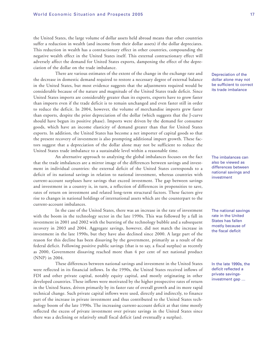the United States, the large volume of dollar assets held abroad means that other countries suffer a reduction in wealth (and income from their dollar assets) if the dollar depreciates. This reduction in wealth has a contractionary effect in other countries, compounding the negative wealth effect in the United States itself. This external contractionary effect will adversely affect the demand for United States exports, dampening the effect of the depreciation of the dollar on the trade imbalance.

There are various estimates of the extent of the change in the exchange rate and the decrease in domestic demand required to restore a necessary degree of external balance in the United States, but most evidence suggests that the adjustments required would be considerable because of the nature and magnitude of the United States trade deficit. Since United States imports are considerably greater than its exports, exports have to grow faster than imports even if the trade deficit is to remain unchanged and even faster still in order to reduce the deficit. In 2004, however, the volume of merchandise imports grew faster than exports, despite the prior depreciation of the dollar (which suggests that the J-curve should have begun its positive phase). Imports were driven by the demand for consumer goods, which have an income elasticity of demand greater than that for United States exports. In addition, the United States has become a net importer of capital goods so that the present recovery of investment is also prompting additional import growth. These factors suggest that a depreciation of the dollar alone may not be sufficient to reduce the United States trade imbalance to a sustainable level within a reasonable time.

An alternative approach to analyzing the global imbalances focuses on the fact that the trade imbalances are a mirror image of the differences between savings and investment in individual countries: the external deficit of the United States corresponds to a deficit of its national savings in relation to national investment, whereas countries with current-account surpluses have savings that exceed investment. The gap between savings and investment in a country is, in turn, a reflection of differences in propensities to save, rates of return on investment and related long-term structural factors. These factors give rise to changes in national holdings of international assets which are the counterpart to the current-account imbalances.

In the case of the United States, there was an increase in the rate of investment with the boom in the technology sector in the late 1990s. This was followed by a fall in investment in 2001 and 2002 with the bursting of the technology bubble and a subsequent recovery in 2003 and 2004. Aggregate savings, however, did not match the increase in investment in the late 1990s, but they have also declined since 2000. A large part of the reason for this decline has been dissaving by the government, primarily as a result of the federal deficit. Following positive public savings (that is to say, a fiscal surplus) as recently as 2000, Government dissaving reached more than 4 per cent of net national product (NNP) in 2004.

These differences between national savings and investment in the United States were reflected in its financial inflows. In the 1990s, the United States received inflows of FDI and other private capital, notably equity capital, and mostly originating in other developed countries. These inflows were motivated by the higher prospective rates of return in the United States, driven primarily by its faster rate of overall growth and its more rapid technical change. Such private capital inflows were used, directly and indirectly, to finance part of the increase in private investment and thus contributed to the United States technology boom of the late 1990s. The increasing current-account deficit at that time mostly reflected the excess of private investment over private savings in the United States since there was a declining or relatively small fiscal deficit (and eventually a surplus).

Depreciation of the dollar alone may not be sufficient to correct its trade imbalance

The imbalances can also be viewed as differences between national savings and investment

The national savings rate in the United States has fallen mostly because of the fiscal deficit

In the late 1990s, the deficit reflected a private savingsinvestment gap …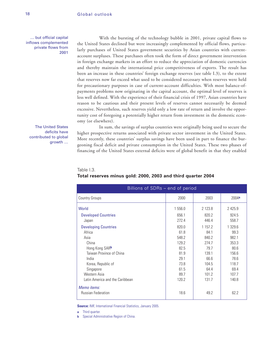… but official capital inflows complemented private flows from 2001

With the bursting of the technology bubble in 2001, private capital flows to the United States declined but were increasingly complemented by official flows, particularly purchases of United States government securities by Asian countries with currentaccount surpluses. These purchases often took the form of direct government intervention in foreign exchange markets in an effort to reduce the appreciation of domestic currencies and thereby maintain the international price competitiveness of exports. The result has been an increase in these countries' foreign exchange reserves (see table I.3), to the extent that reserves now far exceed what used to be considered necessary when reserves were held for precautionary purposes in case of current-account difficulties. With most balance-ofpayments problems now originating in the capital account, the optimal level of reserves is less well defined. With the experience of their financial crisis of 1997, Asian countries have reason to be cautious and their present levels of reserves cannot necessarily be deemed excessive. Nevertheless, such reserves yield only a low rate of return and involve the opportunity cost of foregoing a potentially higher return from investment in the domestic economy (or elsewhere).

The United States deficits have contributed to global growth …

In sum, the savings of surplus countries were originally being used to secure the higher prospective returns associated with private sector investment in the United States. More recently, these countries' surplus savings have been used in part to finance the burgeoning fiscal deficit and private consumption in the United States. These two phases of financing of the United States external deficits were of global benefit in that they enabled

| Billions of SDRs - end of period                                                                                        |                                               |                                                  |                                                  |  |  |
|-------------------------------------------------------------------------------------------------------------------------|-----------------------------------------------|--------------------------------------------------|--------------------------------------------------|--|--|
| <b>Country Groups</b>                                                                                                   | 2000                                          | 2003                                             | 2004a                                            |  |  |
| World                                                                                                                   | 1 556.0                                       | 2 1 2 3 .8                                       | 2425.9                                           |  |  |
| <b>Developed Countries</b><br>Japan                                                                                     | 656.1<br>272.4                                | 820.2<br>446.4                                   | 924.5<br>558.7                                   |  |  |
| <b>Developing Countries</b><br>Africa<br>Asia<br>China<br>Hong Kong SARb                                                | 820.0<br>61.8<br>548.2<br>129.2<br>82.5       | 1 1 5 7 . 2<br>84.1<br>840.2<br>274.7<br>79.7    | 1 329.6<br>99.3<br>982.1<br>353.3<br>80.6        |  |  |
| Taiwan Province of China<br>India<br>Korea, Republic of<br>Singapore<br>Western Asia<br>Latin America and the Caribbean | 81.9<br>29.1<br>73.8<br>61.5<br>89.7<br>120.2 | 139.1<br>66.6<br>104.5<br>64.4<br>101.2<br>131.7 | 156.6<br>78.6<br>118.7<br>69.4<br>107.7<br>140.8 |  |  |
| Memo items:<br><b>Russian Federation</b>                                                                                | 18.6                                          | 49.2                                             | 62.2                                             |  |  |

### Table I.3. **Total reserves minus gold: 2000, 2003 and third quarter 2004**

**Source:** IMF, International Financial Statistics, January 2005.

**a** Third quarter.

**b** Special Administrative Region of China.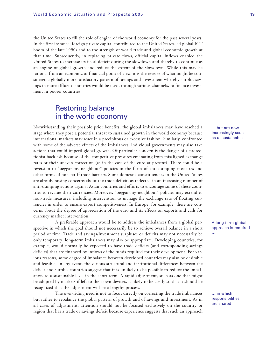the United States to fill the role of engine of the world economy for the past several years. In the first instance, foreign private capital contributed to the United States-led global ICT boom of the late 1990s and to the strength of world trade and global economic growth at that time. Subsequently, in replacing private flows, official capital inflows enabled the United States to increase its fiscal deficit during the slowdown and thereby to continue as an engine of global growth and reduce the extent of the slowdown. While this may be rational from an economic or financial point of view, it is the reverse of what might be considered a globally more satisfactory pattern of savings and investment whereby surplus savings in more affluent countries would be used, through various channels, to finance investment in poorer countries.

### Restoring balance in the world economy

Notwithstanding their possible prior benefits, the global imbalances may have reached a stage where they pose a potential threat to sustained growth in the world economy because international markets may react in a precipitous or excessive fashion. Similarly, confronted with some of the adverse effects of the imbalances, individual governments may also take actions that could imperil global growth. Of particular concern is the danger of a protectionist backlash because of the competitive pressures emanating from misaligned exchange rates or their uneven correction (as in the case of the euro at present). There could be a reversion to "beggar-my-neighbour" policies in the form of anti-dumping measures and other forms of non-tariff trade barriers. Some domestic constituencies in the United States are already raising concerns about the trade deficit, as reflected in an increasing number of anti-dumping actions against Asian countries and efforts to encourage some of these countries to revalue their currencies. Moreover, "beggar-my-neighbour" policies may extend to non-trade measures, including intervention to manage the exchange rate of floating currencies in order to ensure export competitiveness. In Europe, for example, there are concerns about the degree of appreciation of the euro and its effects on exports and calls for currency market intervention.

A preferable approach would be to address the imbalances from a global perspective in which the goal should not necessarily be to achieve overall balance in a short period of time. Trade and savings/investment surpluses or deficits may not necessarily be only temporary: long-term imbalances may also be appropriate. Developing countries, for example, would normally be expected to have trade deficits (and corresponding savings deficits) that are financed by inflows of the funds required for their development. For various reasons, some degree of imbalance between developed countries may also be desirable and feasible. In any event, the various structural and institutional differences between the deficit and surplus countries suggest that it is unlikely to be possible to reduce the imbalances to a sustainable level in the short term. A rapid adjustment, such as one that might be adopted by markets if left to their own devices, is likely to be costly so that it should be recognized that the adjustment will be a lengthy process.

The over-riding need is not to focus directly on correcting the trade imbalances but rather to rebalance the global pattern of growth and of savings and investment. As in all cases of adjustment, attention should not be focused exclusively on the country or region that has a trade or savings deficit because experience suggests that such an approach … but are now increasingly seen as unsustainable

#### A long-term global approach is required

…

… in which responsibilities are shared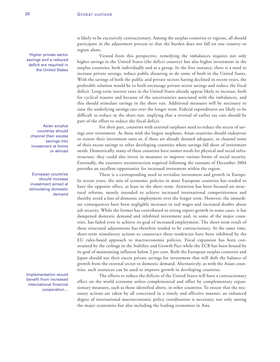Higher private sector savings and a reduced deficit are required in the United States

Asian surplus countries should channel their excess savings into investment at home or abroad

European countries should increase investment aimed at stimulating domestic demand

Implementation would benefit from increased international financial cooperation…

is likely to be excessively contractionary. Among the surplus countries or regions, all should participate in the adjustment process so that the burden does not fall on one country or region alone.

Viewed from this perspective, remedying the imbalances requires not only higher savings in the United States (the deficit country) but also higher investment in the surplus countries, both individually and as a group. In the first instance, there is a need to increase private savings, reduce public dissaving or do some of both in the United States. With the savings of both the public and private sectors having declined in recent years, the preferable solution would be to both encourage private sector savings and reduce the fiscal deficit. Long-term interest rates in the United States already appear likely to increase, both for cyclical reasons and because of the uncertainties associated with the imbalances, and this should stimulate savings in the short run. Additional measures will be necessary to raise the underlying savings rate over the longer term. Federal expenditures are likely to be difficult to reduce in the short run, implying that a reversal of earlier tax cuts should be part of the effort to reduce the fiscal deficit.

For their part, countries with external surpluses need to reduce the excess of savings over investment. As those with the largest surpluses, Asian countries should endeavour to restore their investment rates or, if these are already deemed adequate, to channel some of their excess savings to other developing countries where savings fall short of investment needs. Domestically, many of these countries have unmet needs for physical and social infrastructure; they could also invest in measures to improve various forms of social security. Externally, the extensive reconstruction required following the tsunami of December 2004 provides an excellent opportunity for increased investment within the region.

There is a corresponding need to revitalize investment and growth in Europe. In recent years, the mix of economic policies in most European countries has tended to have the opposite effect, at least in the short term. Attention has been focused on structural reforms, mostly intended to achieve increased international competitiveness and thereby avoid a loss of domestic employment over the longer term. However, the immediate consequences have been negligible increases in real wages and increased doubts about job security. While the former has contributed to strong export growth in some cases, it has dampened domestic demand and inhibited investment and, in some of the major countries, has failed even to achieve its goal of increased employment. The short-term result of these structural adjustments has therefore tended to be contractionary. At the same time, short-term stimulatory actions to counteract these tendencies have been inhibited by the EU rules-based approach to macroeconomic policies. Fiscal expansion has been constrained by the ceilings in the Stability and Growth Pact while the ECB has been bound by its goal of maintaining inflation below 2 per cent. Both the European surplus countries and Japan should use their excess private savings for investment that will shift the balance of growth from the external sector to domestic demand. Alternatively, as with the Asian countries, such resources can be used to improve growth in developing countries.

The efforts to reduce the deficits of the United States will have a contractionary effect on the world economy unless complemented and offset by complementary expansionary measures, such as those identified above, in other countries. To ensure that the necessary actions are taken by all concerned in a timely and effective manner, an enhanced degree of international macroeconomic policy coordination is necessary, not only among the major economies but also including the leading economies in Asia.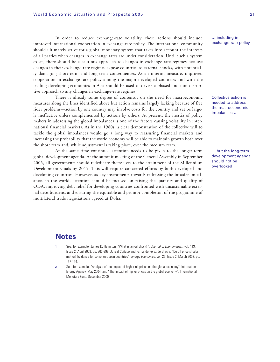In order to reduce exchange-rate volatility, these actions should include improved international cooperation in exchange-rate policy. The international community should ultimately strive for a global monetary system that takes into account the interests of all parties when changes in exchange rates are under consideration. Until such a system exists, there should be a cautious approach to changes in exchange-rate regimes because changes in their exchange-rate regimes expose countries to external shocks, with potentially damaging short-term and long-term consequences. As an interim measure, improved cooperation in exchange-rate policy among the major developed countries and with the leading developing economies in Asia should be used to devise a phased and non-disruptive approach to any changes in exchange-rate regimes.

There is already some degree of consensus on the need for macroeconomic measures along the lines identified above but action remains largely lacking because of free rider problems—action by one country may involve costs for the country and yet be largely ineffective unless complemented by actions by others. At present, the inertia of policy makers in addressing the global imbalances is one of the factors causing volatility in international financial markets. As in the 1980s, a clear demonstration of the collective will to tackle the global imbalances would go a long way to reassuring financial markets and increasing the probability that the world economy will be able to maintain growth both over the short term and, while adjustment is taking place, over the medium term.

At the same time continued attention needs to be given to the longer-term global development agenda. At the summit meeting of the General Assembly in September 2005, all governments should rededicate themselves to the attainment of the Millennium Development Goals by 2015. This will require concerted efforts by both developed and developing countries. However, as key instruments towards redressing the broader imbalances in the world, attention should be focused on raising the quantity and quality of ODA, improving debt relief for developing countries confronted with unsustainable external debt burdens, and ensuring the equitable and prompt completion of the programme of multilateral trade negotiations agreed at Doha.

… including in exchange-rate policy

Collective action is needed to address the macroeconomic imbalances …

… but the long-term development agenda should not be overlooked

### **Notes**

- See, for example, James D. Hamilton, "What is an oil shock?", Journal of Econometrics, vol. 113, Issue 2, April 2003, pp. 363-398; Juncal Cuñado and Fernando Pérez de Gracia, "Do oil price shocks matter? Evidence for some European countries", Energy Economics, vol. 25, Issue 2, March 2003, pp. 137-154.
- **2** See, for example, "Analysis of the impact of higher oil prices on the global economy", International Energy Agency, May 2004, and "The impact of higher prices on the global economy", International Monetary Fund, December 2000.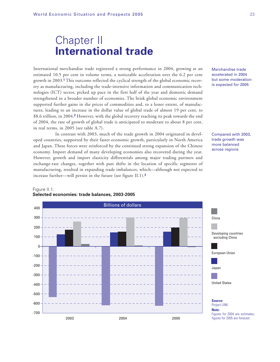# Chapter II **International trade**

International merchandise trade registered a strong performance in 2004, growing at an estimated 10.5 per cent in volume terms, a noticeable acceleration over the 6.2 per cent growth in 2003.**<sup>1</sup>** This outcome reflected the cyclical strength of the global economic recovery as manufacturing, including the trade-intensive information and communication technologies (ICT) sector, picked up pace in the first half of the year and domestic demand strengthened in a broader number of economies. The brisk global economic environment supported further gains in the prices of commodities and, to a lesser extent, of manufactures, leading to an increase in the dollar value of global trade of almost 19 per cent, to \$8.6 trillion, in 2004.**<sup>2</sup>** However, with the global recovery reaching its peak towards the end of 2004, the rate of growth of global trade is anticipated to moderate to about 8 per cent, in real terms, in 2005 (see table A.7).

In contrast with 2003, much of the trade growth in 2004 originated in developed countries, supported by their faster economic growth, particularly in North America and Japan. These forces were reinforced by the continued strong expansion of the Chinese economy. Import demand of many developing economies also recovered during the year. However, growth and import elasticity differentials among major trading partners and exchange-rate changes, together with past shifts in the location of specific segments of manufacturing, resulted in expanding trade imbalances, which—although not expected to increase further—will persist in the future (see figure II.1).**<sup>3</sup>**

#### Merchandise trade accelerated in 2004 but some moderation is expected for 2005

Compared with 2003, trade growth was more balanced across regions



#### Figure II.1. **Selected economies: trade balances, 2003-2005**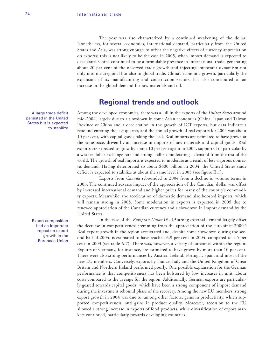The year was also characterized by a continued weakening of the dollar. Nonetheless, for several economies, international demand, particularly from the United States and Asia, was strong enough to offset the negative effects of currency appreciation on exports; this is not likely to be the case in 2005, when import demand is expected to decelerate. China continued to be a formidable presence in international trade, generating about 20 per cent of the observed trade growth and injecting important dynamism not only into intraregional but also to global trade. China's economic growth, particularly the expansion of its manufacturing and construction sectors, has also contributed to an increase in the global demand for raw materials and oil.

### **Regional trends and outlook**

Among the developed economies, there was a lull in the exports of the *United States* around mid-2004, largely due to a slowdown in some Asian economies (China, Japan and Taiwan Province of China and a deceleration in the growth of ICT exports, but data indicate a rebound entering the last quarter, and the annual growth of real exports for 2004 was about 10 per cent, with capital goods taking the lead. Real imports are estimated to have grown at the same pace, driven by an increase in imports of raw materials and capital goods. Real exports are expected to grow by about 10 per cent again in 2005, supported in particular by a weaker dollar exchange rate and strong—albeit moderating—demand from the rest of the world. The growth of real imports is expected to moderate as a result of less vigorous domestic demand. Having deteriorated to about \$600 billion in 2004, the United States trade deficit is expected to stabilize at about the same level in 2005 (see figure II.1).

Exports from *Canada* rebounded in 2004 from a decline in volume terms in 2003. The continued adverse impact of the appreciation of the Canadian dollar was offset by increased international demand and higher prices for many of the country's commodity exports. Meanwhile, the acceleration of domestic demand also boosted imports, which will remain strong in 2005. Some moderation in exports is expected in 2005 due to renewed appreciation of the Canadian currency and a slowdown in import demand by the United States.

In the case of the *European Union* (EU),**<sup>4</sup>** strong external demand largely offset the decrease in competitiveness stemming from the appreciation of the euro since 2000.**<sup>5</sup>** Real export growth in the region accelerated and, despite some slowdown during the second half of 2004, is estimated to have reached 6.9 per cent in 2004, compared to 1.5 per cent in 2003 (see table A.7). There was, however, a variety of outcomes within the region. Exports of Germany, for instance, are estimated to have grown by more than 10 per cent. There were also strong performances by Austria, Ireland, Portugal, Spain and most of the new EU members. Conversely, exports by France, Italy and the United Kingdom of Great Britain and Northern Ireland performed poorly. One possible explanation for the German performance is that competitiveness has been bolstered by low increases in unit labour costs compared to the average for the region. Additionally, German exports are particularly geared towards capital goods, which have been a strong component of import demand during the investment rebound phase of the recovery. Among the new EU members, strong export growth in 2004 was due to, among other factors, gains in productivity, which supported competitiveness, and gains in product quality. Moreover, accession to the EU allowed a strong increase in exports of food products, while diversification of export markets continued, particularly towards developing countries.

A large trade deficit persisted in the United States but is expected to stabilize

> Export composition had an important impact on export growth in the European Union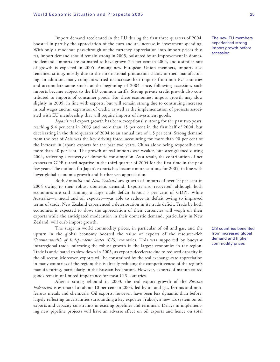Import demand accelerated in the EU during the first three quarters of 2004, boosted in part by the appreciation of the euro and an increase in investment spending. With only a moderate pass-through of the currency appreciation into import prices thus far, import demand should remain strong in 2005, bolstered by an improvement in domestic demand. Imports are estimated to have grown 7.4 per cent in 2004, and a similar rate of growth is expected in 2005. Among new European Union members, imports also remained strong, mostly due to the international production chains in their manufacturing. In addition, many companies tried to increase their imports from non-EU countries and accumulate some stocks at the beginning of 2004 since, following accession, such imports became subject to the EU common tariffs. Strong private credit growth also contributed to imports of consumer goods. For these economies, import growth may slow slightly in 2005, in line with exports, but will remain strong due to continuing increases in real wages and an expansion of credit, as well as the implementation of projects associated with EU membership that will require imports of investment goods.

*Japan*'s real export growth has been exceptionally strong for the past two years, reaching 9.4 per cent in 2003 and more than 15 per cent in the first half of 2004, but decelerating in the third quarter of 2004 to an annual rate of 1.5 per cent. Strong demand from the rest of Asia was the key driving force, accounting for more than 90 per cent of the increase in Japan's exports for the past two years, China alone being responsible for more than 40 per cent. The growth of real imports was weaker, but strengthened during 2004, reflecting a recovery of domestic consumption. As a result, the contribution of net exports to GDP turned negative in the third quarter of 2004 for the first time in the past few years. The outlook for Japan's exports has become more cautious for 2005, in line with lower global economic growth and further yen appreciation.

Both *Australia* and *New Zealand* saw growth of imports of over 10 per cent in 2004 owing to their robust domestic demand. Exports also recovered, although both economies are still running a large trade deficit (about 5 per cent of GDP). While Australia—a metal and oil exporter—was able to reduce its deficit owing to improved terms of trade, New Zealand experienced a deterioration in its trade deficit. Trade by both economies is expected to slow: the appreciation of their currencies will weigh on their exports while the anticipated moderation in their domestic demand, particularly in New Zealand, will curb import growth.

The surge in world commodity prices, in particular of oil and gas, and the upturn in the global economy boosted the value of exports of the resource-rich *Commonwealth of Independent States (CIS)* countries. This was supported by buoyant intraregional trade, mirroring the robust growth in the largest economies in the region. Trade is anticipated to slow down in 2005, as exports decelerate due to reduced capacity in the oil sector. Moreover, exports will be constrained by the real exchange-rate appreciation in many countries of the region; this is already reducing the competitiveness of the region's manufacturing, particularly in the Russian Federation. However, exports of manufactured goods remain of limited importance for most CIS countries.

After a strong rebound in 2003, the real export growth of the *Russian Federation* is estimated at about 10 per cent in 2004, led by oil and gas, ferrous and nonferrous metals and chemicals. Oil exports, however, have been less dynamic than before, largely reflecting uncertainties surrounding a key exporter (Yukos), a new tax system on oil exports and capacity constraints in existing pipelines and terminals. Delays in implementing new pipeline projects will have an adverse effect on oil exports and hence on total The new EU members experienced strong import growth before accession

CIS countries benefited from increased global demand and higher commodity prices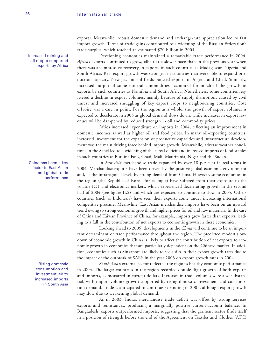Increased mining and oil output supported exports by Africa exports. Meanwhile, robust domestic demand and exchange-rate appreciation led to fast import growth. Terms of trade gains contributed to a widening of the Russian Federation's trade surplus, which reached an estimated \$70 billion in 2004.

Developing economies maintained a remarkable trade performance in 2004. *Africa's* exports continued to grow, albeit at a slower pace than in the previous year when there was an impressive recovery in exports in such countries as Madagascar, Nigeria and South Africa. Real export growth was strongest in countries that were able to expand production capacity. New gas and oil fields boosted exports in Algeria and Chad. Similarly, increased output of some mineral commodities accounted for much of the growth in exports by such countries as Namibia and South Africa. Nonetheless, some countries registered a decline in export volumes, mainly because of supply disruptions caused by civil unrest and increased smuggling of key export crops to neighbouring countries. Côte d'Ivoire was a case in point. For the region as a whole, the growth of export volumes is expected to decelerate in 2005 as global demand slows down, while increases in export revenues will be dampened by reduced strength in oil and commodity prices.

Africa increased expenditure on imports in 2004, reflecting an improvement in domestic incomes as well as higher oil and food prices. In many oil-exporting countries, increased investment for the expansion of productive capacities and infrastructure development was the main driving force behind import growth. Meanwhile, adverse weather conditions in the Sahel led to a widening of the cereal deficit and increased imports of food staples in such countries as Burkina Faso, Chad, Mali, Mauritania, Niger and the Sudan.

In *East Asia* merchandise trade expanded by over 18 per cent in real terms in 2004. Merchandise exports have been driven by the positive global economic environment and, at the intraregional level, by strong demand from China. However, some economies in the region (the Republic of Korea, for example) have suffered from their exposure to the volatile ICT and electronics markets, which experienced decelerating growth in the second half of 2004 (see figure II.2) and which are expected to continue to slow in 2005. Others countries (such as Indonesia) have seen their exports come under increasing international competitive pressure. Meanwhile, East Asian merchandise imports have been on an upward trend owing to strong economic growth and higher prices for oil and raw materials. In the case of China and Taiwan Province of China, for example, imports grew faster than exports, leading to a fall in the contribution of net exports to economic growth in these economies.

Looking ahead to 2005, developments in the *China* will continue to be an important determinant of trade performance throughout the region. The predicted modest slowdown of economic growth in China is likely to affect the contribution of net exports to economic growth in economies that are particularly dependent on the Chinese market. In addition, economies such as Singapore are likely to see a dip in their export growth rates due to the impact of the outbreak of SARS in the year 2003 on export growth rates in 2004.

*South Asia*'s external sector reflected the region's healthy economic performance in 2004. The larger countries in the region recorded double-digit growth of both exports and imports, as measured in current dollars. Increases in trade volumes were also substantial, with import volume growth supported by rising domestic investment and consumption demand. Trade is anticipated to continue expanding in 2005, although export growth may slow due to weakening global demand.

As in 2003, India's merchandise trade deficit was offset by strong services exports and remittances, producing a marginally positive current-account balance. In Bangladesh, exports outperformed imports, suggesting that the garment sector finds itself in a position of strength before the end of the Agreement on Textiles and Clothes (ATC)

China has been a key factor in East Asian and global trade performance

> Rising domestic consumption and investment led to increased imports in South Asia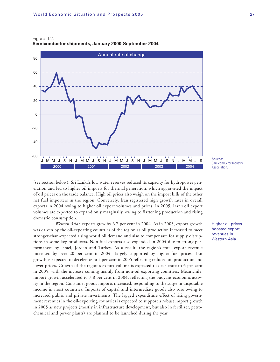

Figure II.2. **Semiconductor shipments, January 2000-September 2004**

(see section below). Sri Lanka's low water reserves reduced its capacity for hydropower generation and led to higher oil imports for thermal generation, which aggravated the impact of oil prices on the trade balance. High oil prices also weigh on the import bills of the other net fuel importers in the region. Conversely, Iran registered high growth rates in overall exports in 2004 owing to higher oil export volumes and prices. In 2005, Iran's oil export volumes are expected to expand only marginally, owing to flattening production and rising domestic consumption.

*Western Asia*'s exports grew by 6.7 per cent in 2004. As in 2003, export growth was driven by the oil-exporting countries of the region as oil production increased to meet stronger-than-expected rising world oil demand and also to compensate for supply disruptions in some key producers. Non-fuel exports also expanded in 2004 due to strong performances by Israel, Jordan and Turkey. As a result, the region's total export revenue increased by over 20 per cent in 2004—largely supported by higher fuel prices—but growth is expected to decelerate to 5 per cent in 2005 reflecting reduced oil production and lower prices. Growth of the region's export volume is expected to decelerate to 6 per cent in 2005, with the increase coming mainly from non-oil exporting countries. Meanwhile, import growth accelerated to 7.8 per cent in 2004, reflecting the buoyant economic activity in the region. Consumer goods imports increased, responding to the surge in disposable income in most countries. Imports of capital and intermediate goods also rose owing to increased public and private investments. The lagged expenditure effect of rising government revenues in the oil-exporting countries is expected to support a robust import growth in 2005 as new projects (mostly in infrastructure development, but also in fertilizer, petrochemical and power plants) are planned to be launched during the year.

Semiconductor Industry **Association** 

Higher oil prices boosted export revenues in Western Asia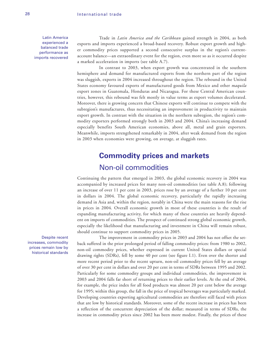Latin America experienced a balanced trade performance as imports recovered

Trade in *Latin America and the Caribbean* gained strength in 2004, as both exports and imports experienced a broad-based recovery. Robust export growth and higher commodity prices supported a second consecutive surplus in the region's currentaccount balance—an extraordinary event for the region, even more so as it occurred despite a marked acceleration in imports (see table A.7).

In contrast to 2003, when export growth was concentrated in the southern hemisphere and demand for manufactured exports from the northern part of the region was sluggish, exports in 2004 increased throughout the region. The rebound in the United States economy favoured exports of manufactured goods from Mexico and other *maquila* export zones in Guatemala, Honduras and Nicaragua. For these Central American countries, however, this rebound was felt mostly in value terms as export volumes decelerated. Moreover, there is growing concern that Chinese exports will continue to compete with the subregion's manufactures, thus necessitating an improvement in productivity to maintain export growth. In contrast with the situation in the northern subregion, the region's commodity exporters performed strongly both in 2003 and 2004. China's increasing demand especially benefits South American economies, above all, metal and grain exporters. Meanwhile, imports strengthened remarkably in 2004, after weak demand from the region in 2003 when economies were growing, on average, at sluggish rates.

# **Commodity prices and markets** Non-oil commodities

Continuing the pattern that emerged in 2003, the global economic recovery in 2004 was accompanied by increased prices for many non-oil commodities (see table A.8); following an increase of over 11 per cent in 2003, prices rose by an average of a further 10 per cent in dollars in 2004. The global economic recovery, particularly the rapidly increasing demand in Asia and, within the region, notably in China were the main reasons for the rise in prices in 2004. Overall economic growth in most of these countries is the result of expanding manufacturing activity, for which many of these countries are heavily dependent on imports of commodities. The prospect of continued strong global economic growth, especially the likelihood that manufacturing and investment in China will remain robust, should continue to support commodity prices in 2005.

The improvement in commodity prices in 2003 and 2004 has not offset the setback suffered in the prior prolonged period of falling commodity prices: from 1980 to 2002, non-oil commodity prices, whether expressed in current United States dollars or special drawing rights (SDRs), fell by some 40 per cent (see figure I.1). Even over the shorter and more recent period prior to the recent upturn, non-oil commodity prices fell by an average of over 30 per cent in dollars and over 20 per cent in terms of SDRs between 1995 and 2002. Particularly for some commodity groups and individual commodities, the improvement in 2003 and 2004 falls far short of returning prices to their earlier levels. At the end of 2004, for example, the price index for all food products was almost 20 per cent below the average for 1995; within this group, the fall in the price of tropical beverages was particularly marked. Developing countries exporting agricultural commodities are therefore still faced with prices that are low by historical standards. Moreover, some of the recent increase in prices has been a reflection of the concurrent depreciation of the dollar; measured in terms of SDRs, the increase in commodity prices since 2002 has been more modest. Finally, the prices of these

Despite recent increases, commodity prices remain low by historical standards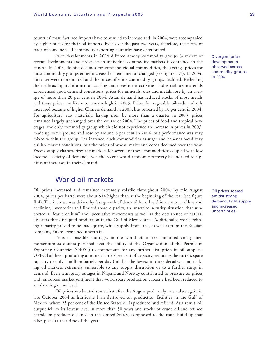countries' manufactured imports have continued to increase and, in 2004, were accompanied by higher prices for their oil imports. Even over the past two years, therefore, the terms of trade of some non-oil commodity exporting countries have deteriorated.

Price developments in 2004 differed among commodity groups (a review of recent developments and prospects in individual commodity markets is contained in the annex). In 2003, despite declines for some individual commodities, the average prices for most commodity groups either increased or remained unchanged (see figure II.3). In 2004, increases were more muted and the prices of some commodity groups declined. Reflecting their role as inputs into manufacturing and investment activities, industrial raw materials experienced good demand conditions: prices for minerals, ores and metals rose by an average of more than 20 per cent in 2004. Asian demand has reduced stocks of most metals and these prices are likely to remain high in 2005. Prices for vegetable oilseeds and oils increased because of higher Chinese demand in 2003, but retreated by 10 per cent in 2004. For agricultural raw materials, having risen by more than a quarter in 2003, prices remained largely unchanged over the course of 2004. The prices of food and tropical beverages, the only commodity group which did not experience an increase in prices in 2003, made up some ground and rose by around 8 per cent in 2004, but performance was very mixed within the group. For instance, such commodities as sugar and bananas faced very bullish market conditions, but the prices of wheat, maize and cocoa declined over the year. Excess supply characterizes the markets for several of these commodities; coupled with low income elasticity of demand, even the recent world economic recovery has not led to significant increases in their demand.

### World oil markets

Oil prices increased and remained extremely volatile throughout 2004. By mid August 2004, prices per barrel were about \$14 higher than at the beginning of the year (see figure II.4). The increase was driven by fast growth of demand for oil within a context of low and declining inventories and limited spare capacity, an unsettled security situation that supported a "fear premium" and speculative movements as well as the occurrence of natural disasters that disrupted production in the Gulf of Mexico area. Additionally, world refining capacity proved to be inadequate, while supply from Iraq, as well as from the Russian company, Yukos, remained uncertain.

Fears of possible shortages in the world oil market mounted and gained momentum as doubts persisted over the ability of the Organization of the Petroleum Exporting Countries (OPEC) to compensate for any further disruption in oil supplies. OPEC had been producing at more than 95 per cent of capacity, reducing the cartel's spare capacity to only 1 million barrels per day (mbd)—the lowest in three decades—and making oil markets extremely vulnerable to any supply disruption or to a further surge in demand. Even temporary outages in Nigeria and Norway contributed to pressure on prices and reinforced market sentiment that world spare production capacity had been reduced to an alarmingly low level.

Oil prices moderated somewhat after the August peak, only to escalate again in late October 2004 as hurricane Ivan destroyed oil production facilities in the Gulf of Mexico, where 25 per cent of the United States oil is produced and refined. As a result, oil output fell to its lowest level in more than 50 years and stocks of crude oil and refined petroleum products declined in the United States, as opposed to the usual build-up that takes place at that time of the year.

Divergent price developments observed across commodity groups in 2004

Oil prices soared amidst strong demand, tight supply and increased uncertainties…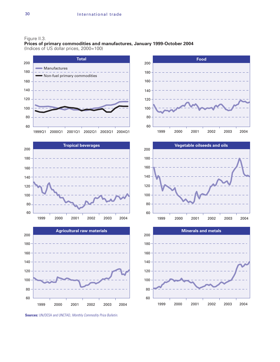#### Figure II.3.

**Prices of primary commodities and manufactures, January 1999-October 2004**  (Indices of US dollar prices, 2000=100)







**Sources:** UN/DESA and UNCTAD, Monthly Commodity Price Bulletin.





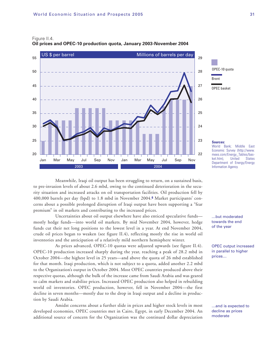

#### Figure II.4. **Oil prices and OPEC-10 production quota, January 2003-November 2004**

Meanwhile, Iraqi oil output has been struggling to return, on a sustained basis, to pre-invasion levels of about 2.6 mbd, owing to the continued deterioration in the security situation and increased attacks on oil transportation facilities. Oil production fell by 400,000 barrels per day (bpd) to 1.8 mbd in November 2004.**<sup>6</sup>** Market participants' concerns about a possible prolonged disruption of Iraqi output have been supporting a "fear premium" in oil markets and contributing to the increased prices.

Uncertainties about oil output elsewhere have also enticed speculative funds mostly hedge funds—into world oil markets. By mid November 2004, however, hedge funds cut their net long positions to the lowest level in a year. At end November 2004, crude oil prices began to weaken (see figure II.4), reflecting mostly the rise in world oil inventories and the anticipation of a relatively mild northern hemisphere winter.

As prices advanced, OPEC-10 quotas were adjusted upwards (see figure II.4). OPEC-10 production increased sharply during the year, reaching a peak of 28.2 mbd in October 2004—the highest level in 25 years—and above the quota of 26 mbd established for that month. Iraqi production, which is not subject to a quota, added another 2.2 mbd to the Organization's output in October 2004. Most OPEC countries produced above their respective quotas, although the bulk of the increase came from Saudi Arabia and was geared to calm markets and stabilize prices. Increased OPEC production also helped in rebuilding world oil inventories. OPEC production, however, fell in November 2004—the first decline in seven months—mostly due to the drop in Iraqi output and a decline in production by Saudi Arabia.

Amidst concerns about a further slide in prices and higher stock levels in most developed economies, OPEC countries met in Cairo, Egypt, in early December 2004. An additional source of concern for the Organization was the continued dollar depreciation



#### **Sources:**

World Bank; Middle East Economic Survey (http://www. mees.com/Energy\_Tables/basket.htm), United States Department of Energy/Energy Information Agency.

…but moderated towards the end of the year

OPEC output increased in parallel to higher prices…

…and is expected to decline as prices moderate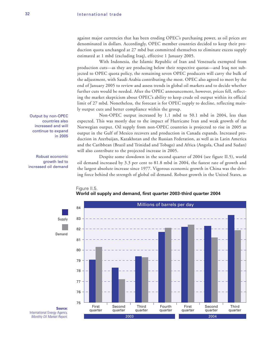against major currencies that has been eroding OPEC's purchasing power, as oil prices are denominated in dollars. Accordingly, OPEC member countries decided to keep their production quota unchanged at 27 mbd but committed themselves to eliminate excess supply estimated at 1 mbd (excluding Iraq), effective 1 January 2005.

With Indonesia, the Islamic Republic of Iran and Venezuela exempted from production cuts—as they are producing below their respective quotas—and Iraq not subjected to OPEC quota policy, the remaining seven OPEC producers will carry the bulk of the adjustment, with Saudi Arabia contributing the most. OPEC also agreed to meet by the end of January 2005 to review and assess trends in global oil markets and to decide whether further cuts would be needed. After the OPEC announcement, however, prices fell, reflecting the market skepticism about OPEC's ability to keep crude oil output within its official limit of 27 mbd. Nonetheless, the forecast is for OPEC supply to decline, reflecting mainly output cuts and better compliance within the group.

Non-OPEC output increased by 1.1 mbd to 50.1 mbd in 2004, less than expected. This was mostly due to the impact of Hurricane Ivan and weak growth of the Norwegian output. Oil supply from non-OPEC countries is projected to rise in 2005 as output in the Gulf of Mexico recovers and production in Canada expands. Increased production in Azerbaijan, Kazakhstan and the Russian Federation, as well as in Latin America and the Caribbean (Brazil and Trinidad and Tobago) and Africa (Angola, Chad and Sudan) will also contribute to the projected increase in 2005.

Despite some slowdown in the second quarter of 2004 (see figure II.5), world oil demand increased by 3.3 per cent to 81.8 mbd in 2004, the fastest rate of growth and the largest absolute increase since 1977. Vigorous economic growth in China was the driving force behind the strength of global oil demand. Robust growth in the United States, as

Output by non-OPEC countries also increased and will continue to expand in 2005

Robust economic growth led to increased oil demand



#### Figure II.5. **World oil supply and demand, first quarter 2003-third quarter 2004**

International Energy Agency, Monthly Oil Market Report.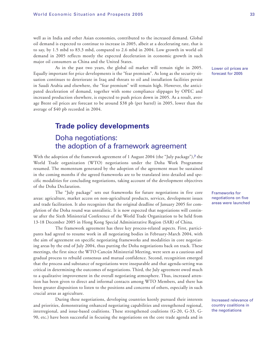well as in India and other Asian economies, contributed to the increased demand. Global oil demand is expected to continue to increase in 2005, albeit at a decelerating rate, that is to say, by 1.5 mbd to 83.3 mbd, compared to 2.6 mbd in 2004. Low growth in world oil demand in 2005 reflects mostly the expected deceleration in economic growth in such major oil consumers as China and the United States.

As in the past two years, the global oil market will remain tight in 2005. Equally important for price developments is the "fear premium". As long as the security situation continues to deteriorate in Iraq and threats to oil and installation facilities persist in Saudi Arabia and elsewhere, the "fear premium" will remain high. However, the anticipated deceleration of demand, together with some compliance slippages by OPEC and increased production elsewhere, is expected to push prices down in 2005. As a result, average Brent oil prices are forecast to be around \$38 pb (per barrel) in 2005, lower than the average of \$40 pb recorded in 2004.

# **Trade policy developments** Doha negotiations:

# the adoption of a framework agreement

With the adoption of the framework agreement of 1 August 2004 (the "July package"),**<sup>7</sup>** the World Trade organization (WTO) negotiations under the Doha Work Programme resumed. The momentum generated by the adoption of the agreement must be sustained in the coming months if the agreed frameworks are to be translated into detailed and specific modalities for concluding negotiations, taking account of the development objectives of the Doha Declaration.

The "July package" sets out frameworks for future negotiations in five core areas: agriculture, market access on non-agricultural products, services, development issues and trade facilitation. It also recognizes that the original deadline of January 2005 for completion of the Doha round was unrealistic. It is now expected that negotiations will continue after the Sixth Ministerial Conference of the World Trade Organization to be held from 13-18 December 2005 in Hong Kong Special Administrative Region (SAR) of China.

The framework agreement has three key process-related aspects. First, participants had agreed to resume work in all negotiating bodies in February-March 2004, with the aim of agreement on specific negotiating frameworks and modalities in core negotiating areas by the end of July 2004, thus putting the Doha negotiations back on track. These meetings, the first since the WTO Cancún Ministerial Meeting, were seen as a cautious and gradual process to rebuild consensus and mutual confidence. Second, recognition emerged that the process and substance of negotiations were inseparable and that agenda-setting was critical in determining the outcomes of negotiations. Third, the July agreement owed much to a qualitative improvement in the overall negotiating atmosphere. Thus, increased attention has been given to direct and informal contacts among WTO Members, and there has been greater disposition to listen to the positions and concerns of others, especially in such crucial areas as agriculture.

During these negotiations, developing countries keenly pursued their interests and priorities, demonstrating enhanced negotiating capabilities and strengthened regional, interregional, and issue-based coalitions. These strengthened coalitions (G-20, G-33, G-90, etc.) have been successful in focusing the negotiations on the core trade agenda and in

Lower oil prices are forecast for 2005

Frameworks for negotiations on five areas were launched

Increased relevance of country coalitions in the negotiations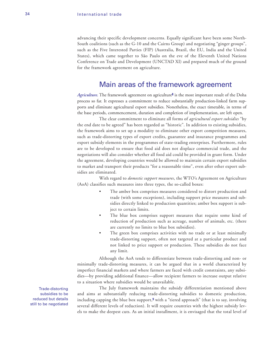advancing their specific development concerns. Equally significant have been some North-South coalitions (such as the G-10 and the Cairns Group) and negotiating "ginger groups", such as the Five Interested Parties (FIP) (Australia, Brazil, the EU, India and the United States), which came together to São Paulo on the eve of the Eleventh United Nations Conference on Trade and Development (UNCTAD XI) and prepared much of the ground for the framework agreement on agriculture.

### Main areas of the framework agreement

*Agriculture.* The framework agreement on agriculture**<sup>8</sup>** is the most important result of the Doha process so far. It expresses a commitment to reduce substantially production-linked farm supports and eliminate agricultural export subsidies. Nonetheless, the exact timetable, in terms of the base periods, commencement, duration and completion of implementation, are left open.

The clear commitment to eliminate all forms of *agricultural export subsidies* "by the end date to be agreed" has been regarded as "historic". In addition to existing subsidies, the framework aims to set up a modality to eliminate other export competition measures, such as trade-distorting types of export credits, guarantee and insurance programmes and export subsidy elements in the programmes of state-trading enterprises. Furthermore, rules are to be developed to ensure that food aid does not displace commercial trade, and the negotiations will also consider whether all food aid could be provided in grant form. Under the agreement, developing countries would be allowed to maintain certain export subsidies to market and transport their products "for a reasonable time", even after other export subsidies are eliminated.

With regard to *domestic support measures*, the WTO's Agreement on Agriculture (AoA) classifies such measures into three types, the so-called boxes:

- The amber box comprises measures considered to distort production and trade (with some exceptions), including support price measures and subsidies directly linked to production quantities; amber box support is subject to certain limits.
- The blue box comprises support measures that require some kind of reduction of production such as acreage, number of animals, etc. (there are currently no limits to blue box subsidies).
- The green box comprises activities with no trade or at least minimally trade-distorting support, often not targeted at a particular product and not linked to price support or production. These subsidies do not face any limit.

Although the AoA tends to differentiate between trade-distorting and non- or minimally trade-distorting measures, it can be argued that in a world characterized by imperfect financial markets and where farmers are faced with credit constraints, any subsidies—by providing additional finance—allow recipient farmers to increase output relative to a situation where subsidies would be unavailable.

The July framework maintains the subsidy differentiation mentioned above and aims at substantially reducing trade-distorting subsidies to domestic production, including capping the blue box support,**<sup>9</sup>** with a "tiered approach" (that is to say, involving several different levels of reduction). It will require countries with the highest subsidy levels to make the deepest cuts. As an initial installment, it is envisaged that the total level of

Trade-distorting subsidies to be reduced but details still to be negotiated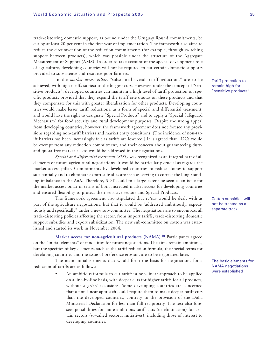trade-distorting domestic support, as bound under the Uruguay Round commitments, be cut by at least 20 per cent in the first year of implementation. The framework also aims to reduce the circumvention of the reduction commitments (for example, through switching support between products), which was possible under the structure of the Aggregate Measurement of Support (AMS). In order to take account of the special development role of agriculture, developing countries will not be required to cut certain domestic supports provided to subsistence and resource-poor farmers.

In the *market access pillar*, "substantial overall tariff reductions" are to be achieved, with high tariffs subject to the biggest cuts. However, under the concept of "sensitive products", developed countries can maintain a high level of tariff protection on specific products provided that they expand the tariff rate quotas on these products and that they compensate for this with greater liberalization for other products. Developing countries would make lesser tariff reductions, as a form of special and differential treatment, and would have the right to designate "Special Products" and to apply a "Special Safeguard Mechanism" for food security and rural development purposes. Despite the strong appeal from developing countries, however, the framework agreement does not foresee any provisions regarding non-tariff barriers and market entry conditions. (The incidence of non-tariff barriers has been increasingly felt as tariffs are lowered.) It is agreed that LDCs would be exempt from any reduction commitment, and their concern about guaranteeing dutyand quota-free market access would be addressed in the negotiations.

*Special and differential treatment (SDT)* was recognized as an integral part of all elements of future agricultural negotiations. It would be particularly crucial as regards the market access pillar. Commitments by developed countries to reduce domestic support substantially and to eliminate export subsidies are seen as serving to correct the long-standing imbalance in the AoA. Therefore, SDT could to a large extent be seen as an issue for the market access pillar in terms of both increased market access for developing countries and ensured flexibility to protect their sensitive sectors and Special Products.

The framework agreement also stipulated that *cotton* would be dealt with as part of the agriculture negotiations, but that it would be "addressed ambitiously, expeditiously and specifically" under a new sub-committee. The negotiations are to encompass all trade-distorting policies affecting the sector, from import tariffs, trade-distorting domestic support subsidies and export subsidization. The new sub-committee on cotton was established and started its work in November 2004.

**Market access for non-agricultural products (NAMA).<sup>10</sup>** Participants agreed on the "initial elements" of modalities for future negotiations. The aims remain ambitious, but the specifics of key elements, such as the tariff reduction formula, the special terms for developing countries and the issue of preference erosion, are to be negotiated later.

The main initial elements that would form the basis for negotiations for a reduction of tariffs are as follows:

> • An ambitious formula to cut tariffs: a non-linear approach to be applied on a line-by-line basis, with deeper cuts for higher tariffs for all products, without *a priori* exclusions. Some developing countries are concerned that a non-linear approach could require them to make deeper tariff cuts than the developed countries, contrary to the provision of the Doha Ministerial Declaration for less than full reciprocity. The text also foresees possibilities for more ambitious tariff cuts (or elimination) for certain sectors (so-called sectoral initiatives), including those of interest to developing countries.

Tariff protection to remain high for "sensitive products"

Cotton subsidies will not be treated as a separate track

The basic elements for NAMA negotiations were established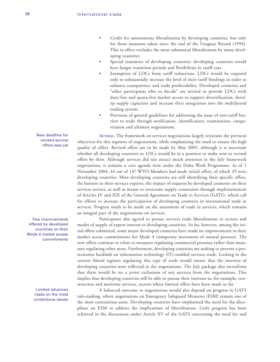- Credit for autonomous liberalization by developing countries, but only for those measures taken since the end of the Uruguay Round (1994). This in effect excludes the most substantial liberalization by many developing countries.
- Special treatment of developing countries: developing countries would have longer transition periods and flexibilities in tariff cuts.
- Exemption of LDCs from tariff reductions. LDCs would be required only to substantially increase the level of their tariff bindings in order to enhance transparency and trade predictability. Developed countries and "other participants who so decide" are invited to provide LDCs with duty-free and quota-free market access to support diversification, develop supply capacities and increase their integration into the multilateral trading system.
- Provision of general guidelines for addressing the issue of non-tariff barriers to trade through notification, identification, examination, categorization and ultimate negotiations.

*Services*. The framework on services negotiations largely reiterates the previous objectives for this segment of negotiations, while emphasizing the need to ensure the high quality of offers. Revised offers are to be made by May 2005, although it is uncertain whether all developing countries or LDCs would be in a position to make new or revised offers by then. Although services did not attract much attention in the July framework negotiations, it remains a core agenda item under the Doha Work Programme. As of 1 November 2004, 44 out of 147 WTO Members had made initial offers, of which 29 were developing countries. Most developing countries are still identifying their specific offers, the barriers to their services exports, the impact of requests by developed countries on their services sectors, as well as means to overcome supply constraints through implementation of Articles IV and XIX of the General Agreement on Trade in Services (GATS), which call for efforts to increase the participation of developing countries in international trade in services. Progress needs to be made on the assessment of trade in services, which remains an integral part of the negotiations on services.

Participants also agreed to pursue services trade liberalization in sectors and modes of supply of export interest to developing countries. So far, however, among the initial offers submitted, some major developed countries have made no improvements in their market access commitments for Mode 4 (temporary movement of natural persons). The new offers continue to relate to measures regulating commercial presence rather than measures regulating other areas. Furthermore, developing countries are seeking to prevent a protectionist backlash on information technology (IT)-enabled services trade. Locking in the current liberal regimes regulating this type of trade would ensure that the interests of developing countries were reflected in the negotiations. The July package also reconfirms that there would be no *a priori* exclusions of any services from the negotiations. This implies that developing countries will be able to pursue their interests in, for example, construction and maritime services, sectors where limited offers have been made so far.

A balanced outcome in negotiations would also depend on progress in GATS rule-making, where negotiations on Emergency Safeguard Measures (ESM) remain one of the most contentious areas. Developing countries have emphasized the need for the disciplines on ESM to address the implications of liberalization. Little progress has been achieved in the discussions under Article XV of the GATS concerning the need for and

New deadline for revised service offers was set

Few improvements offered by developed countries on their Mode 4 market access commitments

> Limited advances made on the most contentious issues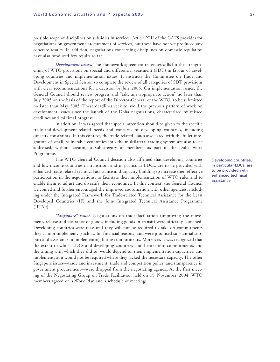possible scope of disciplines on subsidies in services. Article XIII of the GATS provides for negotiations on government procurement of services, but these have not yet produced any concrete results. In addition, negotiations concerning disciplines on domestic regulation have also produced few results so far.

*Development issues***.** The Framework agreement reiterates calls for the strengthening of WTO provisions on special and differential treatment (SDT) in favour of developing countries and implementation issues. It instructs the Committee on Trade and Development in Special Session to complete the review of all categories of SDT provisions with clear recommendations for a decision by July 2005. On implementation issues, the General Council should review progress and "take any appropriate action" no later than July 2005 on the basis of the report of the Director-General of the WTO, to be submitted no later than May 2005. These deadlines seek to avoid the previous pattern of work on development issues since the launch of the Doha negotiations, characterized by missed deadlines and minimal progress.

In addition, it was agreed that special attention should be given to the specific trade-and-development-related needs and concerns of developing countries, including capacity constraints. In this context, the trade-related issues associated with the fuller integration of small, vulnerable economies into the multilateral trading system are also to be addressed, without creating a subcategory of members, as part of the Doha Work Programme.

The WTO General Council decision also affirmed that developing countries and low-income countries in transition, and in particular LDCs, are to be provided with enhanced trade-related technical assistance and capacity-building to increase their effective participation in the negotiations, to facilitate their implementation of WTO rules and to enable them to adjust and diversify their economies. In this context, the General Council welcomed and further encouraged the improved coordination with other agencies, including under the Integrated Framework for Trade-related Technical Assistance for the Least Developed Countries (IF) and the Joint Integrated Technical Assistance Programme (JITAP).

*"Singapore" issues.* Negotiations on trade facilitation (improving the movement, release and clearance of goods, including goods in transit) were officially launched. Developing countries were reassured they will not be required to take on commitments they cannot implement, (such as, for financial reasons) and were promised substantial support and assistance in implementing future commitments. Moreover, it was recognized that the extent to which LDCs and developing countries could enter into commitments, and the timing with which they did so, would depend on their implementation capacities, and implementation would not be required where they lacked the necessary capacity. The other Singapore issues—trade and investment, trade and competition policy, and transparency in government procurement—were dropped from the negotiating agenda. At the first meeting of the Negotiating Group on Trade Facilitation held on 15 November 2004, WTO members agreed on a Work Plan and a schedule of meetings.

Developing countries, in particular LDCs, are to be provided with enhanced technical assistance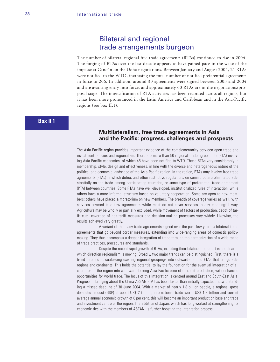### Bilateral and regional trade arrangements burgeon

The number of bilateral regional free trade agreements (RTAs) continued to rise in 2004. The forging of RTAs over the last decade appears to have gained pace in the wake of the impasse at Cancún on the Doha negotiations. Between January and August 2004, 21 RTAs were notified to the WTO, increasing the total number of notified preferential agreements in force to 206. In addition, around 30 agreements were signed between 2003 and 2004 and are awaiting entry into force, and approximately 60 RTAs are in the negotiations/proposal stage. The intensification of RTA activities has been recorded across all regions, but it has been more pronounced in the Latin America and Caribbean and in the Asia-Pacific regions (see box II.1).

### **Box II.1**

#### **Multilateralism, free trade agreements in Asia and the Pacific: progress, challenges and prospects**

The Asia-Pacific region provides important evidence of the complementarity between open trade and investment policies and regionalism. There are more than 50 regional trade agreements (RTA) involving Asia-Pacific economies, of which 48 have been notified to WTO. These RTAs vary considerably in membership, style, design and effectiveness, in line with the diverse and heterogeneous nature of the political and economic landscape of the Asia-Pacific region. In the region, RTAs may involve free trade agreements (FTAs) in which duties and other restrictive regulations on commerce are eliminated substantially on the trade among participating countries; or some type of preferential trade agreement (PTA) between countries. Some RTAs have well-developed, institutionalized rules of interaction, while others have a more informal structure based on voluntary cooperation. Some are open to new members; others have placed a moratorium on new members. The breadth of coverage varies as well, with services covered in a few agreements while most do not cover services in any meaningful way. Agriculture may be wholly or partially excluded, while movement of factors of production, depth of tariff cuts, coverage of non-tariff measures and decision-making processes vary widely. Likewise, the results achieved vary greatly.

A variant of the many trade agreements signed over the past few years is bilateral trade agreements that go beyond border measures, extending into wide-ranging areas of domestic policymaking. They thus encompass a deeper integration of trade through the harmonization of a wide range of trade practices, procedures and standards.

Despite the recent rapid growth of RTAs, including their bilateral format, it is not clear in which direction regionalism is moving. Broadly, two major trends can be distinguished. First, there is a trend directed at coalescing existing regional groupings into outward-oriented FTAs that bridge subregions and continents. This holds the potential to lay the foundation for the eventual integration of all countries of the region into a forward-looking Asia-Pacific zone of efficient production, with enhanced opportunities for world trade. The locus of this integration is centred around East and South-East Asia. Progress in bringing about the China-ASEAN FTA has been faster than initially expected, notwithstanding a missed deadline of 30 June 2004. With a market of nearly 1.8 billion people, a regional gross domestic product (GDP) of about US\$ 2 trillion, international trade worth US\$ 1.2 trillion and current average annual economic growth of 8 per cent, this will become an important production base and trade and investment centre of the region. The addition of Japan, which has long worked at strengthening its economic ties with the members of ASEAN, is further boosting the integration process.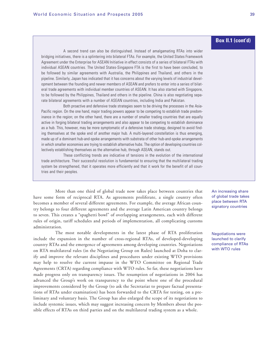A second trend can also be distinguished. Instead of amalgamating RTAs into wider bridging initiatives, there is a splintering into bilateral FTAs. For example, the United States Framework Agreement under the Enterprise for ASEAN Initiative in effect consists of a series of bilateral FTAs with individual ASEAN countries. The United States-Singapore FTA is the first to have been concluded, to be followed by similar agreements with Australia, the Philippines and Thailand, and others in the pipeline. Similarly, Japan has indicated that it has concerns about the varying levels of industrial development between the founding and newer members of ASEAN and prefers to enter into a series of bilateral trade agreements with individual member countries of ASEAN. It has also started with Singapore, to be followed by the Philippines, Thailand and others in the pipeline. China is also negotiating separate bilateral agreements with a number of ASEAN countries, including India and Pakistan.

Both proactive and defensive trade strategies seem to be driving the processes in the Asia-Pacific region. On the one hand, major trading powers appear to be competing to establish trade predominance in the region; on the other hand, there are a number of smaller trading countries that are equally active in forging bilateral trading arrangements and also appear to be competing to establish dominance as a hub. This, however, may be more symptomatic of a defensive trade strategy, designed to avoid finding themselves at the spoke end of another major hub. A multi-layered constellation is thus emerging, made up of a dominant hub-and-spoke arrangements with substrata of other hub-and-spoke arrangements in which smaller economies are trying to establish alternative hubs. The option of developing countries collectively establishing themselves as the alternative hub, through ASEAN, stands out.

These conflicting trends are indicative of tensions in the evolution of the international trade architecture. Their successful resolution is fundamental to ensuring that the multilateral trading system be strengthened, that it operates more efficiently and that it work for the benefit of all countries and their peoples.

More than one third of global trade now takes place between countries that have some form of reciprocal RTA. As agreements proliferate, a single country often becomes a member of several different agreements. For example, the average African country belongs to four different agreements and the average Latin American country belongs to seven. This creates a "spaghetti bowl" of overlapping arrangements, each with different rules of origin, tariff schedules and periods of implementation, all complicating customs administration.

The most notable developments in the latest phase of RTA proliferation include the expansion in the number of cross-regional RTAs, of developed-developing country RTAs and the emergence of agreements among developing countries. Negotiations on RTA multilateral rules (in the Negotiating Group on Rules) launched at Doha to clarify and improve the relevant disciplines and procedures under existing WTO provisions may help to resolve the current impasse in the WTO Committee on Regional Trade Agreements (CRTA) regarding compliance with WTO rules. So far, these negotiations have made progress only on transparency issues. The resumption of negotiations in 2004 has advanced the Group's work on transparency to the point where one of the procedural improvements considered by the Group (to ask the Secretariat to prepare factual presentations of RTAs under examination) has been forwarded to the CRTA for testing, on a preliminary and voluntary basis. The Group has also enlarged the scope of its negotiations to include systemic issues, which may suggest increasing concern by Members about the possible effects of RTAs on third parties and on the multilateral trading system as a whole.

An increasing share of global trade takes place between RTA signatory countries

Negotiations were launched to clarify compliance of RTAs with WTO rules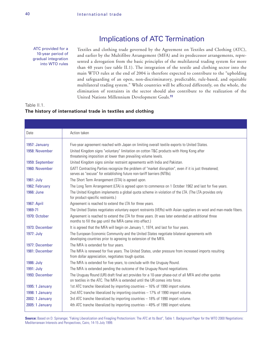### Implications of ATC Termination

ATC provided for a 10-year period of gradual integration into WTO rules

Textiles and clothing trade governed by the Agreement on Textiles and Clothing (ATC), and earlier by the Multifibre Arrangement (MFA) and its predecessor arrangements, represented a derogation from the basic principles of the multilateral trading system for more than 40 years (see table II.1). The integration of the textile and clothing sector into the main WTO rules at the end of 2004 is therefore expected to contribute to the "upholding and safeguarding of an open, non-discriminatory, predictable, rule-based, and equitable multilateral trading system." While countries will be affected differently, on the whole, the elimination of restraints in the sector should also contribute to the realization of the United Nations Millennium Development Goals.**<sup>11</sup>**

#### Table II.1. **The history of international trade in textiles and clothing**

| Date            | Action taken                                                                                                                                                                      |
|-----------------|-----------------------------------------------------------------------------------------------------------------------------------------------------------------------------------|
| 1957: January   | Five-year agreement reached with Japan on limiting overall textile exports to United States.                                                                                      |
| 1958: November  | United Kingdom signs "voluntary" limitation on cotton T&C products with Hong Kong after<br>threatening imposition at lower than prevailing volume levels.                         |
| 1959: September | United Kingdom signs similar restraint agreements with India and Pakistan.                                                                                                        |
| 1960: November  | GATT Contracting Parties recognize the problem of "market disruption", even if it is just threatened;<br>serves as "excuse" for establishing future non-tariff barriers (NTBs).   |
| 1961: July      | The Short Term Arrangement (STA) is agreed upon.                                                                                                                                  |
| 1962: February  | The Long Term Arrangement (LTA) is agreed upon to commence on 1 October 1962 and last for five years.                                                                             |
| 1966: June      | The United Kingdom implements a global quota scheme in violation of the LTA. (The LTA provides only<br>for product-specific restraints.)                                          |
| 1967: April     | Agreement is reached to extend the LTA for three years.                                                                                                                           |
| 1969-71         | The United States negotiates voluntary export restraints (VERs) with Asian suppliers on wool and man-made fibers.                                                                 |
| 1970: October   | Agreement is reached to extend the LTA for three years. (It was later extended an additional three<br>months to fill the gap until the MFA came into effect.)                     |
| 1973: December  | It is agreed that the MFA will begin on January 1, 1974, and last for four years.                                                                                                 |
| 1977: July      | The European Economic Community and the United States negotiate bilateral agreements with<br>developing countries prior to agreeing to extension of the MFA.                      |
| 1977: December  | The MFA is extended for four years.                                                                                                                                               |
| 1981: December  | The MFA is renewed for five years. The United States, under pressure from increased imports resulting<br>from dollar appreciation, negotiates tough quotas.                       |
| 1986: July      | The MFA is extended for five years, to conclude with the Uruguay Round.                                                                                                           |
| 1991: July      | The MFA is extended pending the outcome of the Uruguay Round negotiations.                                                                                                        |
| 1993: December  | The Uruguay Round (UR) draft final act provides for a 10-year phase-out of all MFA and other quotas<br>on textiles in the ATC. The MFA is extended until the UR comes into force. |
| 1995: 1 January | 1st ATC tranche liberalized by importing countries - 16% of 1990 import volume.                                                                                                   |
| 1998: 1 January | 2nd ATC tranche liberalized by importing countries - 17% of 1990 import volume.                                                                                                   |
| 2002: 1 January | 3rd ATC tranche liberalized by importing countries - 18% of 1990 import volume.                                                                                                   |
| 2005: 1 January | 4th ATC tranche liberalized by importing countries - 49% of 1990 import volume.                                                                                                   |

**Source:** Based on D. Spinanger, "Faking Liberalization and Finagling Protectionism: The ATC at Its Best", Table 1. Background Paper for the WTO 2000 Negotiations: Mediterranean Interests and Perspectives, Cairo, 14-15 July 1999.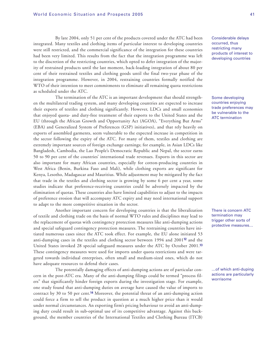By late 2004, only 51 per cent of the products covered under the ATC had been integrated. Many textiles and clothing items of particular interest to developing countries were still restricted, and the commercial significance of the integration for these countries had been very limited. This results from the fact that the integration programme was left to the discretion of the restricting countries, which opted to defer integration of the majority of restrained products until the last moment, back-loading integration of about 80 per cent of their restrained textiles and clothing goods until the final two-year phase of the integration programme. However, in 2004, restraining countries formally notified the WTO of their intention to meet commitments to eliminate all remaining quota restrictions as scheduled under the ATC.

The termination of the ATC is an important development that should strengthen the multilateral trading system, and many developing countries are expected to increase their exports of textiles and clothing significantly. However, LDCs and small economies that enjoyed quota- and duty-free treatment of their exports to the United States and the EU (through the African Growth and Opportunity Act (AGOA), "Everything But Arms" (EBA) and Generalized System of Preferences (GSP) initiatives), and that rely heavily on exports of assembled garments, seem vulnerable to the expected increase in competition in the sector following the expiry of the ATC. For many of them, textiles and clothing are extremely important sources of foreign exchange earnings; for example, in Asian LDCs like Bangladesh, Cambodia, the Lao People's Democratic Republic and Nepal, the sector earns 50 to 90 per cent of the countries' international trade revenues. Exports in this sector are also important for many African countries, especially for cotton-producing countries in West Africa (Benin, Burkina Faso and Mali), while clothing exports are significant for Kenya, Lesotho, Madagascar and Mauritius. While adjustment may be mitigated by the fact that trade in the textiles and clothing sector is growing by some 6 per cent a year, some studies indicate that preference-receiving countries could be adversely impacted by the elimination of quotas. These countries also have limited capabilities to adjust to the impacts of preference erosion that will accompany ATC expiry and may need international support to adapt to the more competitive situation in the sector.

Another important concern for developing countries is that the liberalization of textile and clothing trade on the basis of normal WTO rules and disciplines may lead to the replacement of quotas with contingency protection measures like anti-dumping actions and special safeguard contingency protection measures. The restraining countries have initiated numerous cases since the ATC took effect. For example, the EU alone initiated 53 anti-dumping cases in the textiles and clothing sector between 1994 and 2001**<sup>12</sup>** and the United States invoked 28 special safeguard measures under the ATC by October 2001.**<sup>13</sup>** These contingency measures were used for imports under quota restrictions and were targeted towards individual enterprises, often small and medium-sized ones, which do not have adequate resources to defend their cases.

The potentially damaging effects of anti-dumping actions are of particular concern in the post-ATC era. Many of the anti-dumping filings could be termed "process filers" that significantly hinder foreign exports during the investigation stage. For example, one study found that anti-dumping duties on average have caused the value of imports to contract by 30 to 50 per cent.**<sup>14</sup>** Moreover, the potential threat of an anti-dumping action could force a firm to sell the product in question at a much higher price than it would under normal circumstances. An exporting firm's pricing behaviour to avoid an anti-dumping duty could result in sub-optimal use of its competitive advantage. Against this background, the member countries of the International Textiles and Clothing Bureau (ITCB)

Considerable delays occurred, thus restricting many products of interest to developing countries

Some developing countries enjoying trade preferences may be vulnerable to the ATC termination

There is concern ATC termination may trigger other sorts of protective measures…

…of which anti-duping actions are particularly worrisome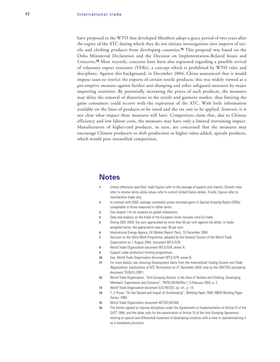have proposed to the WTO that developed Members adopt a grace period of two years after the expiry of the ATC during which they do not initiate investigations into imports of textile and clothing products from developing countries.**<sup>15</sup>** This proposal was based on the Doha Ministerial Declaration and the Decision on Implementation-Related Issues and Concerns.**<sup>16</sup>** Most recently, concerns have been also expressed regarding a possible revival of voluntary export restraints (VERs), a concept which is prohibited by WTO rules and disciplines. Against this background, in December 2004, China announced that it would impose taxes to restrict the exports of certain textile products; this was widely viewed as a pre-emptive measure against further anti-dumping and other safeguard measures by major importing countries. By potentially increasing the prices of such products, the measures may delay the removal of distortions in the textile and garment market, thus limiting the gains consumers could receive with the expiration of the ATC. With little information available on the lines of products to be taxed and the tax rate to be applied, however, it is not clear what impact these measures will have. Competitors claim that, due to Chinese efficiency and low labour costs, the measures may have only a limited restraining impact. Manufacturers of higher-end products, in turn, are concerned that the measures may encourage Chinese producers to shift production to higher value-added, upscale products, which would pose intensified competition.

### **Notes**

- **1** Unless otherwise specified, trade figures refer to the average of exports and imports. Growth rates refer to volume terms while values refer to current United States dollars. Finally, figures refer to merchandise trade only.
- **2** In contrast with 2003, average commodity prices recorded gains in Special Drawing Rights (SDRs) comparable to those measured in dollar terms.
- **3** See chapter I for an analysis on global imbalances.
- **4** Data and analysis on the trade of the European Union includes intra-EU trade.
- **5** During 2001-2004, the euro appreciated by more than 50 per cent against the dollar; in tradeweighted terms, the appreciation was over 30 per cent.
- **6** International Energy Agency, *Oil Market Report*, Paris, 10 December 2004.
- **7** Decision on the Doha Work Programme, adopted by the General Council of the World Trade Organization on 1 August 2004, document WT/L/579.
- **8** World Trade Organization document WT/L/579, annex A.
- **9** Support under production-limiting programmes.
- **10** See, World Trade Organization document WT/L/579, annex B.
- **11** For more details, see Assuring Development Gains from the International Trading System and Trade Negotiations: Implications of ATC Termination on 31 December 2004, note by the UNCTAD secretariat, document TD/B/51/CRP.1.
- **12** World Trade Organization, "Anti-Dumping Actions in the Area of Textiles and Clothing: Developing Members' Experiences and Concerns", TN/RL/W/48/Rev.1, 5 February 2003, p. 2.
- **13** World Trade Organization document G/C/W/325, op. cit., p. 14.
- **14** T. J. Prusa, "On the Spread and Impact of Antidumping", Working Paper 7404, NBER Working Paper Series, 1999.
- **15** World Trade Organization document WT/GC/W/502.
- **16** The former agreed to improve disciplines under the Agreements on Implementation of Article VI of the GATT 1994, and the latter calls for the examination of Article 15 of the Anti-Dumping Agreement relating to special and differential treatment of developing countries with a view to operationalizing it as a mandatory provision.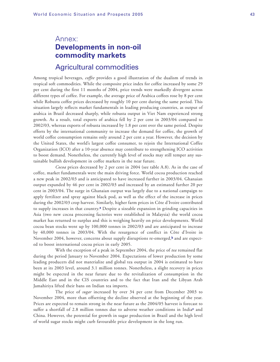## Annex: **Developments in non-oil commodity markets**

### Agricultural commodities

Among tropical beverages, *coffee* provides a good illustration of the dualism of trends in tropical soft commodities. While the composite price index for coffee increased by some 29 per cent during the first 11 months of 2004, price trends were markedly divergent across different types of coffee. For example, the average price of Arabica coffees rose by 8 per cent while Robusta coffee prices decreased by roughly 10 per cent during the same period. This situation largely reflects market fundamentals in leading producing countries, as output of arabica in Brazil decreased sharply, while robusta output in Viet Nam experienced strong growth. As a result, total exports of arabica fell by 2 per cent in 2003/04 compared to 2002/03, whereas exports of robusta increased by 1.8 per cent over the same period. Despite efforts by the international community to increase the demand for coffee, the growth of world coffee consumption remains only around 2 per cent a year. However, the decision by the United States, the world's largest coffee consumer, to rejoin the International Coffee Organization (ICO) after a 10-year absence may contribute to strengthening ICO activities to boost demand. Nonetheless, the currently high level of stocks may still temper any sustainable bullish development in coffee markets in the near future.

*Cocoa* prices decreased by 2 per cent in 2004 (see table A.8). As in the case of coffee, market fundamentals were the main driving force. World cocoa production reached a new peak in 2002/03 and is anticipated to have increased further in 2003/04. Ghanaian output expanded by 46 per cent in 2002/03 and increased by an estimated further 20 per cent in 2003/04. The surge in Ghanaian output was largely due to a national campaign to apply fertilizer and spray against black pod, as well as the effect of the increase in prices during the 2002/03 crop harvest. Similarly, higher farm prices in Côte d'Ivoire contributed to supply increases in that country.**<sup>a</sup>** Despite a sizeable expansion in grinding capacities in Asia (two new cocoa processing factories were established in Malaysia) the world cocoa market has returned to surplus and this is weighing heavily on price developments. World cocoa bean stocks went up by 100,000 tonnes in 2002/03 and are anticipated to increase by 40,000 tonnes in 2003/04. With the resurgence of conflict in Côte d'Ivoire in November 2004, however, concerns about supply disruptions re-emerged,**<sup>b</sup>** and are expected to boost international cocoa prices in early 2005.

With the exception of a peak in September 2004, the price of *tea* remained flat during the period January to November 2004. Expectations of lower production by some leading producers did not materialize and global tea output in 2004 is estimated to have been at its 2003 level, around 3.1 million tonnes. Nonetheless, a slight recovery in prices might be expected in the near future due to the revitalization of consumption in the Middle East and in the CIS countries and to the fact that Iran and the Libyan Arab Jamahiriya lifted their bans on Indian tea imports.

The price of *sugar* increased by over 34 per cent from December 2003 to November 2004, more than offsetting the decline observed at the beginning of the year. Prices are expected to remain strong in the near future as the 2004/05 harvest is forecast to suffer a shortfall of 2.8 million tonnes due to adverse weather conditions in India**<sup>c</sup>** and China. However, the potential for growth in sugar production in Brazil and the high level of world sugar stocks might curb favourable price development in the long run.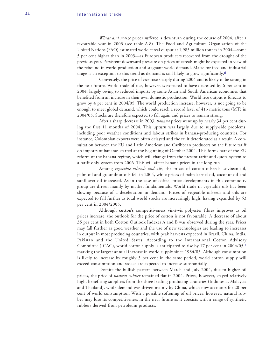*Wheat and maize* prices suffered a downturn during the course of 2004, after a favourable year in 2003 (see table A.8). The Food and Agriculture Organization of the United Nations (FAO) estimated world cereal output at 1,985 million tonnes in 2004—some 5 per cent higher than in 2003—as European producers recovered from the drought of the previous year. Persistent downward pressure on prices of cereals might be expected in view of the rebound in world production and stagnant world demand. Maize for feed and industrial usage is an exception to this trend as demand is still likely to grow significantly.**<sup>d</sup>**

Conversely, the price of *rice* rose sharply during 2004 and is likely to be strong in the near future. World trade of rice, however, is expected to have decreased by 6 per cent in 2004, largely owing to reduced imports by some Asian and South American economies that benefited from an increase in their own domestic production. World rice output is forecast to grow by 4 per cent in 2004/05. The world production increase, however, is not going to be enough to meet global demand, which could reach a record level of 413 metric tons (MT) in 2004/05. Stocks are therefore expected to fall again and prices to remain strong.

After a sharp decrease in 2003, *banana* prices went up by nearly 34 per cent during the first 11 months of 2004. This upturn was largely due to supply-side problems, including poor weather conditions and labour strikes in banana-producing countries. For instance, Colombian exports were often delayed and the fruit deteriorated as a result. A consultation between the EU and Latin American and Caribbean producers on the future tariff on imports of bananas started at the beginning of October 2004*.* This forms part of the EU reform of the banana regime, which will change from the present tariff and quota system to a tariff-only system from 2006. This will affect banana prices in the long run.

Among *vegetable oilseeds and oils*, the prices of cotton oilseeds, soybean oil, palm oil and groundnut oils fell in 2004, while prices of palm kernel oil, coconut oil and sunflower oil increased. As in the case of coffee, price developments in this commodity group are driven mainly by market fundamentals. World trade in vegetable oils has been slowing because of a deceleration in demand. Prices of vegetable oilseeds and oils are expected to fall further as total world stocks are increasingly high, having expanded by 53 per cent in 2004/2005.

Although **cotton's** competitiveness vis-à-vis polyester fibres improves as oil prices increase, the outlook for the price of cotton is not favourable. A decrease of about 35 per cent in both Cotton Outlook Indexes A and B was observed during the year. Prices may fall further as good weather and the use of new technologies are leading to increases in output in most producing countries, with peak harvests expected in Brazil, China, India, Pakistan and the United States. According to the International Cotton Advisory Committee (ICAC), world cotton supply is anticipated to rise by 17 per cent in 2004/05,**<sup>e</sup>** marking the largest annual increase in world supply since 1984/85. Although consumption is likely to increase by roughly 3 per cent in the same period, world cotton supply will exceed consumption and stocks are expected to increase substantially.

Despite the bullish pattern between March and July 2004, due to higher oil prices, the price of *natural rubber* remained flat in 2004. Prices, however, stayed relatively high, benefiting suppliers from the three leading producing countries (Indonesia, Malaysia and Thailand), while demand was driven mainly by China, which now accounts for 20 per cent of world consumption. With a possible softening of oil prices, however, natural rubber may lose its competitiveness in the near future as it coexists with a range of synthetic rubbers derived from petroleum products.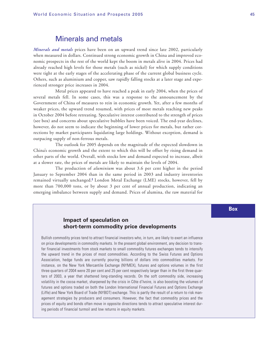### Minerals and metals

*Minerals and metals* prices have been on an upward trend since late 2002, particularly when measured in dollars. Continued strong economic growth in China and improved economic prospects in the rest of the world kept the boom in metals alive in 2004. Prices had already reached high levels for those metals (such as nickel) for which supply conditions were tight at the early stages of the accelerating phase of the current global business cycle. Others, such as aluminium and copper, saw rapidly falling stocks at a later stage and experienced stronger price increases in 2004.

Metal prices appeared to have reached a peak in early 2004, when the prices of several metals fell. In some cases, this was a response to the announcement by the Government of China of measures to rein in economic growth. Yet, after a few months of weaker prices, the upward trend resumed, with prices of most metals reaching new peaks in October 2004 before retreating. Speculative interest contributed to the strength of prices (see box) and concerns about speculative bubbles have been voiced. The end-year declines, however, do not seem to indicate the beginning of lower prices for metals, but rather corrections by market participants liquidating large holdings. Without exception, demand is outpacing supply of non-ferrous metals.

The outlook for 2005 depends on the magnitude of the expected slowdown in China's economic growth and the extent to which this will be offset by rising demand in other parts of the world. Overall, with stocks low and demand expected to increase, albeit at a slower rate, the prices of metals are likely to maintain the levels of 2004.

The production of *aluminium* was about 3.6 per cent higher in the period January to September 2004 than in the same period in 2003 and industry inventories remained virtually unchanged.**<sup>f</sup>** London Metal Exchange (LME) stocks, however, fell by more than 700,000 tons, or by about 3 per cent of annual production, indicating an emerging imbalance between supply and demand. Prices of alumina, the raw material for

#### **Impact of speculation on short-term commodity price developments**

Bullish commodity prices tend to attract financial investors who, in turn, are likely to exert an influence on price developments in commodity markets. In the present global environment, any decision to transfer financial investments from stock markets to small commodity futures exchanges tends to intensify the upward trend in the prices of most commodities. According to the Swiss Futures and Options Association, hedge funds are currently pouring billions of dollars into commodities markets. For instance, on the New York Mercantile Exchange (NYMEX), futures and options volumes in the first three quarters of 2004 were 20 per cent and 25 per cent respectively larger than in the first three quarters of 2003, a year that shattered long-standing records. On the soft commodity side, increasing volatility in the cocoa market, sharpened by the crisis in Côte d'Ivoire, is also boosting the volumes of futures and options traded on both the London International Financial Futures and Options Exchange (Liffe) and New York Board of Trade (NYBOT) exchange. This is partly the result of a return to risk management strategies by producers and consumers. However, the fact that commodity prices and the prices of equity and bonds often move in opposite directions tends to attract speculative interest during periods of financial turmoil and low returns in equity markets.

**Box**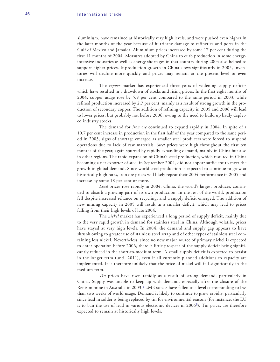aluminium, have remained at historically very high levels, and were pushed even higher in the later months of the year because of hurricane damage to refineries and ports in the Gulf of Mexico and Jamaica. Aluminium prices increased by some 17 per cent during the first 11 months of 2004. Measures adopted by China to curb production in some energyintensive industries as well as energy shortages in that country during 2004 also helped to support higher prices. If production growth in China slows significantly in 2005, inventories will decline more quickly and prices may remain at the present level or even increase.

The *copper* market has experienced three years of widening supply deficits which have resulted in a drawdown of stocks and rising prices. In the first eight months of 2004, copper usage rose by 5.9 per cent compared to the same period in 2003, while refined production increased by 2.7 per cent, mainly as a result of strong growth in the production of secondary copper. The addition of refining capacity in 2005 and 2006 will lead to lower prices, but probably not before 2006, owing to the need to build up badly depleted industry stocks.

The demand for *iron ore* continued to expand rapidly in 2004. In spite of a 10.7 per cent increase in production in the first half of the year compared to the same period in 2003, signs of shortage emerged as smaller steel producers were forced to suspend operations due to lack of raw materials. *Steel* prices were high throughout the first ten months of the year, again spurred by rapidly expanding demand, mainly in China but also in other regions. The rapid expansion of China's steel production, which resulted in China becoming a net exporter of steel in September 2004, did not appear sufficient to meet the growth in global demand. Since world steel production is expected to continue to grow at historically high rates, iron ore prices will likely repeat their 2004 performance in 2005 and increase by some 18 per cent or more.

*Lead* prices rose rapidly in 2004. China, the world's largest producer, continued to absorb a growing part of its own production. In the rest of the world, production fell despite increased reliance on recycling, and a supply deficit emerged. The addition of new mining capacity in 2005 will result in a smaller deficit, which may lead to prices falling from their high levels of late 2004.

The *nickel* market has experienced a long period of supply deficit, mainly due to the very rapid growth in demand for stainless steel in China. Although volatile, prices have stayed at very high levels. In 2004, the demand and supply gap appears to have shrunk owing to greater use of stainless steel scrap and of other types of stainless steel containing less nickel. Nevertheless, since no new major source of primary nickel is expected to enter operation before 2006, there is little prospect of the supply deficit being significantly reduced in the short-to-medium term. A small supply deficit is expected to persist in the longer term (until 2011), even if all currently planned additions to capacity are implemented. It is therefore unlikely that the price of nickel will fall significantly in the medium term.

*Tin* prices have risen rapidly as a result of strong demand, particularly in China. Supply was unable to keep up with demand, especially after the closure of the Renison mine in Australia in 2003.**<sup>g</sup>** LME stocks have fallen to a level corresponding to less than two weeks of world usage. Demand is likely to continue to grow rapidly, particularly since lead in solder is being replaced by tin for environmental reasons (for instance, the EU is to ban the use of lead in various electronic devices in 2006**<sup>h</sup>**). Tin prices are therefore expected to remain at historically high levels.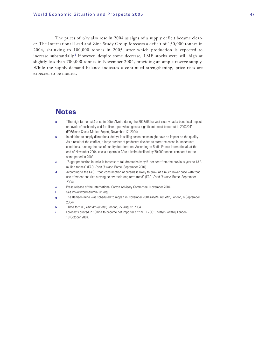The prices of *zinc* also rose in 2004 as signs of a supply deficit became clearer. The International Lead and Zinc Study Group forecasts a deficit of 150,000 tonnes in 2004, shrinking to 100,000 tonnes in 2005, after which production is expected to increase substantially.**<sup>i</sup>** However, despite some decrease, LME stocks were still high at slightly less than 700,000 tonnes in November 2004, providing an ample reserve supply. While the supply-demand balance indicates a continued strengthening, price rises are expected to be modest.

### **Notes**

- **a** "The high farmer (sic) price in Côte d'Ivoire during the 2002/03 harvest clearly had a beneficial impact on levels of husbandry and fertiliser input which gave a significant boost to output in 2003/04" (ED&Fman Cocoa Market Report, November 17, 2004).
- **b** In addition to supply disruptions, delays in selling cocoa beans might have an impact on the quality. As a result of the conflict, a large number of producers decided to store the cocoa in inadequate conditions, running the risk of quality deterioration. According to Radio France International, at the end of November 2004, cocoa exports in Côte d'Ivoire declined by 70,000 tonnes compared to the same period in 2003.
- **c** "Sugar production in India is forecast to fall dramatically by 51per cent from the previous year to 13.8 million tonnes" (FAO, Food Outlook, Rome, September 2004).
- **d** According to the FAO, "food consumption of cereals is likely to grow at a much lower pace with food use of wheat and rice staying below their long term trend" (FAO, Food Outlook, Rome, September 2004).
- Press release of the International Cotton Advisory Committee, November 2004.
- **f** See www.world-aluminium.org
- **g** The Renison mine was scheduled to reopen in November 2004 (Metal Bulletin, London, 6 September 2004).
- **h** "Time for tin", Mining Journal, London, 27 August, 2004.
- Forecasts quoted in "China to become net importer of zinc-ILZSG", Metal Bulletin, London, 18 October 2004.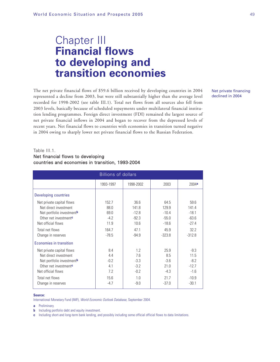# Chapter III **Financial flows to developing and transition economies**

The net private financial flows of \$59.6 billion received by developing countries in 2004 represented a decline from 2003, but were still substantially higher than the average level recorded for 1998-2002 (see table III.1). Total net flows from all sources also fell from 2003 levels, basically because of scheduled repayments under multilateral financial institution lending programmes. Foreign direct investment (FDI) remained the largest source of net private financial inflows in 2004 and began to recover from the depressed levels of recent years. Net financial flows to countries with economies in transition turned negative in 2004 owing to sharply lower net private financial flows to the Russian Federation.

#### Net private financing declined in 2004

#### Table III.1.

#### Net financial flows to developing countries and economies in transition, 1993-2004

| <b>Billions of dollars</b>            |           |           |          |          |  |  |
|---------------------------------------|-----------|-----------|----------|----------|--|--|
|                                       | 1993-1997 | 1998-2002 | 2003     | 2004a    |  |  |
| <b>Developing countries</b>           |           |           |          |          |  |  |
| Net private capital flows             | 152.7     | 36.6      | 64.5     | 59.6     |  |  |
| Net direct investment                 | 88.0      | 141.8     | 129.9    | 141.4    |  |  |
| Net portfolio investment <sup>b</sup> | 69.0      | $-12.8$   | $-10.4$  | $-18.1$  |  |  |
| Other net investment <sup>c</sup>     | $-4.2$    | $-92.3$   | $-55.0$  | $-63.6$  |  |  |
| Net official flows                    | 11.9      | 10.6      | $-18.6$  | $-27.4$  |  |  |
| Total net flows                       | 164.7     | 47.1      | 45.9     | 32.2     |  |  |
| Change in reserves                    | $-78.5$   | $-94.9$   | $-323.8$ | $-312.8$ |  |  |
| Economies in transition               |           |           |          |          |  |  |
| Net private capital flows             | 8.4       | 1.2       | 25.9     | $-9.3$   |  |  |
| Net direct investment                 | 4.4       | 7.6       | 8.5      | 11.5     |  |  |
| Net portfolio investment <sup>b</sup> | $-0.2$    | $-3.3$    | $-3.6$   | $-8.2$   |  |  |
| Other net investment <sup>c</sup>     | 4.1       | $-3.2$    | 21.0     | $-12.7$  |  |  |
| Net official flows                    | 7.2       | $-0.2$    | $-4.3$   | $-1.6$   |  |  |
| Total net flows                       | 15.6      | 1.0       | 21.7     | $-10.9$  |  |  |
| Change in reserves                    | $-4.7$    | $-9.0$    | $-37.0$  | $-30.1$  |  |  |

#### **Source:**

International Monetary Fund (IMF), World Economic Outlook Database, September 2004.

**a** Preliminary.

**b** Including portfolio debt and equity investment.

**c** Including short-and long-term bank lending, and possibly including some official official flows to data limitations.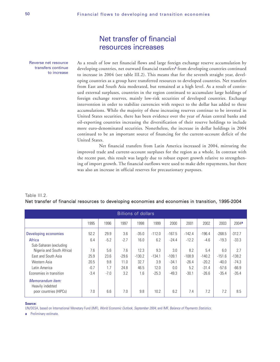### Net transfer of financial resources increases

Reverse net resource transfers continue to increase As a result of low net financial flows and large foreign exchange reserve accumulation by developing countries, net outward financial transfers**<sup>1</sup>** from developing countries continued to increase in 2004 (see table III.2). This means that for the seventh straight year, developing countries as a group have transferred resources to developed countries. Net transfers from East and South Asia moderated, but remained at a high level. As a result of continued external surpluses, countries in the region continued to accumulate large holdings of foreign exchange reserves, mainly low-risk securities of developed countries. Exchange intervention in order to stabilize currencies with respect to the dollar has added to these accumulations. While the majority of these increasing reserves continue to be invested in United States securities, there has been evidence over the year of Asian central banks and oil-exporting countries increasing the diversification of their reserve holdings to include more euro-denominated securities. Nonetheless, the increase in dollar holdings in 2004 continued to be an important source of financing for the current-account deficit of the United States.

Net financial transfers from Latin America increased in 2004, mirroring the improved trade and current-account surpluses for the region as a whole. In contrast with the recent past, this result was largely due to robust export growth relative to strengthening of import growth. The financial outflows were used to make debt repayments, but there was also an increase in official reserves for precautionary purposes.

| Table III.2.                                                                                       |  |
|----------------------------------------------------------------------------------------------------|--|
| Net transfer of financial resources to developing economies and economies in transition, 1995-2004 |  |

| <b>Billions of dollars</b>           |        |        |         |          |          |          |          |          |          |          |
|--------------------------------------|--------|--------|---------|----------|----------|----------|----------|----------|----------|----------|
|                                      | 1995   | 1996   | 1997    | 1998     | 1999     | 2000     | 2001     | 2002     | 2003     | 2004a    |
| Developing economies                 | 52.2   | 29.9   | 3.6     | $-35.0$  | $-112.0$ | $-167.5$ | $-142.4$ | $-196.4$ | $-268.5$ | $-312.7$ |
| Africa<br>Sub-Saharan (excluding     | 6.4    | $-5.2$ | $-2.7$  | 16.0     | 6.2      | $-24.4$  | $-12.2$  | $-4.6$   | $-19.3$  | $-33.3$  |
| Nigeria and South Africa)            | 7.6    | 5.6    | 7.6     | 12.3     | 9.3      | 3.0      | 8.2      | 5.4      | 6.0      | 2.7      |
| East and South Asia                  | 25.9   | 23.6   | $-29.6$ | $-130.2$ | $-134.1$ | $-109.1$ | $-108.9$ | $-140.2$ | $-151.6$ | $-138.2$ |
| Western Asia                         | 20.5   | 9.8    | 11.0    | 32.7     | 3.9      | $-34.1$  | $-26.4$  | $-20.2$  | $-40.0$  | $-74.3$  |
| Latin America                        | $-0.7$ | 1.7    | 24.8    | 46.5     | 12.0     | 0.0      | 5.2      | $-31.4$  | $-57.6$  | $-66.9$  |
| Economies in transition              | $-3.4$ | $-7.0$ | 3.2     | 1.6      | $-25.3$  | $-49.3$  | $-30.1$  | $-26.6$  | $-35.4$  | $-35.4$  |
| Memorandum item:<br>Heavily indebted |        |        |         |          |          |          |          |          |          |          |
| poor countries (HIPCs)               | 7.0    | 6.6    | 7.0     | 9.8      | 10.2     | 6.2      | 7.4      | 7.2      | 7.2      | 8.5      |

#### **Source:**

UN/DESA, based on International Monetary Fund (IMF), World Economic Outlook, September 2004, and IMF, Balance of Payments Statistics.

**a** Preliminary estimate.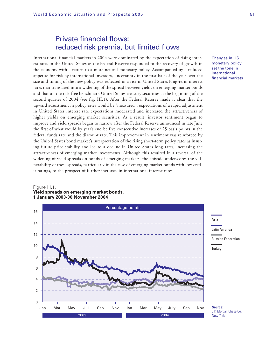### Private financial flows: reduced risk premia, but limited flows

International financial markets in 2004 were dominated by the expectation of rising interest rates in the United States as the Federal Reserve responded to the recovery of growth in the economy with a return to a more neutral monetary policy. Accompanied by a reduced appetite for risk by international investors, uncertainty in the first half of the year over the size and timing of the new policy was reflected in a rise in United States long-term interest rates that translated into a widening of the spread between yields on emerging market bonds and that on the risk-free benchmark United States treasury securities at the beginning of the second quarter of 2004 (see fig. III.1). After the Federal Reserve made it clear that the upward adjustment in policy rates would be "measured", expectations of a rapid adjustment in United States interest rate expectations moderated and increased the attractiveness of higher yields on emerging market securities. As a result, investor sentiment began to improve and yield spreads began to narrow after the Federal Reserve announced in late June the first of what would by year's end be five consecutive increases of 25 basis points in the federal funds rate and the discount rate. This improvement in sentiment was reinforced by the United States bond market's interpretation of the rising short-term policy rates as insuring future price stability and led to a decline in United States long rates, increasing the attractiveness of emerging market investments. Although this resulted in a reversal of the widening of yield spreads on bonds of emerging markets, the episode underscores the vulnerability of these spreads, particularly in the case of emerging market bonds with low credit ratings, to the prospect of further increases in international interest rates.

Changes in US monetary policy set the tone in international financial markets



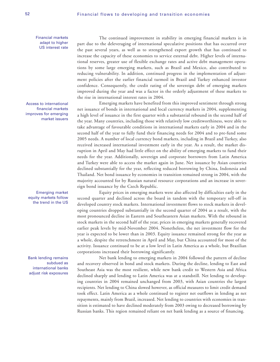Financial markets adapt to higher US interest rate

Access to international financial markets improves for emerging market issuers

Emerging market equity markets follow the trend in the US

Bank lending remains subdued as international banks adjust risk exposures

The continued improvement in stability in emerging financial markets is in part due to the deleveraging of international speculative positions that has occurred over the past several years, as well as to strengthened export growth that has continued to increase the capacity of these economies to service external debt. Higher levels of international reserves, greater use of flexible exchange rates and active debt management operations by some large emerging markets, such as Brazil and Mexico, also contributed to reducing vulnerability. In addition, continued progress in the implementation of adjustment policies after the earlier financial turmoil in Brazil and Turkey enhanced investor confidence. Consequently, the credit rating of the sovereign debt of emerging markets improved during the year and was a factor in the orderly adjustment of these markets to the rise in international interest rates in 2004.

Emerging markets have benefited from this improved sentiment through strong net issuance of bonds in international and local currency markets in 2004, supplementing a high level of issuance in the first quarter with a substantial rebound in the second half of the year. Many countries, including those with relatively low creditworthiness, were able to take advantage of favourable conditions in international markets early in 2004 and in the second half of the year to fully fund their financing needs for 2004 and to pre-fund some 2005 needs. A number of local currency bond markets, including in Brazil and Turkey, also received increased international investment early in the year. As a result, the market disruption in April and May had little effect on the ability of emerging markets to fund their needs for the year. Additionally, sovereign and corporate borrowers from Latin America and Turkey were able to access the market again in June. Net issuance by Asian countries declined substantially for the year, reflecting reduced borrowing by China, Indonesia and Thailand. Net bond issuance by economies in transition remained strong in 2004, with the majority accounted for by Russian natural resource corporations and an increase in sovereign bond issuance by the Czech Republic.

Equity prices in emerging markets were also affected by difficulties early in the second quarter and declined across the board in tandem with the temporary sell-off in developed country stock markets. International investment flows to stock markets in developing countries dropped substantially in the second quarter of 2004 as a result, with the most pronounced decline in Eastern and Southeastern Asian markets. With the rebound in stock markets in the second half of the year, prices in emerging markets generally recovered earlier peak levels by mid-November 2004. Nonetheless, the net investment flow for the year is expected to be lower than in 2003. Equity issuance remained strong for the year as a whole, despite the retrenchment in April and May, but China accounted for most of the activity. Issuance continued to be at a low level in Latin America as a whole, but Brazilian corporations increased their borrowing significantly.

Net bank lending to emerging markets in 2004 followed the pattern of decline and recovery observed in bond and stock markets. During the decline, lending to East and Southeast Asia was the most resilient, while new bank credit to Western Asia and Africa declined sharply and lending to Latin America was at a standstill. Net lending to developing countries in 2004 remained unchanged from 2003, with Asian countries the largest recipients. Net lending to China slowed however, as official measures to limit credit demand took effect. Latin America as a whole continued to register net outflows in lending as net repayments, mainly from Brazil, increased. Net lending to countries with economies in transition is estimated to have declined moderately from 2003 owing to decreased borrowing by Russian banks. This region remained reliant on net bank lending as a source of financing.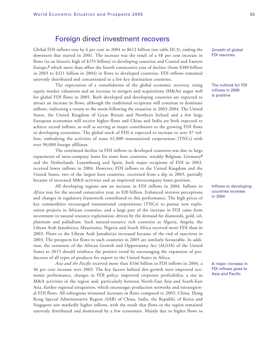### Foreign direct investment recovers

Global FDI inflows rose by 6 per cent in 2004 to \$612 billion (see table III.3), ending the downturn that started in 2001. The increase was the result of a 48 per cent increase in flows (to an historic high of \$255 billion) to developing countries and Central and Eastern Europe,**<sup>2</sup>** which more than offset the fourth consecutive year of decline (from \$380 billion in 2003 to \$321 billion in 2004) in flows to developed countries. FDI inflows remained unevenly distributed and concentrated in a few key destination countries.

The expectation of a consolidation of the global economic recovery, rising equity market valuations and an increase in mergers and acquisitions (M&As) augur well for global FDI flows in 2005. Both developed and developing countries are expected to attract an increase in flows, although the traditional recipients will continue to dominate inflows, indicating a return to the norm following the situation in 2003-2004. The United States, the United Kingdom of Great Britain and Northern Ireland and a few large European economies will receive higher flows and China and India are both expected to achieve record inflows, as well as serving as major contributors to the growing FDI flows to developing economies. The global stock of FDI is expected to increase to over \$7 trillion, embodying the activities of some 61,000 transnational corporations (TNCs) with over 90,000 foreign affiliates.

The continued decline in FDI inflows to developed countries was due to large repayments of intra-company loans for some host countries, notably Belgium, Germany**<sup>3</sup>** and the Netherlands. Luxembourg and Spain, both major recipients of FDI in 2003, received lower inflows in 2004. However, FDI inflows to the United Kingdom and the United States, two of the largest host countries, recovered from a dip in 2003, partially because of increased M&A activities and an improved intracompany loans position.

All developing regions saw an increase in FDI inflows in 2004. Inflows to *Africa* rose for the second consecutive year, to \$20 billion. Enhanced investor perceptions and changes in regulatory framework contributed to this performance. The high prices of key commodities encouraged transnational corporations (TNCs) to pursue new exploration projects in African countries, and a large part of the increase in FDI came from investment in natural resource exploitation, driven by the demand for diamonds, gold, oil, platinum and palladium. Such natural-resource rich countries as Algeria, Angola, the Libyan Arab Jamahiriya, Mauritania, Nigeria and South Africa received more FDI than in 2003. Flows to the Libyan Arab Jamahiriya increased because of the end of sanctions in 2003. The prospects for flows to such countries in 2005 are similarly favourable. In addition, the extension of the African Growth and Opportunity Act (AGOA) of the United States to 2015 should reinforce the positive trend by encouraging the expansion of production of all types of products for export to the United States in Africa.

*Asia and the Pacific* received more than \$166 billion in FDI inflows in 2004, a 46 per cent increase over 2003. The key factors behind this growth were improved economic performance, changes in FDI policy, improved corporate profitability, a rise in M&A activities in the region and, particularly between North-East Asia and South-East Asia, further regional integration, which encourages production networks and intraregional FDI flows. All subregions witnessed increases in flows compared to 2003. China, Hong Kong Special Administrative Region (SAR) of China, India, the Republic of Korea and Singapore saw markedly higher inflows, with the result that flows to the region remained unevenly distributed and dominated by a few economies. Mainly due to higher flows to

Growth of global FDI resumes

The outlook for FDI inflows in 2005 is positive

Inflows to developing countries increase in 2004

A major increase in FDI inflows goes to Asia and Pacific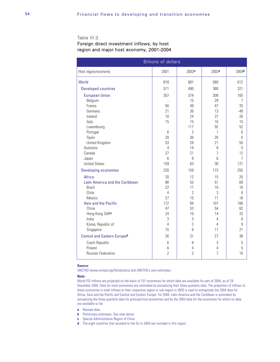#### Table III.3.

#### Foreign direct investment inflows, by host region and major host economy, 2001-2004

| <b>Billions of dollars</b>         |                     |                   |                 |                   |  |  |
|------------------------------------|---------------------|-------------------|-----------------|-------------------|--|--|
| Host region/economy                | 2001                | 2002 <sup>a</sup> | 2003a           | 2004 <sup>b</sup> |  |  |
| World                              | 818                 | 681               | 580             | 612               |  |  |
| <b>Developed countries</b>         | 571                 | 490               | 380             | 321               |  |  |
| <b>European Union</b>              | 357                 | 374               | 308             | 165               |  |  |
| Belgium                            | $\bar{\mathcal{A}}$ | 15                | 29              | $\overline{7}$    |  |  |
| France                             | 50                  | 49                | 47              | 35                |  |  |
| Germany                            | 21                  | 36                | 13              | $-49$             |  |  |
| Ireland                            | 10                  | 24                | 27              | 26                |  |  |
| Italy                              | 15                  | 15                | 16              | 15                |  |  |
| Luxembourg                         | $\ddotsc$           | 117               | 92              | 52                |  |  |
| Portugal                           | 6                   | $\overline{2}$    | $\mathbf{1}$    | 6                 |  |  |
| Spain                              | 28                  | 36                | 26              | 6                 |  |  |
| United Kingdom<br>Australia        | 53<br>4             | 28<br>14          | 21<br>8         | 55<br>5           |  |  |
| Canada                             | 27                  | 21                | 7               | 12                |  |  |
| Japan                              | 6                   | 9                 | 6               | 7                 |  |  |
| <b>United States</b>               | 159                 | 63                | 30              | 121               |  |  |
| <b>Developing economies</b>        | 220                 | 159               | 173             | 255               |  |  |
| Africa                             | 20                  | 12                | 15              | 20                |  |  |
| Latin America and the Caribbean    | 88                  | 53                | 51              | 69                |  |  |
| <b>Brazil</b>                      | 22                  | 17                | 10 <sup>1</sup> | 16                |  |  |
| Chile                              | 4                   | $\overline{2}$    | 3               | 6                 |  |  |
| Mexico                             | 27                  | 15                | 11              | 18                |  |  |
| Asia and the Pacific               | 112                 | 94                | 107             | 166               |  |  |
| China                              | 47                  | 53                | 54              | 62                |  |  |
| Hong Kong SAR <sup>c</sup>         | 24                  | 10                | 14              | 33                |  |  |
| India                              | 3                   | 3                 | 4               | 6                 |  |  |
| Korea, Republic of                 | $\overline{4}$      | 3                 | $\overline{4}$  | 9                 |  |  |
| Singapore                          | 15                  | 6                 | 11              | 21                |  |  |
| <b>Central and Eastern Europed</b> | 26                  | 31                | 27              | 36                |  |  |
| Czech Republic                     | 6                   | 8                 | 3               | 5                 |  |  |
| Poland                             | 6                   | 4                 | 4               | 5                 |  |  |
| Russian Federation                 | $\overline{2}$      | 3                 | $\overline{7}$  | 10                |  |  |

#### **Source:**

UNCTAD (www.unctad.org/fdistatistics) and UNCTAD's own estimates.

#### **Note:**

World FDI inflows are projected on the basis of 101 economies for which data are available for part of 2004, as of 29 December 2004. Data for most economies are estimated by annualizing their three quarterly data. The proportion of inflows to these economies in total inflows to their respective region or sub-region in 2003 is used to extrapolate the 2004 data for Africa, Asia and the Pacific and Central and Eastern Europe. For 2004, Latin America and the Caribbean is estimated by annualizing the three quarterly data for principal host economies and by the 2003 data for the economies for which no data are available so far.

- **a** Revised data.
- **b** Preliminary estimates. See note above.
- **c** Special Administrative Region of China
- **d** The eight countries that acceded to the EU in 2004 are included in this region.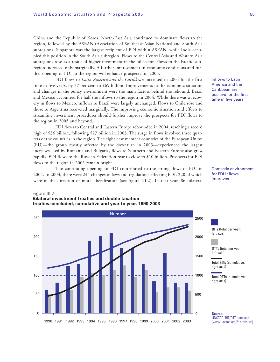China and the Republic of Korea, North-East Asia continued to dominate flows to the region, followed by the ASEAN (Association of Southeast Asian Nations) and South Asia subregions. Singapore was the largest recipient of FDI within ASEAN, while India occupied this position in the South Asia subregion. Flows to the Central Asia and Western Asia subregions rose as a result of higher investment in the oil sector. Flows to the Pacific subregion increased only marginally. A further improvement in economic conditions and further opening to FDI in the region will enhance prospects for 2005.

FDI flows to *Latin America and the Caribbean* increased in 2004 for the first time in five years, by 37 per cent to \$69 billion. Improvements in the economic situation and changes in the policy environment were the main factors behind the rebound. Brazil and Mexico accounted for half the inflows to the region in 2004. While there was a recovery in flows to Mexico, inflows to Brazil were largely unchanged. Flows to Chile rose and those to Argentina recovered marginally. The improving economic situation and efforts to streamline investment procedures should further improve the prospects for FDI flows to the region in 2005 and beyond.

FDI flows to Central and Eastern Europe rebounded in 2004, reaching a record high of \$36 billion, following \$27 billion in 2003. The surge in flows involved three quarters of the countries in the region. The eight new member countries of the European Union (EU)—the group mostly affected by the downturn in 2003—experienced the largest increases. Led by Romania and Bulgaria, flows to Southern and Eastern Europe also grew rapidly. FDI flows to the Russian Federation rose to close to \$10 billion. Prospects for FDI flows to the region in 2005 remain bright.

The continuing opening to FDI contributed to the strong flows of FDI in 2004. In 2003, there were 244 changes in laws and regulations affecting FDI, 220 of which were in the direction of more liberalization (see figure III.2). In that year, 86 bilateral

#### Figure III.2. **Bilateral investment treaties and double taxation treaties concluded, cumulative and year to year, 1990-2003**

America and the Caribbean are positive for the first time in five years

Inflows to Latin

Domestic environment for FDI inflows improves



BITs (total per year: left axis)

DTTs (total per year: left axis)

Total BITs (cumulative: right axis)

Total DTTs (cumulative: right axis)

**Source:** UNCTAD, BIT/DTT database (www. unctad.org/fdistatistics).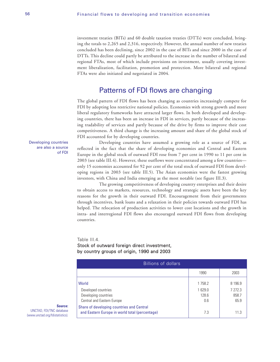investment treaties (BITs) and 60 double taxation treaties (DTTs) were concluded, bringing the totals to 2,265 and 2,316, respectively. However, the annual number of new treaties concluded has been declining, since 2002 in the case of BITs and since 2000 in the case of DTTs. This decline could partly be attributed to the increase in the number of bilateral and regional FTAs, most of which include provisions on investment, usually covering investment liberalization, facilitation, promotion and protection. More bilateral and regional FTAs were also initiated and negotiated in 2004.

### Patterns of FDI flows are changing

The global pattern of FDI flows has been changing as countries increasingly compete for FDI by adopting less restrictive national policies. Economies with strong growth and more liberal regulatory frameworks have attracted larger flows. In both developed and developing countries, there has been an increase in FDI in services, partly because of the increasing tradability of services and partly because of the drive by firms to improve their cost competitiveness. A third change is the increasing amount and share of the global stock of FDI accounted for by developing countries.

Developing countries are also a source of FDI

Developing countries have assumed a growing role as a source of FDI, as reflected in the fact that the share of developing economies and Central and Eastern Europe in the global stock of outward FDI rose from 7 per cent in 1990 to 11 per cent in 2003 (see table III.4). However, these outflows were concentrated among a few countries only 15 economies accounted for 92 per cent of the total stock of outward FDI from developing regions in 2003 (see table III.5). The Asian economies were the fastest growing investors, with China and India emerging as the most notable (see figure III.3).

The growing competitiveness of developing country enterprises and their desire to obtain access to markets, resources, technology and strategic assets have been the key reasons for the growth in their outward FDI. Encouragement from their governments through incentives, bank loans and a relaxation in their policies towards outward FDI has helped. The relocation of production activities to lower cost locations and the growth in intra- and interregional FDI flows also encouraged outward FDI flows from developing countries.

#### Table III.4

#### Stock of outward foreign direct investment, by country groups of origin, 1990 and 2003

| <b>Billions of dollars</b>                                                                  |                        |                          |  |  |  |
|---------------------------------------------------------------------------------------------|------------------------|--------------------------|--|--|--|
|                                                                                             | 1990                   | 2003                     |  |  |  |
| World                                                                                       | 1758.2                 | 8 196.9                  |  |  |  |
| Developed countries<br>Developing countries<br>Central and Eastern Europe                   | 1629.0<br>128.6<br>0.6 | 7 272.3<br>858.7<br>65.9 |  |  |  |
| Share of developing countries and Central<br>and Eastern Europe in world total (percentage) | 7.3                    | 11.3                     |  |  |  |

#### **Source:**

UNCTAD, FDI/TNC database (www.unctad.org/fdistatistics).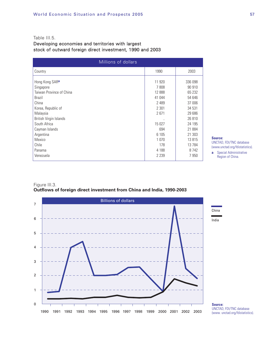#### Table III.5.

#### Developing economies and territories with largest stock of outward foreign direct investment, 1990 and 2003

| Millions of dollars                |         |                  |  |  |  |
|------------------------------------|---------|------------------|--|--|--|
| Country                            | 1990    | 2003             |  |  |  |
| Hong Kong SAR <sup>a</sup>         | 11 920  | 336 098          |  |  |  |
| Singapore                          | 7808    | 90 910           |  |  |  |
| Taiwan Province of China           | 12 888  | 65 232           |  |  |  |
| <b>Brazil</b>                      | 41 044  | 54 646           |  |  |  |
| China                              | 2 4 8 9 | 37 006           |  |  |  |
| Korea, Republic of                 | 2 301   | 34 531           |  |  |  |
| Malaysia<br>British Virgin Islands | 2671    | 29 686<br>26 810 |  |  |  |
| South Africa                       | 15 027  | 24 195           |  |  |  |
| Cayman Islands                     | 694     | 21 884           |  |  |  |
| Argentina                          | 6 1 0 5 | 21 303           |  |  |  |
| Mexico                             | 1 0 7 0 | 13815            |  |  |  |
| Chile                              | 178     | 13784            |  |  |  |
| Panama                             | 4 1 8 8 | 8742             |  |  |  |
| Venezuela                          | 2 2 3 9 | 7950             |  |  |  |

**Source:**

UNCTAD, FDI/TNC database (www.unctad.org/fdistatistics).

**a** Special Administrative

Region of China.

#### Figure III.3. **Outflows of foreign direct investment from China and India, 1990-2003**



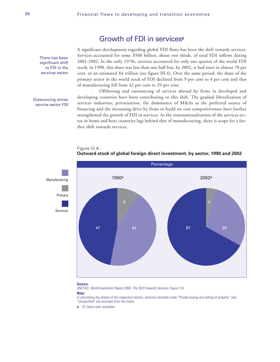### Growth of FDI in services**<sup>4</sup>**

There has been significant shift to FDI in the services sector

#### Outsourcing drives service sector FDI

A significant development regarding global FDI flows has been the shift towards services. Services accounted for some \$500 billion, about two thirds, of total FDI inflows during 2001-2002. In the early 1970s, services accounted for only one quarter of the world FDI stock; in 1990, this share was less than one half but, by 2002, it had risen to almost 70 per cent, or an estimated \$4 trillion (see figure III.4). Over the same period, the share of the primary sector in the world stock of FDI declined from 9 per cent to 4 per cent and that of manufacturing fell from 42 per cent to 29 per cent.

Offshoring and outsourcing of services abroad by firms in developed and developing countries have been contributing to this shift. The gradual liberalization of services industries, privatization, the dominance of M&As as the preferred source of financing and the increasing drive by firms to build on cost competitiveness have further strengthened the growth of FDI in services. As the transnationalization of the services sector in home and host countries lags behind that of manufacturing, there is scope for a further shift towards services.





**Source:**

UNCTAD, World Investment Report 2004: The Shift towards Services, figure I.18.

**Note:**

In calculating the shares of the respective sectors, amounts recorded under "Private buying and selling of property" and "Unspecified" are excluded from the totals.

**a** Or latest year available.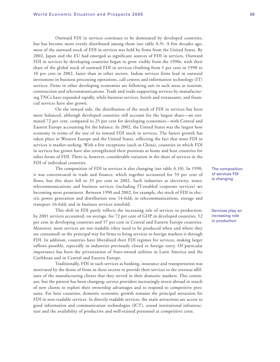Outward FDI in services continues to be dominated by developed countries, but has become more evenly distributed among them (see table A.9). A few decades ago, most of the outward stock of FDI in services was held by firms from the United States. By 2002, Japan and the EU had emerged as significant sources of FDI in services. Outward FDI in services by developing countries began to grow visibly from the 1990s, with their share of the global stock of outward FDI in services climbing from 1 per cent in 1990 to 10 per cent in 2002, faster than in other sectors. Indian services firms lead in outward investment in business processing operations, call centres and information technology (IT) services. Firms in other developing economies are following suit in such areas as tourism, construction and telecommunications. Trade and trade-supporting services by manufacturing TNCs have expanded rapidly, while business services, hotels and restaurants, and financial services have also grown.

On the inward side, the distribution of the stock of FDI in services has been more balanced, although developed countries still account for the largest share—an estimated 72 per cent, compared to 25 per cent for developing economies—with Central and Eastern Europe accounting for the balance. In 2002, the United States was the largest host economy in terms of the size of its inward FDI stock in services. The fastest growth has taken place in Western Europe and the United States, reflecting the fact that most FDI in services is market-seeking. With a few exceptions (such as China), countries in which FDI in services has grown have also strengthened their positions as home and host countries for other forms of FDI. There is, however, considerable variation in the share of services in the FDI of individual countries.

The composition of FDI in services is also changing (see table A.10). In 1990, it was concentrated in trade and finance, which together accounted for 59 per cent of flows, but this share fell to 35 per cent in 2002. Such industries as electricity, water, telecommunications and business services (including IT-enabled corporate services) are becoming more prominent. Between 1990 and 2002, for example, the stock of FDI in electric power generation and distribution rose 14-fold; in telecommunications, storage and transport 16-fold; and in business services ninefold.

This shift in FDI partly reflects the increasing role of services in production: by 2001 services accounted, on average, for 72 per cent of GDP in developed countries, 52 per cent in developing countries and 57 per cent in Central and Eastern Europe countries. Moreover, most services are not tradable (they need to be produced when and where they are consumed) so the principal way for firms to bring services to foreign markets is through FDI. In addition, countries have liberalized their FDI regimes for services, making larger inflows possible, especially in industries previously closed to foreign entry. Of particular importance has been the privatization of State-owned utilities in Latin America and the Caribbean and in Central and Eastern Europe.

Traditionally, FDI in such services as banking, insurance and transportation was motivated by the desire of firms in these sectors to provide their services to the overseas affiliates of the manufacturing clients that they served in their domestic markets. This continues, but the pattern has been changing: service providers increasingly invest abroad in search of new clients to exploit their ownership advantages and to respond to competitive pressures. For host countries, domestic economic growth remains the principal attraction for FDI in non-tradable services. In directly tradable services, the main attractions are access to good information and communication technologies (ICT), sound institutional infrastructure and the availability of productive and well-trained personnel at competitive costs.

The composition of services FDI is changing

Services play an increasing role in production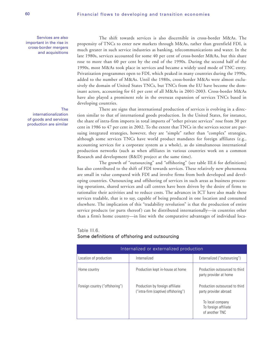Services are also important in the rise in cross-border mergers and acquisitions

### The

internationalization of goods and services production are similar

The shift towards services is also discernible in cross-border M&As. The propensity of TNCs to enter new markets through M&As, rather than greenfield FDI, is much greater in such service industries as banking, telecommunications and water. In the late 1980s, services accounted for some 40 per cent of cross-border M&As, but this share rose to more than 60 per cent by the end of the 1990s. During the second half of the 1990s, most M&As took place in services and became a widely used mode of TNC entry. Privatization programmes open to FDI, which peaked in many countries during the 1990s, added to the number of M&As. Until the 1980s, cross-border M&As were almost exclusively the domain of United States TNCs, but TNCs from the EU have become the dominant actors, accounting for 61 per cent of all M&As in 2001-2003. Cross-border M&As have also played a prominent role in the overseas expansion of services TNCs based in developing countries.

There are signs that international production of services is evolving in a direction similar to that of international goods production. In the United States, for instance, the share of intra-firm imports in total imports of "other private services" rose from 30 per cent in 1986 to 47 per cent in 2002. To the extent that TNCs in the services sector are pursuing integrated strategies, however, they are "simple" rather than "complex" strategies, although some services TNCs have world product mandates for foreign affiliates (e.g., accounting services for a corporate system as a whole), as do simultaneous international production networks (such as when affiliates in various countries work on a common Research and development (R&D) project at the same time).

The growth of "outsourcing" and "offshoring" (see table III.6 for definitions) has also contributed to the shift of FDI towards services. These relatively new phenomena are small in value compared with FDI and involve firms from both developed and developing countries. Outsourcing and offshoring of services in such areas as business processing operations, shared services and call centres have been driven by the desire of firms to rationalize their activities and to reduce costs. The advances in ICT have also made these services tradable, that is to say, capable of being produced in one location and consumed elsewhere. The implication of this "tradability revolution" is that the production of entire service products (or parts thereof) can be distributed internationally—in countries other than a firm's home country—in line with the comparative advantages of individual loca-

#### Table III.6.

### Some definitions of offshoring and outsourcing

| Internalized or externalized production |                                                                        |                                                            |
|-----------------------------------------|------------------------------------------------------------------------|------------------------------------------------------------|
| Location of production                  | Internalized                                                           | Externalized ("outsourcing")                               |
| Home country                            | Production kept in-house at home                                       | Production outsourced to third<br>party provider at home   |
| Foreign country ("offshoring")          | Production by foreign affiliate<br>("intra-firm (captive) offshoring") | Production outsourced to third<br>party provider abroad:   |
|                                         |                                                                        | To local company<br>To foreign affiliate<br>of another TNC |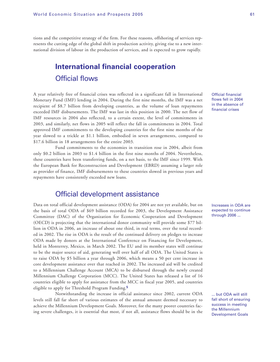tions and the competitive strategy of the firm. For these reasons, offshoring of services represents the cutting edge of the global shift in production activity, giving rise to a new international division of labour in the production of services, and is expected to grow rapidly.

# **International financial cooperation** Official flows

A year relatively free of financial crises was reflected in a significant fall in International Monetary Fund (IMF) lending in 2004. During the first nine months, the IMF was a net recipient of \$8.7 billion from developing countries, as the volume of loan repayments exceeded IMF disbursements. The IMF was last in this position in 2000. The net flow of IMF resources in 2004 also reflected, to a certain extent, the level of commitments in 2003, and similarly, net flows in 2005 will reflect the fall in commitments in 2004. Total approved IMF commitments to the developing countries for the first nine months of the year slowed to a trickle at \$1.1 billion, embodied in seven arrangements, compared to \$17.6 billion in 18 arrangements for the entire 2003.

Fund commitments to the economies in transition rose in 2004, albeit from only \$0.2 billion in 2003 to \$1.4 billion in the first nine months of 2004. Nevertheless, these countries have been transferring funds, on a net basis, to the IMF since 1999. With the European Bank for Reconstruction and Development (EBRD) assuming a larger role as provider of finance, IMF disbursements to these countries slowed in previous years and repayments have consistently exceeded new loans.

### Official development assistance

Data on total official development assistance (ODA) for 2004 are not yet available, but on the basis of total ODA of \$69 billion recorded for 2003, the Development Assistance Committee (DAC) of the Organization for Economic Cooperation and Development (OECD) is projecting that the international donor community will provide some \$77 billion in ODA in 2006, an increase of about one third, in real terms, over the total recorded in 2002. The rise in ODA is the result of the continued delivery on pledges to increase ODA made by donors at the International Conference on Financing for Development, held in Monterrey, Mexico, in March 2002. The EU and its member states will continue to be the major source of aid, generating well over half of all ODA. The United States is to raise ODA by \$5 billion a year through 2006, which means a 50 per cent increase in core development assistance over that reached in 2002. The increased aid will be credited to a Millennium Challenge Account (MCA) to be disbursed through the newly created Millennium Challenge Corporation (MCC). The United States has released a list of 16 countries eligible to apply for assistance from the MCC in fiscal year 2005, and countries eligible to apply for Threshold Program Funding.**<sup>5</sup>**

Notwithstanding the increase in official assistance since 2002, current ODA levels still fall far short of various estimates of the annual amount deemed necessary to achieve the Millennium Development Goals. Moreover, for the many poorer countries facing severe challenges, it is essential that most, if not all, assistance flows should be in the Official financial flows fell in 2004 in the absence of financial crises

Increases in ODA are expected to continue through 2006 ...

... but ODA will still fall short of ensuring success in meeting the Millennium Development Goals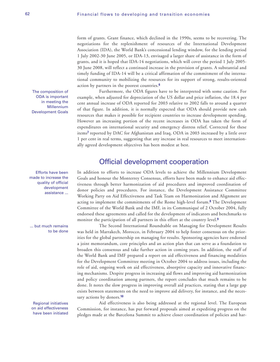form of grants. Grant finance, which declined in the 1990s, seems to be recovering. The negotiations for the replenishment of resources of the International Development Association (IDA), the World Bank's concessional lending window, for the lending period 1 July 2002-30 June 2005, or IDA-13, envisaged a larger share of assistance in the form of grants, and it is hoped that IDA-14 negotiations, which will cover the period 1 July 2005- 30 June 2008, will reflect a continued increase in the provision of grants. A substantial and timely funding of IDA-14 will be a critical affirmation of the commitment of the international community to mobilizing the resources for its support of strong, results-oriented action by partners in the poorest countries.**<sup>6</sup>**

Furthermore, the ODA figures have to be interpreted with some caution. For example, when adjusted for depreciation of the US dollar and price inflation, the 18.4 per cent annual increase of ODA reported for 2003 relative to 2002 falls to around a quarter of that figure. In addition, it is normally expected that ODA should provide new cash resources that makes it possible for recipient countries to increase development spending. However an increasing portion of the recent increases in ODA has taken the form of expenditures on international security and emergency distress relief. Corrected for these items**<sup>7</sup>** reported by DAC for Afghanistan and Iraq, ODA in 2003 increased by a little over 1 per cent in real terms, suggesting that any increase in real resources to meet internationally agreed development objectives has been modest at best.

### Official development cooperation

In addition to efforts to increase ODA levels to achieve the Millennium Development Goals and honour the Monterrey Consensus, efforts have been made to enhance aid effectiveness through better harmonization of aid procedures and improved coordination of donor policies and procedures. For instance, the Development Assistance Committee Working Party on Aid Effectiveness and Task Team on Harmonization and Alignment are acting to implement the commitments of the Rome high-level forum.**<sup>8</sup>** The Development Committee of the World Bank and the IMF, in its Communiqué of 2 October 2004, fully endorsed these agreements and called for the development of indicators and benchmarks to monitor the participation of all partners in this effort at the country level.**<sup>9</sup>**

The Second International Roundtable on Managing for Development Results was held in Marrakech, Morocco, in February 2004 to help foster consensus on the priorities for the global partnership on managing for results. Sponsoring agencies have endorsed a joint memorandum, core principles and an action plan that can serve as a foundation to broaden this consensus and take further action in coming years. In addition, the staff of the World Bank and IMF prepared a report on aid effectiveness and financing modalities for the Development Committee meeting in October 2004 to address issues, including the role of aid, ongoing work on aid effectiveness, absorptive capacity and innovative financing mechanisms. Despite progress in increasing aid flows and improving aid harmonization and policy coordination among partners, the report concludes that much remains to be done. It notes the slow progress in improving overall aid practices, stating that a large gap exists between statements on the need to improve aid delivery, for instance, and the necessary actions by donors.**<sup>10</sup>**

Aid effectiveness is also being addressed at the regional level. The European Commission, for instance, has put forward proposals aimed at expediting progress on the pledges made at the Barcelona Summit to achieve closer coordination of policies and har-

The composition of ODA is important in meeting the Millennium Development Goals

Efforts have been made to increase the quality of official development assistance ...

... but much remains to be done

Regional initiatives on aid effectiveness have been initiated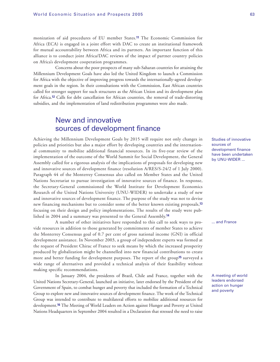### monization of aid procedures of EU member States.**<sup>11</sup>** The Economic Commission for Africa (ECA) is engaged in a joint effort with DAC to create an institutional framework for mutual accountability between Africa and its partners. An important function of this alliance is to conduct joint Africa/DAC reviews of the impact of partner country policies on Africa's development cooperation programmes.

Concerns about the poor prospects of many sub-Saharan countries for attaining the Millennium Development Goals have also led the United Kingdom to launch a Commission for Africa with the objective of improving progress towards the internationally-agreed development goals in the region. In their consultations with the Commission, East African countries called for stronger support for such structures as the African Union and its development plan for Africa.**<sup>12</sup>** Calls for debt cancellation for African countries, the removal of trade-distorting subsidies, and the implementation of land redistribution programmes were also made.

### New and innovative sources of development finance

Achieving the Millennium Development Goals by 2015 will require not only changes in policies and priorities but also a major effort by developing countries and the international community to mobilize additional financial resources. In its five-year review of the implementation of the outcome of the World Summit for Social Development, the General Assembly called for a rigorous analysis of the implications of proposals for developing new and innovative sources of development finance (resolution A/RES/S-24/2 of 1 July 2000). Paragraph 44 of the Monterrey Consensus also called on Member States and the United Nations Secretariat to pursue investigation of innovative sources of finance. In response, the Secretary-General commissioned the World Institute for Development Economics Research of the United Nations University (UNU-WIDER) to undertake a study of new and innovative sources of development finance. The purpose of the study was not to devise new financing mechanisms but to consider some of the better known existing proposals,**<sup>13</sup>** focusing on their design and policy implementations. The results of the study were published in 2004 and a summary was presented to the General Assembly.**<sup>14</sup>**

A number of other initiatives have responded to this call to seek ways to provide resources in addition to those generated by commitments of member States to achieve the Monterrey Consensus goal of 0.7 per cent of gross national income (GNI) in official development assistance. In November 2003, a group of independent experts was formed at the request of President Chirac of France to seek means by which the increased prosperity produced by globalization might be channelled into new financial contributions to create more and better funding for development purposes. The report of the group**<sup>15</sup>** surveyed a wide range of alternatives and provided a technical analysis of their feasibility without making specific recommendations.

In January 2004, the presidents of Brazil, Chile and France, together with the United Nations Secretary-General, launched an initiative, later endorsed by the President of the Government of Spain, to combat hunger and poverty that included the formation of a Technical Group to explore new and innovative sources of development finance. The work of the Technical Group was intended to contribute to multilateral efforts to mobilize additional resources for development.**<sup>16</sup>** The Meeting of World Leaders on Action against Hunger and Poverty at United Nations Headquarters in September 2004 resulted in a Declaration that stressed the need to raise Studies of innovative sources of development finance have been undertaken by UNU-WIDER ...

... and France

A meeting of world leaders endorsed action on hunger and poverty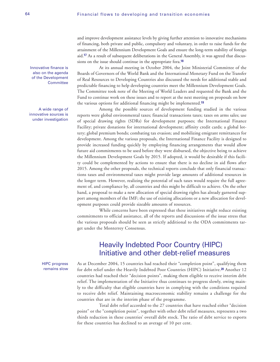and improve development assistance levels by giving further attention to innovative mechanisms of financing, both private and public, compulsory and voluntary, in order to raise funds for the attainment of the Millennium Development Goals and ensure the long-term stability of foreign aid.**<sup>17</sup>** As a result of subsequent deliberations in the General Assembly, it was agreed that discussions on the issue should continue in the appropriate fora.**<sup>18</sup>**

At its annual meeting in October 2004, the Joint Ministerial Committee of the Boards of Governors of the World Bank and the International Monetary Fund on the Transfer of Real Resources to Developing Countries also discussed the needs for additional stable and predictable financing to help developing countries meet the Millennium Development Goals. The Committee took note of the Meeting of World Leaders and requested the Bank and the Fund to continue work on these issues and to report at the next meeting on proposals on how the various options for additional financing might be implemented.**<sup>19</sup>**

Among the possible sources of development funding studied in the various reports were global environmental taxes; financial transactions taxes; taxes on arms sales; use of special drawing rights (SDRs) for development purposes; the International Finance Facility; private donations for international development; affinity credit cards; a global lottery; global premium bonds; combating tax evasion; and mobilizing emigrant remittances for development. Among the various proposals, the International Finance Facility is designed to provide increased funding quickly by employing financing arrangements that would allow future aid commitments to be used before they were disbursed, the objective being to achieve the Millennium Development Goals by 2015. If adopted, it would be desirable if this facility could be complemented by actions to ensure that there is no decline in aid flows after 2015. Among the other proposals, the technical reports conclude that only financial transactions taxes and environmental taxes might provide large amounts of additional resources in the longer term. However, realizing the potential of such taxes would require the full agreement of, and compliance by, all countries and this might be difficult to achieve. On the other hand, a proposal to make a new allocation of special drawing rights has already garnered support among members of the IMF; the use of existing allocations or a new allocation for development purposes could provide sizeable amounts of resources.

While concerns have been expressed that these initiatives might reduce existing commitments to official assistance, all of the reports and discussions of the issue stress that the various proposals should be seen as strictly additional to the ODA commitments target under the Monterrey Consensus.

## Heavily Indebted Poor Country (HIPC) Initiative and other debt-relief measures

As at December 2004, 15 countries had reached their "completion point", qualifying them for debt relief under the Heavily Indebted Poor Countries (HIPC) Initiative.**<sup>20</sup>** Another 12 countries had reached their "decision points", making them eligible to receive interim debt relief. The implementation of the Initiative thus continues to progress slowly, owing mainly to the difficulty that eligible countries have in complying with the conditions required to receive debt relief. Maintaining macroeconomic stability remains a challenge for the countries that are in the interim phase of the programme.

Total debt relief accorded to the 27 countries that have reached either "decision point" or the "completion point", together with other debt relief measures, represents a two thirds reduction in these countries' overall debt stock. The ratio of debt service to exports for these countries has declined to an average of 10 per cent.

Innovative finance is also on the agenda of the Development **Committee** 

A wide range of innovative sources is under investigation

> HIPC progress remains slow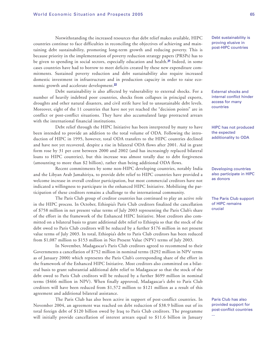### Notwithstanding the increased resources that debt relief makes available, HIPC countries continue to face difficulties in reconciling the objectives of achieving and maintaining debt sustainability, promoting long-term growth and reducing poverty. This is because priority in the implementation of poverty reduction strategy papers (PRSPs) has to be given to spending in social sectors, especially education and health.**<sup>21</sup>** Indeed, in some cases countries have had to borrow to meet deficits created by these new expenditure commitments. Sustained poverty reduction and debt sustainability also require increased domestic investment in infrastructure and in production capacity in order to raise economic growth and accelerate development.**<sup>22</sup>**

Debt sustainability is also affected by vulnerability to external shocks. For a number of heavily indebted poor countries, shocks from collapses in principal exports, droughts and other natural disasters, and civil strife have led to unsustainable debt levels. Moreover, eight of the 11 countries that have not yet reached the "decision points" are in conflict or post-conflict situations. They have also accumulated large protracted arrears with the international financial institutions.

Debt relief through the HIPC Initiative has been interpreted by many to have been intended to provide an addition to the total volume of ODA. Following the introduction of HIPC in 1995, however, total ODA transfers to the HIPC countries declined and have not yet recovered, despite a rise in bilateral ODA flows after 2001. Aid in grant form rose by 31 per cent between 2000 and 2002 (and has increasingly replaced bilateral loans to HIPC countries), but this increase was almost totally due to debt forgiveness (amounting to more than \$2 billion), rather than being additional ODA flows.

Recent commitments by some non-HIPC developing countries, notably India and the Libyan Arab Jamahiriya, to provide debt relief to HIPC countries have provided a welcome increase in overall creditor participation, but most commercial creditors have not indicated a willingness to participate in the enhanced HIPC Initiative. Mobilizing the participation of these creditors remains a challenge to the international community.

The Paris Club group of creditor countries has continued to play an active role in the HIPC process. In October, Ethiopia's Paris Club creditors finalized the cancellation of \$758 million in net present value terms of July 2003 representing the Paris Club's share of the effort in the framework of the Enhanced HIPC Initiative. Most creditors also committed on a bilateral basis to grant additional debt relief to Ethiopia so that the stock of the debt owed to Paris Club creditors will be reduced by a further \$176 million in net present value terms of July 2003. In total, Ethiopia's debt to Paris Club creditors has been reduced from \$1,087 million to \$153 million in Net Present Value (NPV) terms of July 2003.

In November, Madagascar's Paris Club creditors agreed to recommend to their Governments a cancellation of \$752 million in nominal terms (\$292 million in NPV terms as of January 2000) which represents the Paris Club's corresponding share of the effort in the framework of the Enhanced HIPC Initiative. Most creditors also committed on a bilateral basis to grant substantial additional debt relief to Madagascar so that the stock of the debt owed to Paris Club creditors will be reduced by a further \$699 million in nominal terms (\$466 million in NPV). When finally approved, Madagascar's debt to Paris Club creditors will have been reduced from \$1,572 million to \$121 million as a result of this agreement and additional bilateral assistance.

The Paris Club has also been active in support of post-conflict countries. In November 2004, an agreement was reached on debt reduction of \$38.9 billion out of its total foreign debt of \$120 billion owed by Iraq to Paris Club creditors. The programme will initially provide cancellation of interest arrears equal to \$11.6 billion in January Debt sustainability is proving elusive in post-HIPC countries

External shocks and internal conflict hinder access for many countries

HIPC has not produced the expected additionality to ODA

Developing countries also participate in HIPC as donors

The Paris Club support of HIPC remains crucial

Paris Club has also provided support for post-conflict countries ...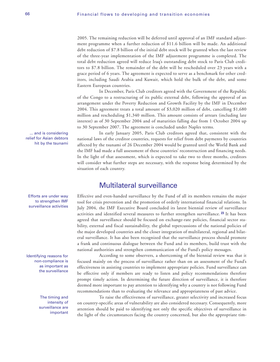2005. The remaining reduction will be deferred until approval of an IMF standard adjustment programme when a further reduction of \$11.6 billion will be made. An additional debt reduction of \$7.8 billion of the initial debt stock will be granted when the last review of the three-year implementation of the IMF adjustment programme is completed. The total debt reduction agreed will reduce Iraq's outstanding debt stock to Paris Club creditors to \$7.8 billion. The remainder of the debt will be rescheduled over 23 years with a grace period of 6 years. The agreement is expected to serve as a benchmark for other creditors, including Saudi Arabia and Kuwait, which hold the bulk of the debt, and some Eastern European countries.

In December, Paris Club creditors agreed with the Government of the Republic of the Congo to a restructuring of its public external debt, following the approval of an arrangement under the Poverty Reduction and Growth Facility by the IMF in December 2004. This agreement treats a total amount of \$3,020 million of debt, cancelling \$1,680 million and rescheduling \$1,340 million. This amount consists of arrears (including late interest) as of 30 September 2004 and of maturities falling due from 1 October 2004 up to 30 September 2007. The agreement is concluded under Naples terms.

In early January 2005, Paris Club creditors agreed that, consistent with the national laws of the creditor countries, requests for relief from debt payments by countries affected by the tsunami of 26 December 2004 would be granted until the World Bank and the IMF had made a full assessment of these countries' reconstruction and financing needs. In the light of that assessment, which is expected to take two to three months, creditors will consider what further steps are necessary, with the response being determined by the situation of each country.

### Multilateral surveillance

Effective and even-handed surveillance by the Fund of all its members remains the major tool for crisis prevention and the promotion of orderly international financial relations. In July 2004, the IMF Executive Board concluded its latest biennial review of surveillance activities and identified several measures to further strengthen surveillance. **<sup>23</sup>** It has been agreed that surveillance should be focused on exchange-rate policies, financial sector stability, external and fiscal sustainability, the global repercussions of the national policies of the major developed countries and the closer integration of multilateral, regional and bilateral surveillance. It has also been recognized that the surveillance process should promote a frank and continuous dialogue between the Fund and its members, build trust with the national authorities and strengthen communication of the Fund's policy messages.

According to some observers, a shortcoming of the biennial review was that it focused mainly on the process of surveillance rather than on an assessment of the Fund's effectiveness in assisting countries to implement appropriate policies. Fund surveillance can be effective only if members are ready to listen and policy recommendations therefore prompt timely action. In determining the future direction of surveillance, it is therefore deemed more important to pay attention to identifying why a country is not following Fund recommendations than to evaluating the relevance and appropriateness of past advice.

To raise the effectiveness of surveillance, greater selectivity and increased focus on country-specific areas of vulnerability are also considered necessary. Consequently, more attention should be paid to identifying not only the specific objectives of surveillance in the light of the circumstances facing the country concerned, but also the appropriate tim-

Efforts are under way to strengthen IMF surveillance activities

... and is considering relief for Asian debtors hit by the tsunami

Identifying reasons for non-compliance is as important as the surveillance

> The timing and intensity of surveillance are important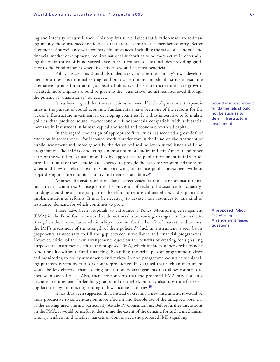ing and intensity of surveillance. This requires surveillance that is tailor-made to addressing mainly those macroeconomic issues that are relevant in each member country. Better alignment of surveillance with country circumstances, including the stage of economic and financial market development, requires national authorities to be more active in determining the main thrust of Fund surveillance in their countries. This includes providing guidance to the Fund on areas where its activities would be most beneficial.

Policy discussions should also adequately capture the country's own development priorities, institutional setting, and political economy and should strive to examine alternative options for attaining a specified objective. To ensure that reforms are growthoriented, more emphasis should be given to the "qualitative" adjustment achieved through the pursuit of "quantitative" objectives.

It has been argued that the restrictions on overall levels of government expenditures in the pursuit of sound economic fundamentals have been one of the reasons for the lack of infrastructure investment in developing countries. It is thus imperative to formulate policies that produce sound macroeconomic fundamentals compatible with substantial increases in investment in human capital and social and economic overhead capital.

In this regard, the design of appropriate fiscal rules has received a great deal of attention in recent years. For instance, work is under way in the Fund on the treatment of public investment and, more generally, the design of fiscal policy in surveillance and Fund programmes. The IMF is conducting a number of pilot studies in Latin America and other parts of the world to evaluate more flexible approaches to public investment in infrastructure. The results of these studies are expected to provide the basis for recommendations on when and how to relax constraints on borrowing to finance public investment without jeopardizing macroeconomic stability and debt sustainability.**<sup>24</sup>**

Another dimension of surveillance effectiveness is the extent of institutional capacities in countries. Consequently, the provision of technical assistance for capacitybuilding should be an integral part of the effort to reduce vulnerabilities and support the implementation of reforms. It may be necessary to devote more resources to this kind of assistance, demand for which continues to grow.

There have been proposals to introduce a Policy Monitoring Arrangement (PMA) in the Fund for countries that do not need a borrowing arrangement but want to strengthen their surveillance relationship or obtain, for the benefit of markets and donors, the IMF's assessment of the strength of their policies.**<sup>25</sup>** Such an instrument is seen by its proponents as necessary to fill the gap between surveillance and financial programmes. However, critics of the new arrangements question the benefits of creating for signalling purposes an instrument such as the proposed PMA, which includes upper credit tranche conditionality without Fund financing. Extending the principles of programme reviews and monitoring to policy assessments and reviews in non-programme countries for signaling purposes is seen by critics as counterproductive. It is argued that such an instrument would be less effective than existing precautionary arrangements that allow countries to borrow in case of need. Also, there are concerns that the proposed PMA may not only become a requirement for lending, grants and debt relief, but may also substitute for existing facilities by minimizing lending to low-income countries.**<sup>26</sup>**

It has thus been suggested that, instead of creating a new instrument, it would be more productive to concentrate on more efficient and flexible use of the untapped potential of the existing mechanisms, particularly Article IV Consultations. Before further discussions on the PMA, it would be useful to determine the extent of the demand for such a mechanism among members, and whether markets or donors need the proposed IMF signalling.

Sound macroeconomic fundamentals should not be such as to deter infrastructure investment

A proposed Policy **Monitoring** Arrangement raises questions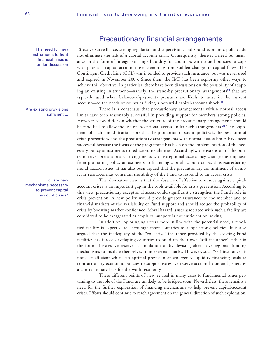The need for new instruments to fight financial crisis is under discussion

Are existing provisions sufficient ...

... or are new mechanisms necessary to prevent capital account crises? Effective surveillance, strong regulation and supervision, and sound economic policies do not eliminate the risk of a capital-account crisis. Consequently, there is a need for insurance in the form of foreign exchange liquidity for countries with sound policies to cope with potential capital-account crises stemming from sudden changes in capital flows. The Contingent Credit Line (CCL) was intended to provide such insurance, but was never used and expired in November 2003. Since then, the IMF has been exploring other ways to achieve this objective. In particular, there have been discussions on the possibility of adapting an existing instrument—namely, the stand-by precautionary arrangements**<sup>27</sup>** that are typically used when balance-of-payments pressures are likely to arise in the current account—to the needs of countries facing a potential capital-account shock.**<sup>28</sup>**

Precautionary financial arrangements

There is a consensus that precautionary arrangements within normal access limits have been reasonably successful in providing support for members' strong policies. However, views differ on whether the structure of the precautionary arrangements should be modified to allow the use of exceptional access under such arrangements.**<sup>29</sup>** The opponents of such a modification note that the promotion of sound policies is the best form of crisis prevention, and the precautionary arrangements with normal access limits have been successful because the focus of the programme has been on the implementation of the necessary policy adjustments to reduce vulnerabilities. Accordingly, the extension of the policy to cover precautionary arrangements with exceptional access may change the emphasis from promoting policy adjustments to financing capital-account crises, thus exacerbating moral hazard issues. It has also been argued that the precautionary commitment of significant resources may constrain the ability of the Fund to respond to an actual crisis.

The alternative view is that the absence of effective insurance against capitalaccount crises is an important gap in the tools available for crisis prevention. According to this view, precautionary exceptional access could significantly strengthen the Fund's role in crisis prevention. A new policy would provide greater assurances to the member and to financial markets of the availability of Fund support and should reduce the probability of crisis by boosting market confidence. Moral hazard issues associated with such a facility are considered to be exaggerated as empirical support is not sufficient or lacking.

In addition, by bringing access more in line with the potential need, a modified facility is expected to encourage more countries to adopt strong policies. It is also argued that the inadequacy of the "collective" insurance provided by the existing Fund facilities has forced developing countries to build up their own "self insurance" either in the form of excessive reserve accumulation or by devising alternative regional funding mechanisms to insulate themselves from external shocks. However, such "self-insurance" is not cost efficient when sub-optimal provision of emergency liquidity financing leads to contractionary economic policies to support excessive reserve accumulation and generates a contractionary bias for the world economy.

These different points of view, related in many cases to fundamental issues pertaining to the role of the Fund, are unlikely to be bridged soon. Nevertheless, there remains a need for the further exploration of financing mechanisms to help prevent capital-account crises. Efforts should continue to reach agreement on the general direction of such exploration.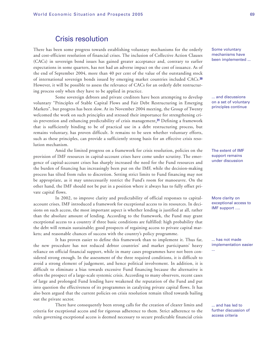### Crisis resolution

There has been some progress towards establishing voluntary mechanisms for the orderly and cost-efficient resolution of financial crises. The inclusion of Collective Action Clauses (CACs) in sovereign bond issues has gained greater acceptance and, contrary to earlier expectations in some quarters, has not had an adverse impact on the cost of issuance. As of the end of September 2004, more than 40 per cent of the value of the outstanding stock of international sovereign bonds issued by emerging market countries included CACs.**<sup>30</sup>** However, it will be possible to assess the relevance of CACs for an orderly debt restructuring process only when they have to be applied in practice.

Some sovereign debtors and private creditors have been attempting to develop voluntary "Principles of Stable Capital Flows and Fair Debt Restructuring in Emerging Markets", but progress has been slow. At its November 2004 meeting, the Group of Twenty welcomed the work on such principles and stressed their importance for strengthening crisis prevention and enhancing predictability of crisis management.**<sup>31</sup>** Defining a framework that is sufficiently binding to be of practical use in a debt restructuring process, but remains voluntary, has proven difficult. It remains to be seen whether voluntary efforts, such as these principles, can provide a sufficiently strong basis for an effective crisis resolution mechanism.

Amid the limited progress on a framework for crisis resolution, policies on the provision of IMF resources in capital-account crises have come under scrutiny. The emergence of capital-account crises has sharply increased the need for the Fund resources and the burden of financing has increasingly been put on the IMF, while the decision-making process has tilted from rules to discretion. Setting strict limits to Fund financing may not be appropriate, as it may unnecessarily restrict the Fund's room for manoeuvre. On the other hand, the IMF should not be put in a position where it always has to fully offset private capital flows.

In 2002, to improve clarity and predictability of official responses to capitalaccount crises, IMF introduced a framework for exceptional access to its resources. In decisions on such access, the most important aspect is whether lending is justified at all, rather than the absolute amount of lending. According to the framework, the Fund may grant exceptional access to a country if three basic conditions are fulfilled: high probability that the debt will remain sustainable; good prospects of regaining access to private capital markets; and reasonable chances of success with the country's policy programme.

It has proven easier to define this framework than to implement it. Thus far, the new procedure has not reduced debtor countries' and market participants' heavy reliance on official financial support, while in many cases programmes have not been considered strong enough. In the assessment of the three required conditions, it is difficult to avoid a strong element of judgement, and hence political involvement. In addition, it is difficult to eliminate a bias towards excessive Fund financing because the alternative is often the prospect of a large-scale systemic crisis. According to many observers, recent cases of large and prolonged Fund lending have weakened the reputation of the Fund and put into question the effectiveness of its programmes in catalyzing private capital flows. It has also been argued that the current policies on crisis resolution remain tilted towards bailing out the private sector.

There have consequently been strong calls for the creation of clearer limits and criteria for exceptional access and for rigorous adherence to them. Strict adherence to the rules governing exceptional access is deemed necessary to secure predictable financial crisis Some voluntary mechanisms have been implemented ...

... and discussions on a set of voluntary principles continue

The extent of IMF support remains under discussion

More clarity on exceptional access to IMF support ….

... has not made implementation easier

...

... and has led to further discussion of access criteria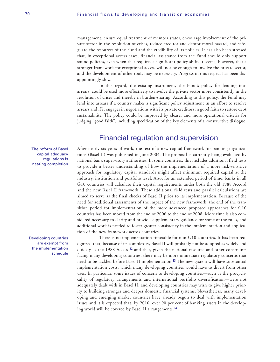management, ensure equal treatment of member states, encourage involvement of the private sector in the resolution of crises, reduce creditor and debtor moral hazard, and safeguard the resources of the Fund and the credibility of its policies. It has also been stressed that, in exceptional access cases, financial assistance from the Fund should only support sound policies, even when that requires a significant policy shift. It seems, however, that a stronger framework for exceptional access will not be enough to involve the private sector, and the development of other tools may be necessary. Progress in this respect has been disappointingly slow.

In this regard, the existing instrument, the Fund's policy for lending into arrears, could be used more effectively to involve the private sector more consistently in the resolution of crises and thereby in burden-sharing. According to this policy, the Fund may lend into arrears if a country makes a significant policy adjustment in an effort to resolve arrears and if it engages in negotiations with its private creditors in good faith to restore debt sustainability. The policy could be improved by clearer and more operational criteria for judging "good faith", including specification of the key elements of a constructive dialogue.

### Financial regulation and supervision

After nearly six years of work, the text of a new capital framework for banking organizations (Basel II) was published in June 2004. The proposal is currently being evaluated by national bank supervisory authorities. In some countries, this includes additional field tests to provide a better understanding of how the implementation of a more risk-sensitive approach for regulatory capital standards might affect minimum required capital at the industry, institution and portfolio level. Also, for an extended period of time, banks in all G10 countries will calculate their capital requirements under both the old 1988 Accord and the new Basel II framework. These additional field tests and parallel calculations are aimed to serve as the final checks of Basel II prior to its implementation. Because of the need for additional assessments of the impact of the new framework, the end of the transition period for implementation of the more advanced proposed approaches for G10 countries has been moved from the end of 2006 to the end of 2008. More time is also considered necessary to clarify and provide supplementary guidance for some of the rules, and additional work is needed to foster greater consistency in the implementation and application of the new framework across countries.

There is no implementation timetable for non-G10 countries. It has been recognized that, because of its complexity, Basel II will probably not be adopted as widely and quickly as the 1988 Accord**<sup>32</sup>** and that, given the national resource and other constraints facing many developing countries, there may be more immediate regulatory concerns that need to be tackled before Basel II implementation.**<sup>33</sup>** The new system will have substantial implementation costs, which many developing countries would have to divert from other uses. In particular, some issues of concern to developing countries—such as the procyclicality of regulatory arrangements and international portfolio diversification—were not adequately dealt with in Basel II, and developing countries may wish to give higher priority to building stronger and deeper domestic financial systems. Nevertheless, many developing and emerging market countries have already begun to deal with implementation issues and it is expected that, by 2010, over 90 per cent of banking assets in the developing world will be covered by Basel II arrangements.**<sup>34</sup>**

The reform of Basel capital adequacy regulations is nearing completion

Developing countries are exempt from the implementation schedule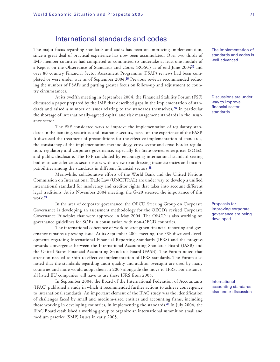### International standards and codes

The major focus regarding standards and codes has been on improving implementation, since a great deal of practical experience has now been accumulated. Over two thirds of IMF member countries had completed or committed to undertake at least one module of a Report on the Observance of Standards and Codes (ROSC) as of end June 2004**<sup>35</sup>** and over 80 country Financial Sector Assessment Programme (FSAP) reviews had been completed or were under way as of September 2004.**<sup>36</sup>** Previous reviews recommended reducing the number of FSAPs and putting greater focus on follow-up and adjustment to country circumstances.

At its twelfth meeting in September 2004, the Financial Stability Forum (FSF) discussed a paper prepared by the IMF that described gaps in the implementation of standards and raised a number of issues relating to the standards themselves, **<sup>37</sup>** in particular the shortage of internationally-agreed capital and risk management standards in the insurance sector.

The FSF considered ways to improve the implementation of regulatory standards in the banking, securities and insurance sectors, based on the experience of the FASP. It discussed the treatment of preconditions for the effective implementation of standards, the consistency of the implementation methodology, cross-sector and cross-border regulation, regulatory and corporate governance, especially for State-owned enterprises (SOEs), and public disclosure. The FSF concluded by encouraging international standard-setting bodies to consider cross-sector issues with a view to addressing inconsistencies and incompatibilities among the standards in different financial sectors.**<sup>38</sup>**

Meanwhile, collaborative efforts of the World Bank and the United Nations Commission on International Trade Law (UNCITRAL) are under way to develop a unified international standard for insolvency and creditor rights that takes into account different legal traditions. At its November 2004 meeting, the G-20 stressed the importance of this work.**<sup>39</sup>**

In the area of corporate governance, the OECD Steering Group on Corporate Governance is developing an assessment methodology for the OECD's revised Corporate Governance Principles that were approved in May 2004. The OECD is also working on governance guidelines for SOEs in consultation with non-OECD countries.

The international coherence of work to strengthen financial reporting and governance remains a pressing issue. At its September 2004 meeting, the FSF discussed developments regarding International Financial Reporting Standards (IFRS) and the progress towards convergence between the International Accounting Standards Board (IASB) and the United States Financial Accounting Standards Board (FASB). The Forum noted that attention needed to shift to effective implementation of IFRS standards. The Forum also noted that the standards regarding audit quality and auditor oversight are used by many countries and more would adopt them in 2005 alongside the move to IFRS. For instance, all listed EU companies will have to use these IFRS from 2005.

In September 2004, the Board of the International Federation of Accountants (IFAC) published a study in which it recommended further actions to achieve convergence to international standards. An important element of the IFAC study was the identification of challenges faced by small and medium-sized entities and accounting firms, including those working in developing countries, in implementing the standards.**<sup>40</sup>** In July 2004, the IFAC Board established a working group to organize an international summit on small and medium practice (SMP) issues in early 2005.

The implementation of standards and codes is well advanced

Discussions are under way to improve financial sector standards

Proposals for improving corporate governance are being developed

International accounting standards also under discussion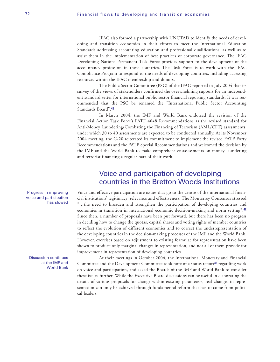IFAC also formed a partnership with UNCTAD to identify the needs of developing and transition economies in their efforts to meet the International Education Standards addressing accounting education and professional qualifications, as well as to assist them in the implementation of best practices of corporate governance. The IFAC Developing Nations Permanent Task Force provides support to the development of the accountancy profession in these countries. The Task Force is to work with the IFAC Compliance Program to respond to the needs of developing countries, including accessing resources within the IFAC membership and donors.

The Public Sector Committee (PSC) of the IFAC reported in July 2004 that its survey of the views of stakeholders confirmed the overwhelming support for an independent standard setter for international public sector financial reporting standards. It was recommended that the PSC be renamed the "International Public Sector Accounting Standards Board".**<sup>41</sup>**

In March 2004, the IMF and World Bank endorsed the revision of the Financial Action Task Force's FATF 40+8 Recommendations as the revised standard for Anti-Money Laundering/Combating the Financing of Terrorism (AML/CFT) assessments, under which 30 to 40 assessments are expected to be conducted annually. At its November 2004 meeting, the G-20 reiterated its commitment to implement the revised FATF Forty Recommendations and the FATF Special Recommendations and welcomed the decision by the IMF and the World Bank to make comprehensive assessments on money laundering and terrorist financing a regular part of their work.

### Voice and participation of developing countries in the Bretton Woods Institutions

Voice and effective participation are issues that go to the centre of the international financial institutions' legitimacy, relevance and effectiveness. The Monterrey Consensus stressed "…the need to broaden and strengthen the participation of developing countries and economies in transition in international economic decision-making and norm setting".**<sup>42</sup>** Since then, a number of proposals have been put forward, but there has been no progress in deciding how to change the quotas, capital shares and voting rights of member countries to reflect the evolution of different economies and to correct the underrepresentation of the developing countries in the decision-making processes of the IMF and the World Bank. However, exercises based on adjustment to existing formulae for representation have been shown to produce only marginal changes in representation, and not all of them provide for improvement in representation of developing countries.

At their meetings in October 2004, the International Monetary and Financial Committee and the Development Committee took note of a status report**<sup>43</sup>** regarding work on voice and participation, and asked the Boards of the IMF and World Bank to consider these issues further. While the Executive Board discussions can be useful in elaborating the details of various proposals for change within existing parameters, real changes in representation can only be achieved through fundamental reform that has to come from political leaders.

Progress in improving voice and participation has slowed

Discussion continues at the IMF and World Bank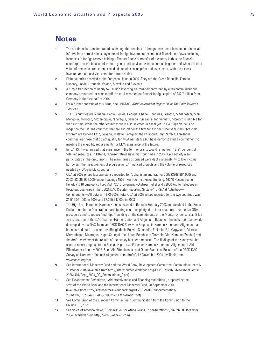### **Notes**

- **1** The net financial transfer statistic adds together receipts of foreign investment income and financial inflows from abroad minus payments of foreign investment income and financial outflows, including increases in foreign reserve holdings. The net financial transfer of a country is thus the financial counterpart to the balance of trade in goods and services. A trade surplus is generated when the total value of domestic production exceeds domestic consumption and investment, with the excess invested abroad, and vice versa for a trade deficit.
- **2** Eight countries acceded to the European Union in 2004. They are the Czech Republic, Estonia, Hungary, Latvia, Lithuania, Poland, Slovakia and Slovenia.
- **3** A single transaction of nearly \$20 billion involving an intra-company loan by a telecommunications company accounted for almost half the total recorded outflow of foreign capital of \$42.7 billion from Germany in the first half of 2004.
- **4** For a further analysis of this issue, see UNCTAD World Investment Report 2004: The Shift Towards Services.
- **5** The 16 countries are Armenia, Benin, Bolivia, Georgia, Ghana, Honduras, Lesotho, Madagascar, Mali, Mongolia, Morocco, Mozambique, Nicaragua, Senegal, Sri Lanka and Vanuatu. Morocco is eligible for the first time, while the other countries were also selected in fiscal year 2004. Cape Verde is no longer on the list. The countries that are eligible for the first time in the fiscal year 2005 Threshold Program are Burkina Faso, Guyana, Malawi, Paraguay, the Philippines and Zambia. Threshold countries are those that do not qualify for MCA assistance but have demonstrated a commitment to meeting the eligibility requirements for MCA assistance in the future.
- **6** In IDA-13, it was agreed that assistance in the form of grants would range from 18-21 per cent of total aid resources. In IDA-14, representatives have met four times in 2004. Civil society also participated in the discussions. The main issues discussed were debt sustainability to low income borrowers, the measurement of progress in IDA-financed projects and the volume of resources needed by IDA-eligible countries.
- **7** ODA at 2002 prices less assistance reported for Afghanistan and Iraq for 2002 (\$968,394,000) and 2003 (\$3,069,071,000) under headings 15061 Post-Conflict Peace Building, 16340 Reconstruction Relief, 71010 Emergency Food Aid, 72010 Emergency-Distress Relief and 72030 Aid to Refugees in Recipient Countries in the OECD/DAC Creditor Reporting System-1-CRS/Aid Activities— Commitments—All details : 1973-2003. Total ODA at 2002 prices reported for the two countries was \$1,515,061,000 in 2002 and \$7,395,247,000 in 2003
- **8** The High level Forum on Harmonization convened in Rome in February 2003 and resulted in the Rome Declaration. In the Declaration, participating countries pledged to, inter alia, better harmonize ODA procedures and to reduce "red tape", building on the commitments of the Monterrey Consensus. It led to the creation of the DAC Team on Harmonization and Alignment. Based on the indicators framework developed by the DAC Team, an OECD-DAC Survey on Progress in Harmonization and Alignment has been carried out in 14 countries (Bangladesh, Bolivia, Cambodia, Ethiopia, Fiji, Kyrgyzstan, Morocco, Mozambique, Nicaragua, Niger, Senegal, the United Republic of Tanzania, Viet Nam and Zambia) and the draft overview of the results of the survey has been released. The findings of the survey will be used to report progress to the Second High-Level Forum on Harmonization and Alignment of Aid Effectiveness in early 2005. See "Aid Effectiveness and Donor Practices: Results of the OECD-DAC Survey on Harmonization and Alignment (first draft)", 12 November 2004 (available from www.oecd.org/dac).
- **9** See International Monetary Fund and the World Bank, Development Committee, Communiqué, para.6, 2 October 2004 (available from http://siteresources.worldbank.org/DEVCOMMINT/NewsAndEvents/ 20264401/Sept\_2004\_DC\_Communique\_E.pdf).
- **10** See Development Committee, "Aid effectiveness and financing modalities", prepared by the staff of the World Bank and the International Monetary Fund, 28 September 2004 (available from http://siteresources.worldbank.org/DEVCOMMINT/Documentation/ 20264307/DC2004-0012(E)%20Aid%20Eff%20Add1.pdf).
- **11** See Commission of the European Communities, "Communication from the Commission to the Council…", p. 2.
- **12** See Voice of America News, "Commission for Africa wraps up consultations", Nairobi, 8 December 2004 (available from http://www.voanews.com).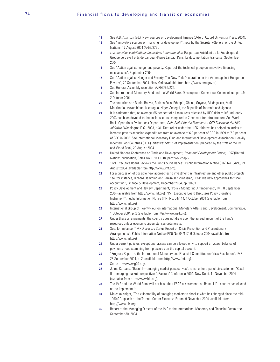- **13** See A.B. Atkinson (ed.), New Sources of Development Finance (Oxford, Oxford University Press, 2004).
- **14** See "Innovative sources of financing for development", note by the Secretary-General of the United Nations, 17 August 2004 (A/59/272).
- **15** Les nouvelles contributions financières internationales, Rapport au Président de la République du Groupe de travail présidé par Jean-Pierre Landau, Paris, La documentation Française, Septembre 2004.
- **16** See "Action against hunger and poverty: Report of the technical group on innovative financing mechanisms", September 2004.
- **17** See "Action against Hunger and Poverty, The New York Declaration on the Action against Hunger and Poverty", 20 September 2004, New York (available from http://www.mre.gov.br).
- **18** See General Assembly resolution A/RES/59/225.
- **19** See International Monetary Fund and the World Bank, Development Committee, Communiqué, para.9, 2 October 2004.
- **20** The countries are: Benin, Bolivia, Burkina Faso, Ethiopia, Ghana, Guyana, Madagascar, Mali, Mauritania, Mozambique, Nicaragua, Niger, Senegal, the Republic of Tanzania and Uganda.
- 21 It is estimated that, on average, 65 per cent of all resources released by HIPC debt relief until early 2003 has been devoted to the social sectors, compared to 7 per cent for infrastructure. See World Bank, Operations Evaluations Department, Debt Relief for the Poorest: An OED Review of the HIC Initiative, Washington D.C., 2003, p.34. Debt relief under the HIPC Initiative has helped countries to increase poverty-reducing expenditures from an average of 6.3 per cent of GDP in 1999 to 7.9 per cent of GDP in 2003. See International Monetary Fund and International Development Association, Heavily Indebted Poor Countries (HIPC) Initiative: Status of Implementation, prepared by the staff of the IMF and World Bank, 20 August 2004.
- 22 United Nations Conference on Trade and Development, Trade and Development Report, 1997 (United Nations publication, Sales No. E.97.II.D.8), part two, chap.V.
- **23** "IMF Executive Board Reviews the Fund's Surveillance", Public Information Notice (PIN) No. 04/95, 24 August 2004 (available from http://www.imf.org).
- **24** For a discussion of possible new approaches to investment in infrastructure and other public projects, see, for instance, Richard Hemming and Teresa Ter-Minassian, "Possible new approaches to fiscal accounting", Finance & Development, December 2004, pp. 30-33.
- **25** Policy Development and Review Department, "Policy Monitoring Arrangement", IMF, 8 September 2004 (available from http://www.imf.org); "IMF Executive Board Discusses Policy Signaling Instrument", Public Information Notice (PIN) No. 04/114, 1 October 2004 (available from http://www.imf.org).
- **26** International Group of Twenty-Four on International Monetary Affairs and Development, Communiqué, 1 October 2004, p. 2 (available from http://www.g24.org).
- **27** Under these arrangements, the country does not draw upon the agreed amount of the Fund's resources unless economic circumstances deteriorate.
- **28** See, for instance, "IMF Discusses Status Report on Crisis Prevention and Precautionary Arrangements", Public Information Notice (PIN) No. 04/117, 6 October 2004 (available from http://www.imf.org).
- **29** Under current policies, exceptional access can be allowed only to support an *actual* balance of payments need stemming from pressures on the capital account.
- **30** "Progress Report to the International Monetary and Financial Committee on Crisis Resolution", IMF, 28 September 2004, p. 2 (available from http://www.imf.org).
- **31** See <http://www.g20.org>.
- **32** Jaime Caruana, "Basel II—emerging market perspectives", remarks for a panel discussion on "Basel II—emerging market perspectives", Bankers' Conference 2004, New Delhi, 11 November 2004 (available from http://www.bis.org).
- **33** The IMF and the World Bank will not base their FSAP assessments on Basel II if a country has elected not to implement it.
- **34** Malcolm Knight, "The vulnerability of emerging markets to shocks: what has changed since the mid-1990s?", speech at the Toronto Center Executive Forum, 9 November 2004 (available from http://www.bis.org).
- **35** Report of the Managing Director of the IMF to the International Monetary and Financial Committee, September 30, 2004.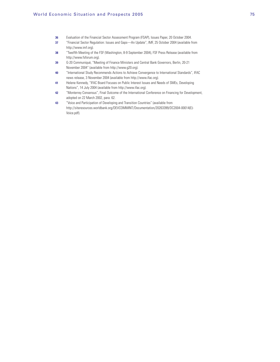- **36** Evaluation of the Financial Sector Assessment Program (FSAP), Issues Paper, 20 October 2004.
- **37** "Financial Sector Regulation: Issues and Gaps—An Update", IMF, 25 October 2004 (available from http://www.imf.org).
- **38** "Twelfth Meeting of the FSF (Washington, 8-9 September 2004), FSF Press Release (available from http://www.fsforum.org).
- **39** G-20 Communiqué, "Meeting of Finance Ministers and Central Bank Governors, Berlin, 20-21 November 2004" (available from http://www.g20.org).
- **40** "International Study Recommends Actions to Achieve Convergence to International Standards", IFAC news release, 3 November 2004 (available from http://www.ifac.org).
- **41** Helene Kennedy, "IFAC Board Focuses on Public Interest Issues and Needs of SMEs, Developing Nations", 14 July 2004 (available from http://www.ifac.org).
- **42** "Monterrey Consensus", Final Outcome of the International Conference on Financing for Development, adopted on 22 March 2002, para. 62.
- **43** "Voice and Participation of Developing and Transition Countries" (available from http://siteresources.worldbank.org/DEVCOMMINT/Documentation/20263399/DC2004-00014(E)- Voice.pdf).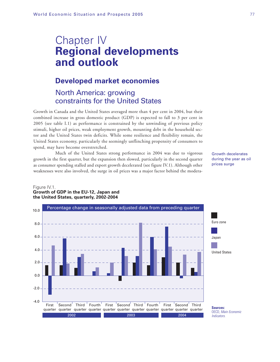# Chapter IV **Regional developments and outlook**

### **Developed market economies**

# North America: growing constraints for the United States

Growth in Canada and the United States averaged more than 4 per cent in 2004, but their combined increase in gross domestic product (GDP) is expected to fall to 3 per cent in 2005 (see table I.1) as performance is constrained by the unwinding of previous policy stimuli, higher oil prices, weak employment growth, mounting debt in the household sector and the United States twin deficits. While some resilience and flexibility remain, the United States economy, particularly the seemingly unflinching propensity of consumers to spend, may have become overstretched.

Much of the United States strong performance in 2004 was due to vigorous growth in the first quarter, but the expansion then slowed, particularly in the second quarter as consumer spending stalled and export growth decelerated (see figure IV.1). Although other weaknesses were also involved, the surge in oil prices was a major factor behind the modera-

Growth decelerates during the year as oil prices surge



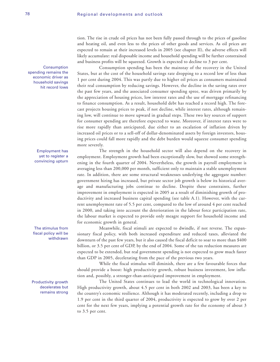tion. The rise in crude oil prices has not been fully passed through to the prices of gasoline and heating oil, and even less to the prices of other goods and services. As oil prices are expected to remain at their increased levels in 2005 (see chapter II), the adverse effects will likely accumulate: real disposable income and household spending will be further constrained and business profits will be squeezed. Growth is expected to decline to 3 per cent.

Consumption spending has been the mainstay of the recovery in the United States, but at the cost of the household savings rate dropping to a record low of less than 1 per cent during 2004. This was partly due to higher oil prices as consumers maintained their real consumption by reducing savings. However, the decline in the saving rates over the past few years, and the associated consumer spending spree, was driven primarily by the appreciation of housing prices, low interest rates and the use of mortgage refinancing to finance consumption. As a result, household debt has reached a record high. The forecast projects housing prices to peak, if not decline, while interest rates, although remaining low, will continue to move upward in gradual steps. These two key sources of support for consumer spending are therefore expected to wane. Moreover, if interest rates were to rise more rapidly than anticipated, due either to an escalation of inflation driven by increased oil prices or to a sell-off of dollar-denominated assets by foreign investors, housing prices could fall more rapidly and the debt burden would squeeze consumer spending more severely.

The strength in the household sector will also depend on the recovery in employment. Employment growth had been exceptionally slow, but showed some strengthening in the fourth quarter of 2004. Nevertheless, the growth in payroll employment is averaging less than 200,000 per month, sufficient only to maintain a stable unemployment rate. In addition, there are some structural weaknesses underlying the aggregate number: government hiring has increased, but private sector job growth is below its historical average and manufacturing jobs continue to decline. Despite these constraints, further improvement in employment is expected in 2005 as a result of diminishing growth of productivity and increased business capital spending (see table A.1). However, with the current unemployment rate of 5.5 per cent, compared to the low of around 4 per cent reached in 2000, and taking into account the deterioration in the labour force participation rate, the labour market is expected to provide only meagre support for household income and for economic growth in general.

Meanwhile, fiscal stimuli are expected to dwindle, if not reverse. The expansionary fiscal policy, with both increased expenditure and reduced taxes, alleviated the downturn of the past few years, but it also caused the fiscal deficit to soar to more than \$400 billion, or 3.5 per cent of GDP, by the end of 2004. Some of the tax reduction measures are expected to be extended, but real government spending is not expected to grow much faster than GDP in 2005, decelerating from the pace of the previous two years.

While the fiscal stimulus will diminish, there are a few favourable forces that should provide a boost: high productivity growth, robust business investment, low inflation and, possibly, a stronger-than-anticipated improvement in employment.

The United States continues to lead the world in technological innovation. High productivity growth, about 4.5 per cent in both 2002 and 2003, has been a key to the country's economic resilience. Although it has moderated recently, including a drop to 1.9 per cent in the third quarter of 2004, productivity is expected to grow by over 2 per cent for the next few years, implying a potential growth rate for the economy of about 3 to 3.5 per cent.

Consumption spending remains the economic driver as household savings hit record lows

> Employment has yet to register a convincing upturn

The stimulus from fiscal policy will be withdrawn

Productivity growth decelerates but remains strong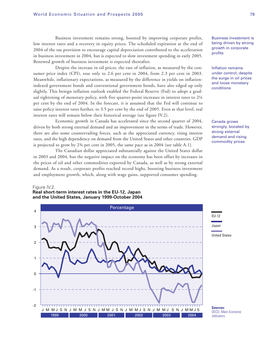Business investment remains strong, boosted by improving corporate profits, low interest rates and a recovery in equity prices. The scheduled expiration at the end of 2004 of the tax provision to encourage capital depreciation contributed to the acceleration in business investment in 2004, but is expected to slow investment spending in early 2005. Renewed growth of business investment is expected thereafter.

Despite the increase in oil prices, the rate of inflation, as measured by the consumer price index (CPI), rose only to 2.6 per cent in 2004, from 2.3 per cent in 2003. Meanwhile, inflationary expectations, as measured by the difference in yields on inflationindexed government bonds and conventional government bonds, have also edged up only slightly. This benign inflation outlook enabled the Federal Reserve (Fed) to adopt a gradual tightening of monetary policy, with five quarter-point increases in interest rates to 2¼ per cent by the end of 2004. In the forecast, it is assumed that the Fed will continue to raise policy interest rates further, to 3.5 per cent by the end of 2005. Even at that level, real interest rates will remain below their historical average (see figure IV.2).

Economic growth in Canada has accelerated since the second quarter of 2004, driven by both strong external demand and an improvement in the terms of trade. However, there are also some countervailing forces, such as the appreciated currency, rising interest rates, and the high dependency on demand from the United States and other countries. GDP is projected to grow by 2¾ per cent in 2005, the same pace as in 2004 (see table A.1).

The Canadian dollar appreciated substantially against the United States dollar in 2003 and 2004, but the negative impact on the economy has been offset by increases in the prices of oil and other commodities exported by Canada, as well as by strong external demand. As a result, corporate profits reached record highs, boosting business investment and employment growth, which, along with wage gains, supported consumer spending.

#### Figure IV.2. **Real short-term interest rates in the EU-12, Japan and the United States, January 1999-October 2004**



Business investment is being driven by strong growth in corporate profits

Inflation remains under control, despite the surge in oil prices and loose monetary conditions

Canada grows strongly, boosted by strong external demand and rising commodity prices

OECD, Main Economic **Indicators**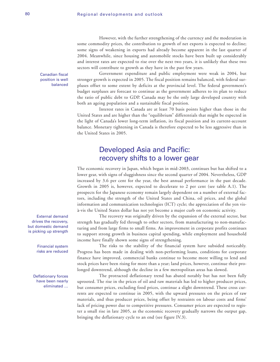However, with the further strengthening of the currency and the moderation in some commodity prices, the contribution to growth of net exports is expected to decline; some signs of weakening in exports had already become apparent in the last quarter of 2004. Meanwhile, since housing and automobile stocks have been built up considerably and interest rates are expected to rise over the next two years, it is unlikely that these two sectors will contribute to growth as they have in the past few years.

Canadian fiscal position is well balanced

Government expenditure and public employment were weak in 2004, but stronger growth is expected in 2005. The fiscal position remains balanced, with federal surpluses offset to some extent by deficits at the provincial level. The federal government's budget surpluses are forecast to continue as the government adheres to its plan to reduce the ratio of public debt to GDP. Canada may be the only large developed country with both an ageing population and a sustainable fiscal position.

Interest rates in Canada are at least 70 basis points higher than those in the United States and are higher than the "equilibrium" differentials that might be expected in the light of Canada's lower long-term inflation, its fiscal position and its current-account balance. Monetary tightening in Canada is therefore expected to be less aggressive than in the United States in 2005.

## Developed Asia and Pacific: recovery shifts to a lower gear

The economic recovery in Japan, which began in mid-2003, continues but has shifted to a lower gear, with signs of sluggishness since the second quarter of 2004. Nevertheless, GDP increased by 3.6 per cent for the year, the best annual performance in the past decade. Growth in 2005 is, however, expected to decelerate to 2 per cent (see table A.1). The prospects for the Japanese economy remain largely dependent on a number of external factors, including the strength of the United States and China, oil prices, and the global information and communication technologies (ICT) cycle; the appreciation of the yen visà-vis the United States dollar has not yet become a major curb on economic activity.

The recovery was originally driven by the expansion of the external sector, but strength has gradually fed through to other sectors, from manufacturing to non-manufacturing and from large firms to small firms. An improvement in corporate profits continues to support strong growth in business capital spending, while employment and household income have finally shown some signs of strengthening.

The risks to the stability of the financial system have subsided noticeably. Progress has been made in dealing with non-performing loans, conditions for corporate finance have improved, commercial banks continue to become more willing to lend and stock prices have been rising for more than a year; land prices, however, continue their prolonged downtrend, although the decline in a few metropolitan areas has slowed.

The protracted deflationary trend has abated notably but has not been fully uprooted. The rise in the prices of oil and raw materials has led to higher producer prices, but consumer prices, excluding food prices, continue a slight downtrend. These cross currents are expected to continue in 2005, with the upward pressures on the prices of raw materials, and thus producer prices, being offset by restraints on labour costs and firms' lack of pricing power due to competitive pressures. Consumer prices are expected to register a small rise in late 2005, as the economic recovery gradually narrows the output gap, bringing the deflationary cycle to an end (see figure IV.3).

External demand drives the recovery, but domestic demand is picking up strength

> Financial system risks are reduced

Deflationary forces have been nearly eliminated …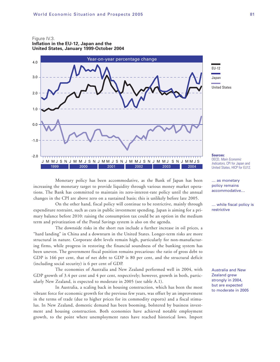Figure IV.3.

**Inflation in the EU-12, Japan and the United States, January 1999-October 2004**





**Sources:** OECD, Main Economic Indicators, CPI for Japan and United States, HICP for EU12.

… as monetary policy remains accommodative…

… while fiscal policy is restrictive

Australia and New Zealand grew strongly in 2004, but are expected to moderate in 2005

Monetary policy has been accommodative, as the Bank of Japan has been increasing the monetary target to provide liquidity through various money market operations. The Bank has committed to maintain its zero-interest-rate policy until the annual changes in the CPI are above zero on a sustained basis; this is unlikely before late 2005.

On the other hand, fiscal policy will continue to be restrictive, mainly through expenditure restraint, such as cuts in public investment spending. Japan is aiming for a primary balance before 2010: raising the consumption tax could be an option in the medium term and privatization of the Postal Savings system is also on the agenda.

The downside risks in the short run include a further increase in oil prices, a "hard landing" in China and a downturn in the United States. Longer-term risks are more structural in nature. Corporate debt levels remain high, particularly for non-manufacturing firms, while progress in restoring the financial soundness of the banking system has been uneven. The government fiscal position remains precarious: the ratio of gross debt to GDP is 166 per cent, that of net debt to GDP is 80 per cent, and the structural deficit (including social security) is 6 per cent of GDP.

The economies of Australia and New Zealand performed well in 2004, with GDP growth of 3.4 per cent and 4 per cent, respectively; however, growth in both, particularly New Zealand, is expected to moderate in 2005 (see table A.1).

In Australia, a scaling back in housing construction, which has been the most vibrant force for economic growth for the previous few years, was offset by an improvement in the terms of trade (due to higher prices for its commodity exports) and a fiscal stimulus. In New Zealand, domestic demand has been booming, bolstered by business investment and housing construction. Both economies have achieved notable employment growth, to the point where unemployment rates have reached historical lows. Import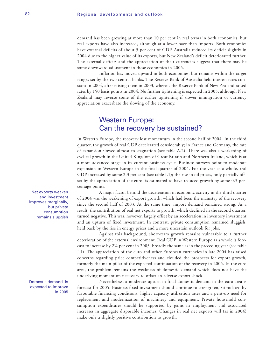demand has been growing at more than 10 per cent in real terms in both economies, but real exports have also increased, although at a lower pace than imports. Both economies have external deficits of about 5 per cent of GDP. Australia reduced its deficit slightly in 2004 due to the higher value of its exports, but New Zealand's deficit deteriorated further. The external deficits and the appreciation of their currencies suggest that there may be some downward adjustment in these economies in 2005.

Inflation has moved upward in both economies, but remains within the target ranges set by the two central banks. The Reserve Bank of Australia held interest rates constant in 2004, after raising them in 2003, whereas the Reserve Bank of New Zealand raised rates by 150 basis points in 2004. No further tightening is expected in 2005, although New Zealand may reverse some of the earlier tightening if slower immigration or currency appreciation exacerbate the slowing of the economy.

### Western Europe: Can the recovery be sustained?

In Western Europe, the recovery lost momentum in the second half of 2004. In the third quarter, the growth of real GDP decelerated considerably; in France and Germany, the rate of expansion slowed almost to stagnation (see table A.2). There was also a weakening of cyclical growth in the United Kingdom of Great Britain and Northern Ireland, which is at a more advanced stage in its current business cycle. Business surveys point to moderate expansion in Western Europe in the final quarter of 2004. For the year as a whole, real GDP increased by some 2.3 per cent (see table I.1); the rise in oil prices, only partially offset by the appreciation of the euro, is estimated to have reduced growth by some 0.3 percentage points.

A major factor behind the deceleration in economic activity in the third quarter of 2004 was the weakening of export growth, which had been the mainstay of the recovery since the second half of 2003. At the same time, import demand remained strong. As a result, the contribution of real net exports to growth, which declined in the second quarter, turned negative. This was, however, largely offset by an acceleration in inventory investment and an upturn of fixed investment. In contrast, private consumption remained sluggish, held back by the rise in energy prices and a more uncertain outlook for jobs.

Against this background, short-term growth remains vulnerable to a further deterioration of the external environment. Real GDP in Western Europe as a whole is forecast to increase by 2¼ per cent in 2005, broadly the same as in the preceding year (see table I.1). The appreciation of the euro and other European currencies in late 2004 has raised concerns regarding price competitiveness and clouded the prospects for export growth, formerly the main pillar of the expected continuation of the recovery in 2005. In the euro area, the problem remains the weakness of domestic demand which does not have the underlying momentum necessary to offset an adverse export shock.

Nevertheless, a moderate upturn in final domestic demand in the euro area is forecast for 2005. Business fixed investment should continue to strengthen, stimulated by favourable financing conditions, higher capacity utilization rates and a pent-up need for replacement and modernization of machinery and equipment. Private household consumption expenditures should be supported by gains in employment and associated increases in aggregate disposable incomes. Changes in real net exports will (as in 2004) make only a slightly positive contribution to growth.

Net exports weaken and investment improves marginally, but private consumption remains sluggish

#### Domestic demand is expected to improve in 2005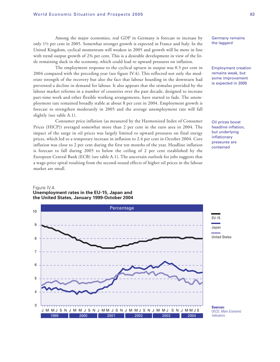Among the major economies, real GDP in Germany is forecast to increase by only 1½ per cent in 2005. Somewhat stronger growth is expected in France and Italy. In the United Kingdom, cyclical momentum will weaken in 2005 and growth will be more in line with trend output growth of 2¾ per cent. This is a desirable development in view of the little remaining slack in the economy, which could lead to upward pressures on inflation.

The employment response to the cyclical upturn in output was 0.5 per cent in 2004 compared with the preceding year (see figure IV.4). This reflected not only the moderate strength of the recovery but also the fact that labour hoarding in the downturn had prevented a decline in demand for labour. It also appears that the stimulus provided by the labour market reforms in a number of countries over the past decade, designed to increase part-time work and other flexible working arrangements, have started to fade. The unemployment rate remained broadly stable at about 8 per cent in 2004. Employment growth is forecast to strengthen moderately in 2005 and the average unemployment rate will fall slightly (see table A.1).

Consumer price inflation (as measured by the Harmonized Index of Consumer Prices (HICP)) averaged somewhat more than 2 per cent in the euro area in 2004. The impact of the surge in oil prices was largely limited to upward pressures on final energy prices, which led to a temporary increase in inflation to 2.4 per cent in October 2004. Core inflation was close to 2 per cent during the first ten months of the year. Headline inflation is forecast to fall during 2005 to below the ceiling of 2 per cent established by the European Central Bank (ECB) (see table A.1). The uncertain outlook for jobs suggests that a wage-price spiral resulting from the second-round effects of higher oil prices in the labour market are small.

Germany remains the laggard

Employment creation remains weak, but some improvement is expected in 2005

Oil prices boost headline inflation, but underlying inflationary pressures are contained



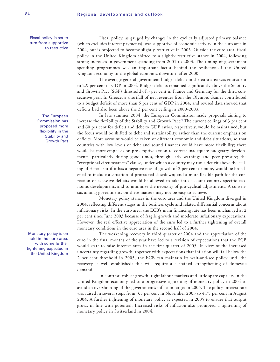Fiscal policy is set to turn from supportive to restrictive

> The European Commission has proposed more flexibility in the Stability and Growth Pact

Monetary policy is on hold in the euro area, with some further tightening expected in the United Kingdom

Fiscal policy, as gauged by changes in the cyclically adjusted primary balance (which excludes interest payments), was supportive of economic activity in the euro area in 2004, but is projected to become slightly restrictive in 2005. Outside the euro area, fiscal policy in the United Kingdom shifted to a slightly restrictive stance in 2004, following strong increases in government spending from 2001 to 2003. The timing of government spending programmes was an important factor behind the resilience of the United Kingdom economy to the global economic downturn after 2000.

The average general government budget deficit in the euro area was equivalent to 2.9 per cent of GDP in 2004. Budget deficits remained significantly above the Stability and Growth Pact (SGP) threshold of 3 per cent in France and Germany for the third consecutive year. In Greece, a shortfall of net revenues from the Olympic Games contributed to a budget deficit of more than 5 per cent of GDP in 2004, and revised data showed that deficits had also been above the 3 per cent ceiling in 2000-2003.

In late summer 2004, the European Commission made proposals aiming to increase the flexibility of the Stability and Growth Pact:**<sup>1</sup>** The current ceilings of 3 per cent and 60 per cent for deficit and debt to GDP ratios, respectively, would be maintained, but the focus would be shifted to debt and sustainability, rather than the current emphasis on deficits. More account would be taken of different economic and debt situations, so that countries with low levels of debt and sound finances could have more flexibility; there would be more emphasis on pre-emptive action to correct inadequate budgetary developments, particularly during good times, through early warnings and peer pressure; the "exceptional circumstances" clause, under which a country may run a deficit above the ceiling of 3 per cent if it has a negative rate of growth of 2 per cent or more, would be broadened to include a situation of protracted slowdown; and a more flexible path for the correction of excessive deficits would be allowed to take into account country-specific economic developments and to minimize the necessity of pro-cyclical adjustments. A consensus among governments on these matters may not be easy to achieve.

Monetary policy stances in the euro area and the United Kingdom diverged in 2004, reflecting different stages in the business cycle and related differential concerns about inflationary risks. In the euro area, the ECB's main financing rate has been unchanged at 2 per cent since June 2003 because of fragile growth and moderate inflationary expectations. However, the real effective appreciation of the euro led to a further tightening of overall monetary conditions in the euro area in the second half of 2004.

The weakening recovery in third quarter of 2004 and the appreciation of the euro in the final months of the year have led to a revision of expectations that the ECB would start to raise interest rates in the first quarter of 2005. In view of the increased uncertainty regarding growth, together with expectations that inflation will fall below the 2 per cent threshold in 2005, the ECB can maintain its wait-and-see policy until the recovery is well established; this will require a sustained strengthening of domestic demand.

In contrast, robust growth, tight labour markets and little spare capacity in the United Kingdom economy led to a progressive tightening of monetary policy in 2004 to avoid an overshooting of the government's inflation target in 2005. The policy interest rate was raised in several steps from 3.5 per cent in November 2003 to 4.75 per cent in August 2004. A further tightening of monetary policy is expected in 2005 to ensure that output grows in line with potential. Increased risks of inflation also prompted a tightening of monetary policy in Switzerland in 2004.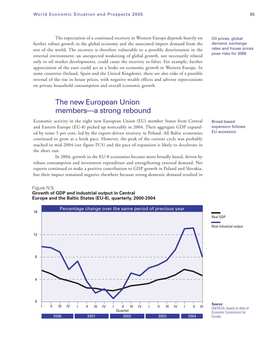The expectation of a continued recovery in Western Europe depends heavily on further robust growth in the global economy and the associated import demand from the rest of the world. The recovery is therefore vulnerable to a possible deterioration in the external environment: an unexpected weakening of global growth, not necessarily related only to oil market developments, could cause the recovery to falter. For example, further appreciation of the euro could act as a brake on economic growth in Western Europe. In some countries (Ireland, Spain and the United Kingdom), there are also risks of a possible reversal of the rise in house prices, with negative wealth effects and adverse repercussions on private household consumption and overall economic growth.

## The new European Union members—a strong rebound

Economic activity in the eight new European Union (EU) member States from Central and Eastern Europe (EU-8) picked up noticeably in 2004. Their aggregate GDP expanded by some 5 per cent, led by the export-driven recovery in Poland. All Baltic economies continued to grow at a brisk pace. However, the peak of the current cycle was probably reached in mid-2004 (see figure IV.5) and the pace of expansion is likely to decelerate in the short run.

In 2004, growth in the EU-8 economies became more broadly based, driven by robust consumption and investment expenditure and strengthening external demand. Net exports continued to make a positive contribution to GDP growth in Poland and Slovakia, but their impact remained negative elsewhere because strong domestic demand resulted in

### Figure IV.5.

**Growth of GDP and industrial output in Central Europe and the Baltic States (EU-8), quarterly, 2000-2004**



Oil prices, global demand, exchange rates and house prices pose risks for 2005

Broad-based expansion follows EU accession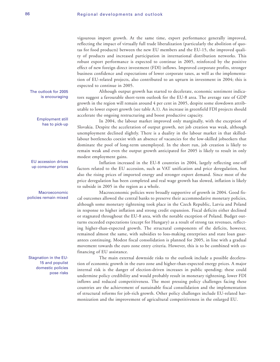vigourous import growth. At the same time, export performance generally improved, reflecting the impact of virtually full trade liberalization (particularly the abolition of quotas for food products) between the new EU members and the EU-15, the improved quality of products and increased participation in international distribution networks. This robust export performance is expected to continue in 2005, reinforced by the positive effect of new foreign direct investment (FDI) inflows. Improved corporate profits, stronger business confidence and expectations of lower corporate taxes, as well as the implementation of EU-related projects, also contributed to an upturn in investment in 2004; this is expected to continue in 2005.

Although output growth has started to decelerate, economic sentiment indicators suggest a favourable short-term outlook for the EU-8 area. The average rate of GDP growth in the region will remain around 4 per cent in 2005, despite some slowdown attributable to lower export growth (see table A.1). An increase in greenfield FDI projects should accelerate the ongoing restructuring and boost productive capacity.

In 2004, the labour market improved only marginally, with the exception of Slovakia. Despite the acceleration of output growth, net job creation was weak, although unemployment declined slightly. There is a duality in the labour market in that skilledlabour bottlenecks coexist with an absence of vacancies for the low-skilled jobseekers that dominate the pool of long-term unemployed. In the short run, job creation is likely to remain weak and even the output growth anticipated for 2005 is likely to result in only modest employment gains.

Inflation increased in the EU-8 countries in 2004, largely reflecting one-off factors related to the EU accession, such as VAT unification and price deregulation, but also the rising prices of imported energy and stronger export demand. Since most of the price deregulation has been completed and real wage growth has slowed, inflation is likely to subside in 2005 in the region as a whole.

Macroeconomic policies were broadly supportive of growth in 2004. Good fiscal outcomes allowed the central banks to preserve their accommodative monetary policies, although some monetary tightening took place in the Czech Republic, Latvia and Poland in response to higher inflation and strong credit expansion. Fiscal deficits either declined or stagnated throughout the EU-8 area, with the notable exception of Poland. Budget outturns exceeded expectations (except for Hungary) as a result of strong tax revenues, reflecting higher-than-expected growth. The structural components of the deficits, however, remained almost the same, with subsidies to loss-making enterprises and state loan guarantees continuing. Modest fiscal consolidation is planned for 2005, in line with a gradual movement towards the euro zone entry criteria. However, this is to be combined with cofinancing of EU assistance.

The main external downside risks to the outlook include a possible deceleration of economic growth in the euro zone and higher-than-expected energy prices. A major internal risk is the danger of election-driven increases in public spending; these could undermine policy credibility and would probably result in monetary tightening, lower FDI inflows and reduced competitiveness. The most pressing policy challenges facing these countries are the achievement of sustainable fiscal consolidation and the implementation of structural reforms for job-rich growth. Other policy challenges include EU-related harmonization and the improvement of agricultural competitiveness in the enlarged EU.

#### The outlook for 2005 is encouraging

Employment still has to pick-up

EU accession drives up consumer prices

Macroeconomic policies remain mixed

Stagnation in the EU-15 and populist domestic policies pose risks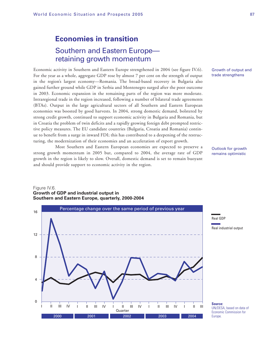# **Economies in transition** Southern and Eastern Europe retaining growth momentum

Economic activity in Southern and Eastern Europe strengthened in 2004 (see figure IV.6). For the year as a whole, aggregate GDP rose by almost 7 per cent on the strength of output in the region's largest economy—Romania. The broad-based recovery in Bulgaria also gained further ground while GDP in Serbia and Montenegro surged after the poor outcome in 2003. Economic expansion in the remaining parts of the region was more moderate. Intraregional trade in the region increased, following a number of bilateral trade agreements (BTAs). Output in the large agricultural sectors of all Southern and Eastern European economies was boosted by good harvests. In 2004, strong domestic demand, bolstered by strong credit growth, continued to support economic activity in Bulgaria and Romania, but in Croatia the problem of twin deficits and a rapidly growing foreign debt prompted restrictive policy measures. The EU candidate countries (Bulgaria, Croatia and Romania) continue to benefit from a surge in inward FDI; this has contributed to a deepening of the restructuring, the modernization of their economies and an acceleration of export growth.

Most Southern and Eastern European economies are expected to preserve a strong growth momentum in 2005 but, compared to 2004, the average rate of GDP growth in the region is likely to slow. Overall, domestic demand is set to remain buoyant and should provide support to economic activity in the region.

### Figure IV.6. **Growth of GDP and industrial output in Southern and Eastern Europe, quarterly, 2000-2004**



Growth of output and trade strengthens

Outlook for growth remains optimistic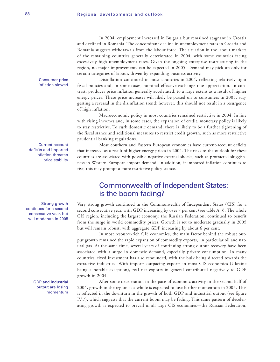In 2004, employment increased in Bulgaria but remained stagnant in Croatia and declined in Romania. The concomitant decline in unemployment rates in Croatia and Romania suggests withdrawals from the labour force. The situation in the labour markets of the remaining countries generally deteriorated in 2004, with some countries facing excessively high unemployment rates. Given the ongoing enterprise restructuring in the region, no major improvements can be expected in 2005. Demand may pick up only for certain categories of labour, driven by expanding business activity.

Disinflation continued in most countries in 2004, reflecting relatively tight fiscal policies and, in some cases, nominal effective exchange-rate appreciation. In contrast, producer price inflation generally accelerated, to a large extent as a result of higher energy prices. These price increases will likely be passed on to consumers in 2005, suggesting a reversal in the disinflation trend; however, this should not result in a resurgence of high inflation.

Macroeconomic policy in most countries remained restrictive in 2004. In line with rising incomes and, in some cases, the expansion of credit, monetary policy is likely to stay restrictive. To curb domestic demand, there is likely to be a further tightening of the fiscal stance and additional measures to restrict credit growth, such as more restrictive prudential banking regulations.

Most Southern and Eastern European economies have current-account deficits that increased as a result of higher energy prices in 2004. The risks to the outlook for these countries are associated with possible negative external shocks, such as protracted sluggishness in Western European import demand. In addition, if imported inflation continues to rise, this may prompt a more restrictive policy stance.

# Commonwealth of Independent States: is the boom fading?

Very strong growth continued in the Commonwealth of Independent States (CIS) for a second consecutive year, with GDP increasing by over 7 per cent (see table A.3). The whole CIS region, including the largest economy, the Russian Federation, continued to benefit from the surge in world commodity prices. Growth is set to moderate gradually in 2005 but will remain robust, with aggregate GDP increasing by about 6 per cent.

In most resource-rich CIS economies, the main factor behind the robust output growth remained the rapid expansion of commodity exports, in particular oil and natural gas. At the same time, several years of continuing strong output recovery have been associated with a surge in domestic demand, especially private consumption. In many countries, fixed investment has also rebounded, with the bulk being directed towards the extractive industries. With imports outpacing exports in most CIS economies (Ukraine being a notable exception), real net exports in general contributed negatively to GDP growth in 2004.

After some deceleration in the pace of economic activity in the second half of 2004, growth in the region as a whole is expected to lose further momentum in 2005. This is reflected in the downturn in the growth of both GDP and industrial output (see figure IV.7), which suggests that the current boom may be fading. This same pattern of decelerating growth is expected to prevail in all large CIS economies—the Russian Federation,

Current-account deficits and imported inflation threaten price stability

Consumer price inflation slowed

Strong growth continues for a second consecutive year, but will moderate in 2005

> GDP and industrial output are losing momentum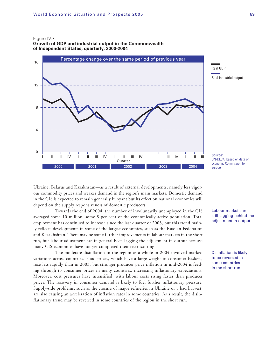#### Figure IV.7.

**Growth of GDP and industrial output in the Commonwealth of Independent States, quarterly, 2000-2004**



**Source:** UN/DESA, based on data of Economic Commission for Europe.

Ukraine, Belarus and Kazakhstan—as a result of external developments, namely less vigorous commodity prices and weaker demand in the region's main markets. Domestic demand in the CIS is expected to remain generally buoyant but its effect on national economies will depend on the supply responsiveness of domestic producers.

Towards the end of 2004, the number of involuntarily unemployed in the CIS averaged some 10 million, some 8 per cent of the economically active population. Total employment has continued to increase since the last quarter of 2003, but this trend mainly reflects developments in some of the largest economies, such as the Russian Federation and Kazakhshtan. There may be some further improvements in labour markets in the short run, but labour adjustment has in general been lagging the adjustment in output because many CIS economies have not yet completed their restructuring.

The moderate disinflation in the region as a whole in 2004 involved marked variations across countries. Food prices, which have a large weight in consumer baskets, rose less rapidly than in 2003, but stronger producer price inflation in mid-2004 is feeding through to consumer prices in many countries, increasing inflationary expectations. Moreover, cost pressures have intensified, with labour costs rising faster than producer prices. The recovery in consumer demand is likely to fuel further inflationary pressure. Supply-side problems, such as the closure of major refineries in Ukraine or a bad harvest, are also causing an acceleration of inflation rates in some countries. As a result, the disinflationary trend may be reversed in some countries of the region in the short run.

Labour markets are still lagging behind the adjustment in output

Disinflation is likely to be reversed in some countries in the short run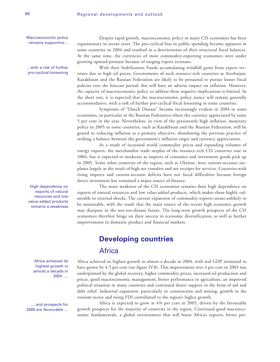Macroeconomic policy remains supportive…

…with a risk of further pro-cyclical loosening

High dependence on exports of natural resources and low value-added products remains a weakness

> Africa achieved its highest growth in almost a decade in 2004 ….

… and prospects for 2005 are favourable …

Despite rapid growth, macroeconomic policy in many CIS economies has been expansionary in recent years. The pro-cyclical bias in public spending became apparent in some countries in 2004 and resulted in a deterioration of their structural fiscal balances. At the same time, the currencies of most commodity-exporting economies were under growing upward pressure because of surging export revenues.

With their Stabilization Funds accumulating windfall gains from export revenues due to high oil prices, Governments of such resource-rich countries as Azerbaijan, Kazakhstan and the Russian Federation are likely to be pressured to pursue looser fiscal policies over the forecast period; this will have an adverse impact on inflation. However, the capacity of macroeconomic policy to address these negative implications is limited. In the short run, it is expected that the macroeconomic policy stance will remain generally accommodative, with a risk of further pro-cyclical fiscal loosening in some countries.

Symptoms of "Dutch Disease" became increasingly evident in 2004 in some economies, in particular in the Russian Federation where the currency appreciated by some 5 per cent in the year. Nevertheless, in view of the persistently high inflation, monetary policy in 2005 in some countries, such as Kazakhstan and the Russian Federation, will be geared to reducing inflation as a primary objective, abandoning the previous practice of striking a balance between the government's inflation target and currency appreciation.

As a result of increased world commodity prices and expanding volumes of energy exports, the merchandise trade surplus of the resource-rich CIS countries rose in 2004, but is expected to moderate as imports of consumer and investment goods pick up in 2005. Some other countries of the region, such as Ukraine, have current-account surpluses largely as the result of high net transfers and net receipts for services. Countries with rising imports and current-account deficits have not faced difficulties because foreign direct investment has remained a major source of finance.

The main weakness of the CIS economies remains their high dependence on exports of natural resources and low value-added products, which makes them highly vulnerable to external shocks. The current expansion of commodity exports seems unlikely to be sustainable, with the result that the main source of the recent high economic growth may dissipate in the not-too-distant future. The long-term growth prospects of the CIS economies therefore hinge on their success in economic diversification, as well as further improvements in domestic product and financial markets.

# **Developing countries**

## **Africa**

Africa achieved its highest growth in almost a decade in 2004, with real GDP estimated to have grown by 4.5 per cent (see figure IV.8). This improvement over 4 per cent in 2003 was underpinned by the global recovery, higher commodity prices, increased oil production and prices, good macroeconomic management, better performance in agriculture, an improved political situation in many countries and continued donor support in the form of aid and debt relief. Industrial expansion, particularly in construction and mining, growth in the tourism sector and rising FDI contributed to the region's higher growth.

Africa is expected to grow at 4¾ per cent in 2005, driven by the favourable growth prospects for the majority of countries in the region. Continued good macroeconomic fundamentals, a global environment that will boost Africa's exports, better per-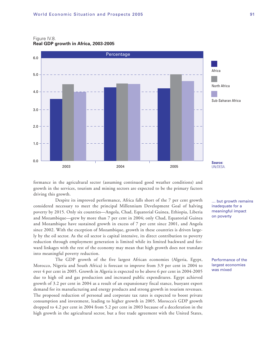### Figure IV.8.

**Real GDP growth in Africa, 2003-2005**



formance in the agricultural sector (assuming continued good weather conditions) and growth in the services, tourism and mining sectors are expected to be the primary factors driving this growth.

Despite its improved performance, Africa falls short of the 7 per cent growth considered necessary to meet the principal Millennium Development Goal of halving poverty by 2015. Only six countries—Angola, Chad, Equatorial Guinea, Ethiopia, Liberia and Mozambique—grew by more than 7 per cent in 2004; only Chad, Equatorial Guinea and Mozambique have sustained growth in excess of 7 per cent since 2001, and Angola since 2002. With the exception of Mozambique, growth in these countries is driven largely by the oil sector. As the oil sector is capital intensive, its direct contribution to poverty reduction through employment generation is limited while its limited backward and forward linkages with the rest of the economy may mean that high growth does not translate into meaningful poverty reduction.

The GDP growth of the five largest African economies (Algeria, Egypt, Morocco, Nigeria and South Africa) is forecast to improve from 3.9 per cent in 2004 to over 4 per cent in 2005. Growth in Algeria is expected to be above 6 per cent in 2004-2005 due to high oil and gas production and increased public expenditures. Egypt achieved growth of 3.2 per cent in 2004 as a result of an expansionary fiscal stance, buoyant export demand for its manufacturing and energy products and strong growth in tourism revenues. The proposed reduction of personal and corporate tax rates is expected to boost private consumption and investment, leading to higher growth in 2005. Morocco's GDP growth dropped to 4.2 per cent in 2004 from 5.2 per cent in 2003 because of a deceleration in the high growth in the agricultural sector, but a free trade agreement with the United States, … but growth remains inadequate for a meaningful impact on poverty

Performance of the largest economies was mixed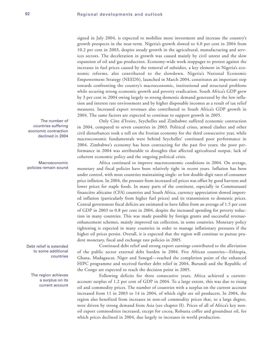signed in July 2004, is expected to mobilize more investment and increase the country's growth prospects in the near-term. Nigeria's growth slowed to 4.0 per cent in 2004 from 10.2 per cent in 2003, despite steady growth in the agricultural, manufacturing and services sectors. The deceleration in growth was caused mainly by civil unrest and the slow expansion of oil and gas production. Economy-wide work stoppages to protest against the increases in fuel prices caused by the removal of subsidies, a key element in Nigeria's economic reforms, also contributed to the slowdown. Nigeria's National Economic Empowerment Strategy (NEEDS), launched in March 2004, constitutes an important step towards confronting the country's macroeconomic, institutional and structural problems while securing strong economic growth and poverty eradication. South Africa's GDP grew by 3 per cent in 2004 owing largely to strong domestic demand generated by the low inflation and interest rate environment and by higher disposable incomes as a result of tax relief measures. Increased export revenues also contributed to South Africa's GDP growth in 2004. The same factors are expected to continue to support growth in 2005.

Only Côte d'Ivoire, Seychelles and Zimbabwe suffered economic contraction in 2004, compared to seven countries in 2003. Political crises, armed clashes and other civil disturbances took a toll on the Ivorian economy for the third consecutive year, while macroeconomic fundamentals were behind Seychelles' continued poor performance in 2004. Zimbabwe's economy has been contracting for the past five years; the poor performance in 2004 was attributable to droughts that affected agricultural output, lack of coherent economic policy and the ongoing political crisis.

Africa continued to improve macroeconomic conditions in 2004. On average, monetary and fiscal policies have been relatively tight in recent years. Inflation has been under control, with most countries maintaining single- or low double-digit rates of consumer price inflation. In 2004, the pressure from increased oil prices was offset by good harvests and lower prices for staple foods. In many parts of the continent, especially in Communauté financière africaine (CFA) countries and South Africa, currency appreciation slowed imported inflation (particularly from higher fuel prices) and its transmission to domestic prices. Central government fiscal deficits are estimated to have fallen from an average of 1.5 per cent of GDP in 2003 to 0.8 per cent in 2004, despite the increased spending for poverty reduction in many countries. This was made possible by foreign grants and successful revenueenhancement schemes, mainly improved tax collection, in some countries. Monetary policy tightening is expected in many countries in order to manage inflationary pressures if the higher oil prices persist. Overall, it is expected that the region will continue to pursue prudent monetary, fiscal and exchange rate policies in 2005.

Continued debt relief and strong export earnings contributed to the alleviation of the public sector external debt burden in 2004. Five African countries—Ethiopia, Ghana, Madagascar, Niger and Senegal—reached the completion point of the enhanced HIPC programme and received further debt relief in 2004. Burundi and the Republic of the Congo are expected to reach the decision point in 2005.

Following deficits for three consecutive years, Africa achieved a currentaccount surplus of 1.2 per cent of GDP in 2004. To a large extent, this was due to rising oil and commodity prices. The number of countries with a surplus on the current account increased from 11 in 2003 to 14 in 2004, of which eight are oil producers. In 2004, the region also benefited from increases in non-oil commodity prices that, to a large degree, were driven by strong demand from Asia (see chapter II). Prices of all of Africa's key nonoil export commodities increased, except for cocoa, Robusta coffee and groundnut oil, for which prices declined in 2004, due largely to increases in world production.

The number of countries suffering economic contraction declined in 2004

Macroeconomic policies remain sound

Debt relief is extended to some additional countries

> The region achieves a surplus on its current account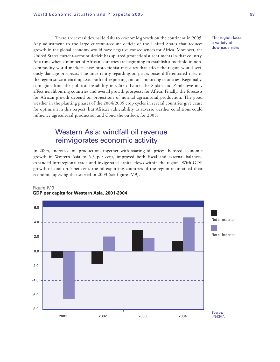There are several downside risks to economic growth on the continent in 2005. Any adjustment to the large current-account deficit of the United States that reduces growth in the global economy would have negative consequences for Africa. Moreover, the United States current-account deficit has spurred protectionist sentiments in that country. At a time when a number of African countries are beginning to establish a foothold in noncommodity world markets, new protectionist measures that affect the region would seriously damage prospects. The uncertainty regarding oil prices poses differentiated risks to the region since it encompasses both oil-exporting and oil-importing countries. Regionally, contagion from the political instability in Côte d'Ivoire, the Sudan and Zimbabwe may affect neighbouring countries and overall growth prospects for Africa. Finally, the forecasts for African growth depend on projections of normal agricultural production. The good weather in the planting phases of the 2004/2005 crop cycles in several countries give cause for optimism in this respect, but Africa's vulnerability to adverse weather conditions could influence agricultural production and cloud the outlook for 2005.

# Western Asia: windfall oil revenue reinvigorates economic activity

In 2004, increased oil production, together with soaring oil prices, boosted economic growth in Western Asia to 5.5 per cent, improved both fiscal and external balances, expanded intraregional trade and invigorated capital flows within the region. With GDP growth of about 4.5 per cent, the oil-exporting countries of the region maintained their economic upswing that started in 2003 (see figure IV.9).



#### Figure IV.9. **GDP per capita for Western Asia, 2001-2004**

The region faces a variety of downside risks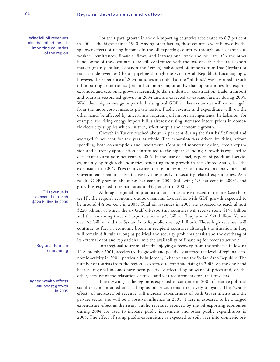For their part, growth in the oil-importing countries accelerated to 6.7 per cent in 2004—the highest since 1990. Among other factors, these countries were buoyed by the spillover effects of rising incomes in the oil-exporting countries through such channels as workers' remittances, financial flows, and intraregional trade and tourism. On the other hand, some of these countries are still confronted with the loss of either the Iraqi export market (mainly Jordan, Lebanon and Yemen), subsidized oil imports from Iraq (Jordan) or transit-trade revenues (the oil pipeline through the Syrian Arab Republic). Encouragingly, however, the experience of 2004 indicates not only that the "oil shock" was absorbed in such oil-importing countries as Jordan but, more importantly, that opportunities for exports expanded and economic growth increased. Jordan's industrial, construction, trade, transport and tourism sectors led growth in 2004 and are expected to expand further during 2005. With their higher energy import bill, rising real GDP in these countries will come largely from the more cost-conscious private sector. Public revenue and expenditure will, on the other hand, be affected by uncertainty regarding oil import arrangements. In Lebanon, for example, the rising energy import bill is already causing increased interruptions in domestic electricity supplies which, in turn, affect output and economic growth.

Growth in Turkey reached about 12 per cent during the first half of 2004 and averaged 9 per cent for the year as whole. The expansion was driven by rising private spending, both consumption and investment. Continued monetary easing, credit expansion and currency appreciation contributed to the higher spending. Growth is expected to decelerate to around 6 per cent in 2005. In the case of Israel, exports of goods and services, mainly by high-tech industries benefiting from growth in the United States, led the expansion in 2004. Private investment rose in response to this export buoyancy and Government spending also increased, due mostly to security-related expenditures. As a result, GDP grew by about 3.6 per cent in 2004 (following 1.3 per cent in 2003), and growth is expected to remain around 3¾ per cent in 2005.

Although regional oil production and prices are expected to decline (see chapter II), the region's economic outlook remains favourable, with GDP growth expected to be around 4½ per cent in 2005. Total oil revenues in 2005 are expected to reach almost \$220 billion, of which the six Gulf oil-exporting countries will receive some \$190 billion and the remaining three oil exporters some \$28 billion (Iraq around \$20 billion, Yemen over \$5 billion and the Syrian Arab Republic over \$3 billion). Those high revenues will continue to fuel an economic boom in recipient countries although the situation in Iraq will remain difficult as long as political and security problems persist and the overhang of its external debt and reparations limit the availability of financing for reconstruction.**<sup>2</sup>**

Intraregional tourism, already enjoying a recovery from the setbacks following 11 September 2001, accelerated its growth and positively affected the level of regional economic activity in 2004, particularly in Jordan, Lebanon and the Syrian Arab Republic. The number of tourists from the region is expected to continue rising in 2005, on the one hand because regional incomes have been positively affected by buoyant oil prices and, on the other, because of the relaxation of travel and visa requirements for Iraqi travelers.

The upswing in the region is expected to continue in 2005 if relative political stability is maintained and as long as oil prices remain relatively buoyant. The "wealth effect" of increased oil revenue will increase expenditures of both Governments and the private sector and will be a positive influence in 2005. There is expected to be a lagged expenditure effect as the rising public revenues received by the oil-exporting economies during 2004 are used to increase public investment and other public expenditures in 2005. The effect of rising public expenditure is expected to spill over into domestic pri-

Windfall oil revenues also benefited the oilimporting countries of the region

> Oil revenue is expected to reach \$220 billion in 2005

> > Regional tourism is rebounding

Lagged wealth effects will boost growth in 2005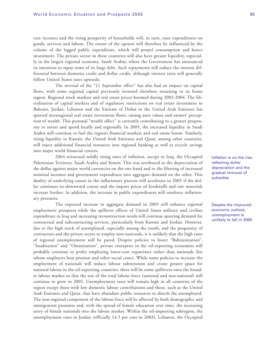vate incomes and the rising prosperity of households will, in turn, raise expenditures on goods, services and labour. The extent of the upturn will therefore be influenced by the volume of the lagged public expenditure, which will propel consumption and hence investment. The private sector in these countries will also have greater liquidity, especially in the largest regional economy, Saudi Arabia, where the Government has announced its intention to repay some of its large debt. Such repayments will reduce the interest differential between domestic credit and dollar credit, although interest rates will generally follow United States rates upwards.

The reversal of the "11 September effect" has also had an impact on capital flows, with some regional capital previously invested elsewhere returning to its home region. Regional stock markets and real estate prices boomed during 2003-2004. The liberalization of capital markets and of regulatory restrictions on real estate investment in Bahrain, Jordan, Lebanon and the Emirate of Dubai in the United Arab Emirates has spurred intraregional real estate investment flows, raising asset values and owners' perception of wealth. This personal "wealth effect" is currently contributing to a greater propensity to invest and spend locally and regionally. In 2005, the increased liquidity in Saudi Arabia will continue to fuel the region's financial markets and real estate boom. Similarly, rising liquidity in Kuwait, the United Arab Emirates and Qatar, among other countries, will inject additional financial resources into regional banking as well as recycle savings into major world financial centres.

2004 witnessed mildly rising rates of inflation, except in Iraq, the Occupied Palestinian Territory, Saudi Arabia and Yemen. This was attributed to the depreciation of the dollar against major world currencies on the one hand and to the filtering of increased nominal incomes and government expenditure into aggregate demand on the other. This duality of underlying causes in the inflationary process will accelerate in 2005 if the dollar continues its downward course and the import prices of foodstuffs and raw materials increase further. In addition, the increase in public expenditures will reinforce inflationary pressures.

The expected increase in aggregate demand in 2005 will enhance regional employment prospects while the spillover effects of United States military and civilian expenditure in Iraq and increasing reconstruction needs will continue spurring demand for contractual and subcontracting services, particularly from Kuwait and Jordan. However, due to the high stock of unemployed, especially among the youth, and the propensity of contractors and the private sector to employ non-nationals, it is unlikely that the high rates of regional unemployment will be pared. Despite policies to foster "Bahrainization", "Saudization" and "Omanization", private enterprise in the oil-exporting economies will probably continue to prefer employing lower-cost expatriates rather than nationals (for whom employers bear pension and other social costs). While some policies to increase the employment of nationals will induce labour substitution and create greater space for national labour in the oil-exporting countries, there will be some spillovers onto the broader labour market so that the size of the total labour force (national and non-national) will continue to grow in 2005. Unemployment rates will remain high in all countries of the region except those with low domestic labour contributions and those, such as the United Arab Emirates and Qatar, that have abundant public resources to absorb the unemployed. The non-regional component of the labour force will be affected by both demographic and immigration pressures and, with the spread of female education over time, the increasing entry of female nationals into the labour market. Within the oil-importing subregion, the unemployment rates in Jordan (officially 14.5 per cent in 2003), Lebanon, the Occupied

Inflation is on the rise, reflecting dollar depreciation and the gradual removal of subsidies

Despite the improved economic outlook, unemployment is unlikely to fall in 2005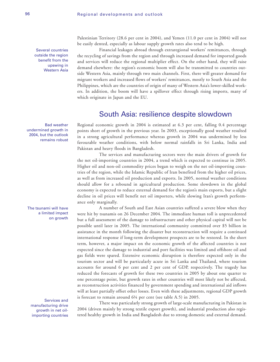Several countries outside the region benefit from the upswing in Western Asia

Bad weather undermined growth in 2004, but the outlook remains robust

The tsunami will have a limited impact on growth

Services and manufacturing drive growth in net oilimporting countries Palestinian Territory (28.6 per cent in 2004), and Yemen (11.0 per cent in 2004) will not be easily dented, especially as labour supply growth rates also tend to be high.

Financial leakages abroad through extraregional workers' remittances, through the recycling of savings from the region and through increased demand for imported goods and services will reduce the regional multiplier effect. On the other hand, they will raise demand elsewhere: the region's economic boom will also be transmitted to countries outside Western Asia, mainly through two main channels. First, there will greater demand for migrant workers and increased flows of workers' remittances, mostly to South Asia and the Philippines, which are the countries of origin of many of Western Asia's lower-skilled workers. In addition, the boom will have a spillover effect through rising imports, many of which originate in Japan and the EU.

# South Asia: resilience despite slowdown

Regional economic growth in 2004 is estimated at 6.3 per cent, falling 0.4 percentage points short of growth in the previous year. In 2003, exceptionally good weather resulted in a strong agricultural performance whereas growth in 2004 was undermined by less favourable weather conditions, with below normal rainfalls in Sri Lanka, India and Pakistan and heavy floods in Bangladesh.

The services and manufacturing sectors were the main drivers of growth for the net oil-importing countries in 2004, a trend which is expected to continue in 2005. Higher oil and non-oil commodity prices began to weigh on the net oil-importing countries of the region, while the Islamic Republic of Iran benefited from the higher oil prices, as well as from increased oil production and exports. In 2005, normal weather conditions should allow for a rebound in agricultural production. Some slowdown in the global economy is expected to reduce external demand for the region's main exports, but a slight decline in oil prices will benefit net oil importers, while slowing Iran's growth performance only marginally.

A number of South and East Asian countries suffered a severe blow when they were hit by tsunamis on 26 December 2004. The immediate human toll is unprecedented but a full assessment of the damage to infrastructure and other physical capital will not be possible until later in 2005. The international community committed over \$5 billion in assistance in the month following the disaster but reconstruction will require a continued international response if long-term development prospects are to be restored. In the short term, however, a major impact on the economic growth of the affected countries is not expected since the damage to industrial and port facilities was limited and offshore oil and gas fields were spared. Extensive economic disruption is therefore expected only in the tourism sector and will be particularly acute in Sri Lanka and Thailand, where tourism accounts for around 6 per cent and 2 per cent of GDP, respectively. The tragedy has reduced the forecasts of growth for these two countries in 2005 by about one quarter to one percentage point, but growth rates in other countries will most likely not be affected, as reconstruction activities financed by government spending and international aid inflows will at least partially offset other losses. Even with these adjustments, regional GDP growth is forecast to remain around 6¼ per cent (see table A.5) in 2005.

There was particularly strong growth of large-scale manufacturing in Pakistan in 2004 (driven mainly by strong textile export growth), and industrial production also registered healthy growth in India and Bangladesh due to strong domestic and external demand.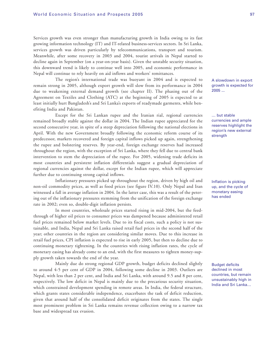Services growth was even stronger than manufacturing growth in India owing to its fast growing information technology (IT) and IT-related business-services sectors. In Sri Lanka, services growth was driven particularly by telecommunications, transport and tourism. Meanwhile, after some recovery in 2003 and 2004, tourist arrivals in Nepal started to decline again in September (on a year-on-year basis). Given the unstable security situation, this downward trend is likely to continue well into 2005, and economic performance in Nepal will continue to rely heavily on aid inflows and workers' remittances.

The region's international trade was buoyant in 2004 and is expected to remain strong in 2005, although export growth will slow from its performance in 2004 due to weakening external demand growth (see chapter II). The phasing out of the Agreement on Textiles and Clothing (ATC) at the beginning of 2005 is expected to at least initially hurt Bangladesh's and Sri Lanka's exports of readymade garments, while benefiting India and Pakistan.

Except for the Sri Lankan rupee and the Iranian rial, regional currencies remained broadly stable against the dollar in 2004. The Indian rupee appreciated for the second consecutive year, in spite of a steep depreciation following the national elections in April. With the new Government broadly following the economic reform course of its predecessor, markets recovered and foreign capital inflows picked up again, strengthening the rupee and bolstering reserves. By year-end, foreign exchange reserves had increased throughout the region, with the exception of Sri Lanka, where they fell due to central bank intervention to stem the depreciation of the rupee. For 2005, widening trade deficits in most countries and persistent inflation differentials suggest a gradual depreciation of regional currencies against the dollar, except for the Indian rupee, which will appreciate further due to continuing strong capital inflows.

Inflationary pressures picked up throughout the region, driven by high oil and non-oil commodity prices, as well as food prices (see figure IV.10). Only Nepal and Iran witnessed a fall in average inflation in 2004. In the latter case, this was a result of the petering out of the inflationary pressures stemming from the unification of the foreign exchange rate in 2002; even so, double-digit inflation persists.

In most countries, wholesale prices started rising in mid-2004, but the feedthrough of higher oil prices to consumer prices was dampened because administered retail fuel prices remained below market levels. Due to its fiscal costs, such a policy is not sustainable, and India, Nepal and Sri Lanka raised retail fuel prices in the second half of the year; other countries in the region are considering similar moves. Due to this increase in retail fuel prices, CPI inflation is expected to rise in early 2005, but then to decline due to continuing monetary tightening. In the countries with rising inflation rates, the cycle of monetary easing has already come to an end, with the first measures to tighten money-supply growth taken towards the end of the year.

Mainly due do strong regional GDP growth, budget deficits declined slightly to around 4-5 per cent of GDP in 2004, following some decline in 2003. Outliers are Nepal, with less than 2 per cent, and India and Sri Lanka, with around 9.5 and 8 per cent, respectively. The low deficit in Nepal is mainly due to the precarious security situation, which constrained development spending in remote areas. In India, the federal structure, which grants states considerable independence, exacerbates the task of deficit reduction, given that around half of the consolidated deficit originates from the states. The single most prominent problem in Sri Lanka remains revenue collection owing to a narrow tax base and widespread tax evasion.

A slowdown in export growth is expected for 2005 ...

… but stable currencies and ample reserves highlight the region's new external strength

Inflation is picking up, and the cycle of monetary easing has ended

Budget deficits declined in most countries, but remain unsustainably high in India and Sri Lanka…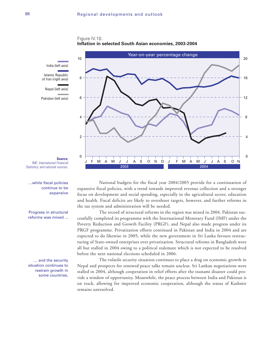



**Source:** IMF, International Financial Statistics: and national sources.

…while fiscal policies continue to be expansive

Progress in structural reforms was mixed ...

… and the security situation continues to restrain growth in some countries.

National budgets for the fiscal year 2004/2005 provide for a continuation of expansive fiscal policies, with a trend towards improved revenue collection and a stronger focus on development and social spending, especially in the agricultural sector, education and health. Fiscal deficits are likely to overshoot targets, however, and further reforms in the tax system and administration will be needed.

The record of structural reforms in the region was mixed in 2004. Pakistan successfully completed its programme with the International Monetary Fund (IMF) under the Poverty Reduction and Growth Facility (PRGF), and Nepal also made progress under its PRGF programme. Privatization efforts continued in Pakistan and India in 2004 and are expected to do likewise in 2005, while the new government in Sri Lanka favours restructuring of State-owned enterprises over privatization. Structural reforms in Bangladesh were all but stalled in 2004 owing to a political stalemate which is not expected to be resolved before the next national elections scheduled in 2006.

The volatile security situation continues to place a drag on economic growth in Nepal and prospects for renewed peace talks remain unclear. Sri Lankan negotiations were stalled in 2004, although cooperation in relief efforts after the tsunami disaster could provide a window of opportunity. Meanwhile, the peace process between India and Pakistan is on track, allowing for improved economic cooperation, although the status of Kashmir remains unresolved.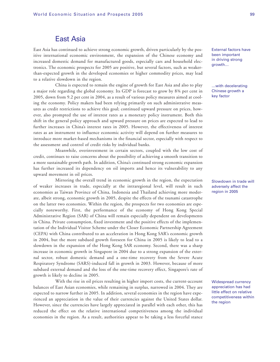# East Asia

East Asia has continued to achieve strong economic growth, driven particularly by the positive international economic environment, the expansion of the Chinese economy and increased domestic demand for manufactured goods, especially cars and household electronics. The economic prospects for 2005 are positive, but several factors, such as weakerthan-expected growth in the developed economies or higher commodity prices, may lead to a relative slowdown in the region.

China is expected to remain the engine of growth for East Asia and also to play a major role regarding the global economy. Its GDP is forecast to grow by 8¾ per cent in 2005, down from 9.2 per cent in 2004, as a result of various policy measures aimed at cooling the economy. Policy makers had been relying primarily on such administrative measures as credit restrictions to achieve this goal; continued upward pressure on prices, however, also prompted the use of interest rates as a monetary policy instrument. Both this shift in the general policy approach and upward pressure on prices are expected to lead to further increases in China's interest rates in 2005. However, the effectiveness of interest rates as an instrument to influence economic activity will depend on further measures to introduce more market-based mechanisms in the financial sector, especially with respect to the assessment and control of credit risks by individual banks.

Meanwhile, overinvestment in certain sectors, coupled with the low cost of credit, continues to raise concerns about the possibility of achieving a smooth transition to a more sustainable growth path. In addition, China's continued strong economic expansion has further increased its dependency on oil imports and hence its vulnerability to any upward movement in oil prices.

Mirroring the overall trend in economic growth in the region, the expectation of weaker increases in trade, especially at the intraregional level, will result in such economies as Taiwan Province of China, Indonesia and Thailand achieving more moderate, albeit strong, economic growth in 2005, despite the effects of the tsunami catastrophe on the latter two economies. Within the region, the prospects for two economies are especially noteworthy. First, the performance of the economy of Hong Kong Special Administrative Region (SAR) of China will remain especially dependent on developments in China. Private consumption, fixed investment and the positive effects of the implementation of the Individual Visitor Scheme under the Closer Economic Partnership Agreement (CEPA) with China contributed to an acceleration in Hong Kong SAR's economic growth in 2004, but the more subdued growth foreseen for China in 2005 is likely to lead to a slowdown in the expansion of the Hong Kong SAR economy. Second, there was a sharp increase in economic growth in Singapore in 2004 due to a strong expansion of the external sector, robust domestic demand and a one-time recovery from the Severe Acute Respiratory Syndrome (SARS)-induced fall in growth in 2003. However, because of more subdued external demand and the loss of the one-time recovery effect, Singapore's rate of growth is likely to decline in 2005.

With the rise in oil prices resulting in higher import costs, the current-account balances of East Asian economies, while remaining in surplus, narrowed in 2004. They are expected to narrow further in 2005. In addition, several economies in the region have experienced an appreciation in the value of their currencies against the United States dollar. However, since the currencies have largely appreciated in parallel with each other, this has reduced the effect on the relative international competitiveness among the individual economies in the region. As a result, authorities appear to be taking a less forceful stance External factors have been important in driving strong growth…

…with decelerating Chinese growth a key factor

Slowdown in trade will adversely affect the region in 2005

Widespread currency appreciation has had little effect on relative competitiveness within the region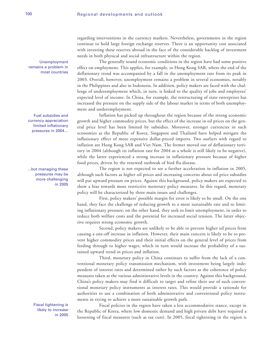regarding interventions in the currency markets. Nevertheless, governments in the region continue to hold large foreign exchange reserves. There is an opportunity cost associated with investing these reserves abroad in the face of the considerable backlog of investment needs in both physical and social infrastructure within the region.

The generally sound economic conditions in the region have had some positive effect on employment. This applies, for example, to Hong Kong SAR, where the end of the deflationary trend was accompanied by a fall in the unemployment rate from its peak in 2003. Overall, however, unemployment remains a problem in several economies, notably in the Philippines and also in Indonesia. In addition, policy makers are faced with the challenge of underemployment which, in turn, is linked to the quality of jobs and employees' expected level of income. In China, for example, the restructuring of state enterprises has increased the pressure on the supply side of the labour market in terms of both unemployment and underemployment.

Inflation has picked up throughout the region because of the strong economic growth and higher commodity prices, but the effect of the increase in oil prices on the general price level has been limited by subsidies. Moreover, stronger currencies in such economies as the Republic of Korea, Singapore and Thailand have helped mitigate the inflationary effect of more expensive dollar-priced imports. Two outliers with regard to inflation are Hong Kong SAR and Viet Nam. The former moved out of deflationary territory in 2004 (although its inflation rate for 2004 as a whole is still likely to be negative), while the latter experienced a strong increase in inflationary pressure because of higher food prices, driven by the renewed outbreak of bird flu disease.

The region is not expected to see a further acceleration in inflation in 2005, although such factors as higher oil prices and increasing concerns about oil price subsidies will put upward pressure on prices. Against this background, policy makers are expected to show a bias towards more restrictive monetary policy measures. In this regard, monetary policy will be characterized by three main issues and challenges.

First, policy makers' possible margin for error is likely to be small. On the one hand, they face the challenge of reducing growth to a more sustainable rate and to limiting inflationary pressure; on the other hand, they seek to limit unemployment, in order to reduce both welfare costs and the potential for increased social tension. The latter objective requires strong economic growth.

Second, policy makers are unlikely to be able to prevent higher oil prices from causing a one-off increase in inflation. However, their main concern is likely to be to prevent higher commodity prices and their initial effects on the general level of prices from feeding through to higher wages, which in turn would increase the probability of a sustained upward trend in prices and inflation.

Third, monetary policy in China continues to suffer from the lack of a conventional monetary policy transmission mechanism, with investment being largely independent of interest rates and determined rather by such factors as the coherence of policy measures taken at the various administrative levels in the country. Against this background, China's policy makers may find it difficult to target and refine their use of such conventional monetary policy instruments as interest rates. This would provide a rationale for authorities to use a combination of both administrative and conventional policy instruments in trying to achieve a more sustainable growth path.

Fiscal policies in the region have taken a less accommodative stance, except in the Republic of Korea, where low domestic demand and high private debt have required a loosening of fiscal measures (such as tax cuts). In 2005, fiscal tightening in the region is

Unemployment remains a problem in most countries

Fuel subsidies and currency appreciation limited inflationary pressures in 2004…

…but managing these pressures may be more challenging in 2005

> Fiscal tightening is likely to increase in 2005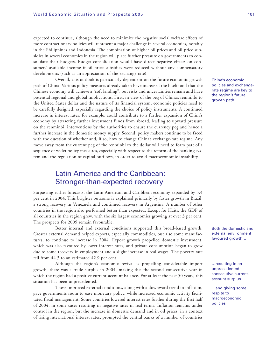expected to continue, although the need to minimize the negative social welfare effects of more contractionary policies will represent a major challenge in several economies, notably in the Philippines and Indonesia. The combination of higher oil prices and oil price subsidies in several economies in the region will place further pressure on governments to consolidate their budgets. Budget consolidation would have direct negative effects on consumers' available income if oil price subsidies were reduced without any compensatory developments (such as an appreciation of the exchange rate).

Overall, this outlook is particularly dependent on the future economic growth path of China. Various policy measures already taken have increased the likelihood that the Chinese economy will achieve a "soft landing", but risks and uncertainties remain and have potential regional and global implications. First, in view of the peg of China's renminbi to the United States dollar and the nature of its financial system, economic policies need to be carefully designed, especially regarding the choice of policy instruments. A continued increase in interest rates, for example, could contribute to a further expansion of China's economy by attracting further investment funds from abroad, leading to upward pressure on the renminbi, interventions by the authorities to ensure the currency peg and hence a further increase in the domestic money supply. Second, policy makers continue to be faced with the question of whether and, if so, how to change China's exchange-rate regime. Any move away from the current peg of the renminbi to the dollar will need to form part of a sequence of wider policy measures, especially with respect to the reform of the banking system and the regulation of capital outflows, in order to avoid macroeconomic instability.

# Latin America and the Caribbean: Stronger-than-expected recovery

Surpassing earlier forecasts, the Latin American and Caribbean economy expanded by 5.4 per cent in 2004. This brighter outcome is explained primarily by faster growth in Brazil, a strong recovery in Venezuela and continued recovery in Argentina. A number of other countries in the region also performed better than expected. Except for Haiti, the GDP of all countries in the region grew, with the six largest economies growing at over 3 per cent. The prospects for 2005 remain favourable.

Better internal and external conditions supported this broad-based growth. Greater external demand helped exports, especially commodities, but also some manufactures, to continue to increase in 2004. Export growth propelled domestic investment, which was also favoured by lower interest rates, and private consumption began to grow due to some recovery in employment and a slight increase in real wages. The poverty rate fell from 44.3 to an estimated 42.9 per cent.

Although the region's economic revival is propelling considerable import growth, there was a trade surplus in 2004, making this the second consecutive year in which the region had a positive current-account balance. For at least the past 50 years, this situation has been unprecedented.

These improved external conditions, along with a downward trend in inflation, gave governments room to ease monetary policy, while increased economic activity facilitated fiscal management. Some countries lowered interest rates further during the first half of 2004, in some cases resulting in negative rates in real terms. Inflation remains under control in the region, but the increase in domestic demand and in oil prices, in a context of rising international interest rates, prompted the central banks of a number of countries China's economic policies and exchangerate regime are key to the region's future growth path

Both the domestic and external environment favoured growth…

…resulting in an unprecedented consecutive currentaccount surplus...

…and giving some respite to macroeconomic policies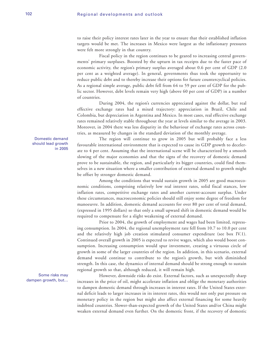to raise their policy interest rates later in the year to ensure that their established inflation targets would be met. The increases in Mexico were largest as the inflationary pressures were felt more strongly in that country.

Fiscal policy in the region continues to be geared to increasing central governments' primary surpluses. Boosted by the upturn in tax receipts due to the faster pace of economic activity, the region's primary surplus averaged about 0.6 per cent of GDP (2.0 per cent as a weighted average). In general, governments thus took the opportunity to reduce public debt and to thereby increase their options for future countercyclical policies. As a regional simple average, public debt fell from 64 to 59 per cent of GDP for the public sector. However, debt levels remain very high (above 60 per cent of GDP) in a number of countries.

During 2004, the region's currencies appreciated against the dollar, but real effective exchange rates had a mixed trajectory: appreciation in Brazil, Chile and Colombia, but depreciation in Argentina and Mexico. In most cases, real effective exchange rates remained relatively stable throughout the year at levels similar to the average in 2003. Moreover, in 2004 there was less disparity in the behaviour of exchange rates across countries, as measured by changes in the standard deviation of the monthly average.

The region will continue to grow in 2005 but will probably face a less

Domestic demand should lead growth in 2005

ate to 4 per cent. Assuming that the international scene will be characterized by a smooth slowing of the major economies and that the signs of the recovery of domestic demand prove to be sustainable, the region, and particularly its bigger countries, could find themselves in a new situation where a smaller contribution of external demand to growth might be offset by stronger domestic demand. Among the conditions that would sustain growth in 2005 are good macroeconomic conditions, comprising relatively low real interest rates, solid fiscal stances, low

favourable international environment that is expected to cause its GDP growth to deceler-

inflation rates, competitive exchange rates and another current-account surplus. Under these circumstances, macroeconomic policies should still enjoy some degree of freedom for manoeuvre. In addition, domestic demand accounts for over 80 per cent of total demand, (expressed in 1995 dollars) so that only a small upward shift in domestic demand would be required to compensate for a slight weakening of external demand.

Prior to 2004, the growth of employment and wages had been limited, repressing consumption. In 2004, the regional unemployment rate fell from 10.7 to 10.0 per cent and the relatively high job creation stimulated consumer expenditure (see box IV.1). Continued overall growth in 2005 is expected to revive wages, which also would boost consumption. Increasing consumption would spur investment, creating a virtuous circle of growth in some of the larger countries of the region. In addition, in this scenario, external demand would continue to contribute to the region's growth, but with diminished strength. In this case, the dynamics of internal demand should be strong enough to sustain regional growth so that, although reduced, it will remain high.

However, downside risks do exist. External factors, such as unexpectedly sharp increases in the price of oil, might accelerate inflation and oblige the monetary authorities to dampen domestic demand through increases in interest rates. If the United States external deficit leads to larger increases in its interest rates, this would not only put pressure on monetary policy in the region but might also affect external financing for some heavily indebted countries. Slower-than-expected growth of the United States and/or China might weaken external demand even further. On the domestic front, if the recovery of domestic

Some risks may dampen growth, but…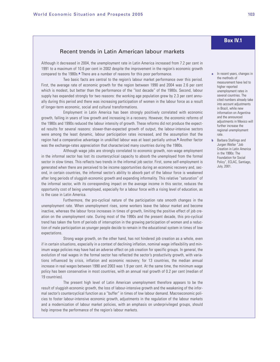## Recent trends in Latin American labour markets

Although it decreased in 2004, the unemployment rate in Latin America increased from 7.2 per cent in 1991 to a maximum of 10.6 per cent in 2002 despite the improvement in the region's economic growth compared to the 1980s.**a** There are a number of reasons for this poor performance.

Two basic facts are central to the region's labour market performance over this period. First, the average rate of economic growth for the region between 1990 and 2004 was 2.6 per cent which is modest, but better than the performance of the "lost decade" of the 1980s. Second, labour supply has expanded strongly for two reasons: the working age population grew by 2.3 per cent annually during this period and there was increasing participation of women in the labour force as a result of longer-term economic, social and cultural transformations.

Employment in Latin America has been strongly positively correlated with economic growth, falling in years of low growth and increasing in a recovery. However, the economic reforms of the 1980s and 1990s reduced the labour intensity of growth. These reforms did not produce the expected results for several reasons: slower-than-expected growth of output, the labour-intensive sectors were among the least dynamic, labour participation rates increased, and the assumption that the region had a comparative advantage in unskilled labour was at least partially untrue.**b** Another factor was the exchange-rates appreciation that characterized many countries during the 1980s.

Although wage jobs are strongly correlated to economic growth, non-wage employment in the informal sector has lost its countercyclical capacity to absorb the unemployed from the formal sector in slow times. This reflects two trends in the informal job sector. First, some self-employment is generated when there are perceived to be income opportunities during an economic recovery and, second, in certain countries, the informal sector's ability to absorb part of the labour force is weakened after long periods of sluggish economic growth and expanding informality. This relative "saturation" of the informal sector, with its corresponding impact on the average income in this sector, reduces the opportunity cost of being unemployed, especially for a labour force with a rising level of education, as is the case in Latin America.

Furthermore, the pro-cyclical nature of the participation rate smooth changes in the unemployment rate. When unemployment rises, some workers leave the labour market and become inactive, whereas the labour force increases in times of growth, limiting the positive effect of job creation on the unemployment rate. During most of the 1990s and the present decade, this pro-cyclical trend has taken the form of periods of interruption in the growing participation of women and a reduction of male participation as younger people decide to remain in the educational system in times of low expectations.

Strong wage growth, on the other hand, has not hindered job creation as a whole, even if in certain situations, especially in a context of declining inflation, nominal wage inflexibility and minimum wage policies may have had an adverse effect on job creation for specific groups. In general, the evolution of real wages in the formal sector has reflected the sector's productivity growth, with variations influenced by crisis, inflation and economic recovery; for 13 countries, the median annual increase in real wages between 1990 and 2003 was 1.9 per cent. At the same time, the minimum wage policy has been conservative in most countries, with an annual real growth of 0.2 per cent (median of 19 countries).

The present high level of Latin American unemployment therefore appears to be the result of sluggish economic growth, the loss of labour-intensive growth and the weakening of the informal sector's countercyclical function as a "buffer" in times of low labour demand. Macroeconomic policies to foster labour-intensive economic growth, adjustments in the regulation of the labour markets and a modernization of labour market policies, with an emphasis on underprivileged groups, should help improve the performance of the region's labour markets.

# **Box IV.1**

- **a** In recent years, changes in the methods of measurement have led to higher reported unemployment rates in several countries. The cited numbers already take into account adjustments in Brazil, while new information on Argentina and the announced adjustments in Mexico will further increase the regional unemployment rate.
- **b** Barbara Stallings and Jurgen Weller "Job Creation in Latin America in the 1990s: The Foundation for Social Policy", ECLAC, Santiago, July, 2001.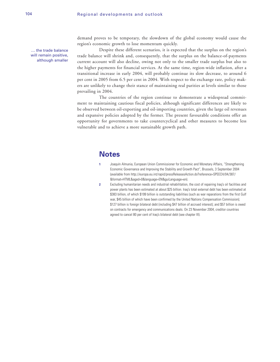… the trade balance will remain positive, although smaller

demand proves to be temporary, the slowdown of the global economy would cause the region's economic growth to lose momentum quickly.

Despite these different scenarios, it is expected that the surplus on the region's trade balance will shrink and, consequently, that the surplus on the balance-of-payments current account will also decline, owing not only to the smaller trade surplus but also to the higher payments for financial services. At the same time, region-wide inflation, after a transitional increase in early 2004, will probably continue its slow decrease, to around 6 per cent in 2005 from 6.5 per cent in 2004. With respect to the exchange rate, policy makers are unlikely to change their stance of maintaining real parities at levels similar to those prevailing in 2004.

The countries of the region continue to demonstrate a widespread commitment to maintaining cautious fiscal policies, although significant differences are likely to be observed between oil-exporting and oil-importing countries, given the large oil revenues and expansive policies adopted by the former. The present favourable conditions offer an opportunity for governments to take countercyclical and other measures to become less vulnerable and to achieve a more sustainable growth path.

# **Notes**

- **1** Joaquín Almunia, European Union Commissioner for Economic and Monetary Affairs, "Strengthening Economic Governance and Improving the Stability and Growth Pact", Brussels, 3 September 2004 (available from http://europa.eu.int/rapid/pressReleasesAction.do?reference=SPEECH/04/387/ &format=HTML&aged=0&language=EN&guiLanguage=en).
- **2** Excluding humanitarian needs and industrial rehabilitation, the cost of repairing Iraq's oil facilities and power plants has been estimated at about \$25 billion. Iraq's total external debt has been estimated at \$383 billion, of which \$199 billion is outstanding liabilities (such as war reparations from the first Gulf war, \$45 billion of which have been confirmed by the United Nations Compensation Commission); \$127 billion is foreign bilateral debt (including \$47 billion of accrued interest); and \$57 billion is owed on contracts for emergency and communications deals. On 23 November 2004, creditor countries agreed to cancel 80 per cent of Iraq's bilateral debt (see chapter III).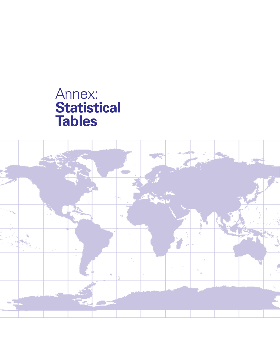# Annex: **Statistical Tables**

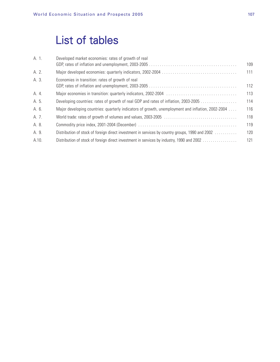# List of tables

| A. 1. | Developed market economies: rates of growth of real                                               | 109 |
|-------|---------------------------------------------------------------------------------------------------|-----|
| A. 2. |                                                                                                   | 111 |
| A. 3. | Economies in transition: rates of growth of real                                                  | 112 |
| A. 4. |                                                                                                   | 113 |
| A. 5. | Developing countries: rates of growth of real GDP and rates of inflation, 2003-2005               | 114 |
| A. 6. | Major developing countries: quarterly indicators of growth, unemployment and inflation, 2002-2004 | 116 |
| A. 7. |                                                                                                   | 118 |
| A. 8. |                                                                                                   | 119 |
| A. 9. | Distribution of stock of foreign direct investment in services by country groups, 1990 and 2002   | 120 |
| A.10. | Distribution of stock of foreign direct investment in services by industry, 1990 and 2002         | 121 |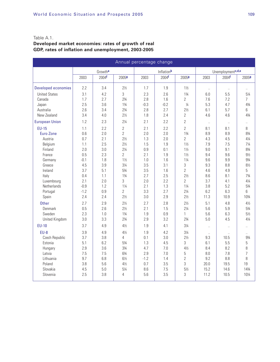## Table A.1.

## **Developed market economies: rates of growth of real GDP, rates of inflation and unemployment, 2003-2005**

| Annual percentage change   |        |         |                   |        |                   |                   |                      |                             |                      |  |  |
|----------------------------|--------|---------|-------------------|--------|-------------------|-------------------|----------------------|-----------------------------|----------------------|--|--|
|                            |        | Growtha |                   |        | Inflationb        |                   |                      | Unemploymentc, d, e         |                      |  |  |
|                            | 2003   | 2004f   | 2005 <sub>9</sub> | 2003   | 2004 <sup>f</sup> | 2005 <sub>9</sub> | 2003                 | 2004 <sup>f</sup>           | 2005 <sub>9</sub>    |  |  |
| <b>Developed economies</b> | 2.2    | 3.4     | $2\frac{1}{2}$    | 1.7    | 1.9               | $1\frac{1}{2}$    | $\ddotsc$            | $\mathcal{L}_{\mathcal{A}}$ | à.                   |  |  |
| <b>United States</b>       | 3.1    | 4.2     | 3                 | 2.3    | 2.6               | $1\frac{3}{4}$    | 6.0                  | 5.5                         | $5\%$                |  |  |
| Canada                     | 1.7    | 2.7     | $2\frac{3}{4}$    | 2.8    | 1.6               | $\overline{2}$    | 7.6                  | 7.2                         | 7                    |  |  |
| Japan                      | 2.5    | 3.6     | $1\frac{3}{4}$    | $-0.3$ | $-0.2$            | $\frac{1}{4}$     | 5.3                  | 4.7                         | 43⁄4                 |  |  |
| Australia                  | 2.6    | 3.4     | $2\frac{3}{4}$    | 2.8    | 2.7               | $2\frac{1}{2}$    | 6.1                  | 5.7                         | 6                    |  |  |
| New Zealand                | 3.4    | 4.0     | $2\frac{1}{2}$    | 1.8    | 2.4               | $\overline{2}$    | 4.6                  | 4.6                         | 43/4                 |  |  |
| <b>European Union</b>      | 1.2    | 2.3     | $2\frac{1}{4}$    | 2.1    | 2.2               | $\overline{2}$    | $\ddotsc$            | $\ddotsc$                   | $\ddot{\phantom{a}}$ |  |  |
| <b>EU-15</b>               | 1.1    | 2.2     | $\overline{2}$    | 2.1    | 2.2               | $\overline{2}$    | 8.1                  | 8.1                         | 8                    |  |  |
| Euro Zone                  | 0.6    | 2.0     | $\overline{2}$    | 2.0    | 2.0               | $1\frac{3}{4}$    | 8.9                  | 8.9                         | 83⁄4                 |  |  |
| Austria                    | 0.7    | 2.1     | $2\frac{1}{2}$    | 1.3    | 2.0               | $\overline{2}$    | 4.3                  | 4.5                         | $4\frac{1}{4}$       |  |  |
| Belgium                    | 1.1    | 2.5     | $2\frac{1}{2}$    | 1.5    | 1.9               | $1\frac{1}{2}$    | 7.9                  | 7.5                         | $7\frac{1}{4}$       |  |  |
| Finland                    | 2.0    | 3.0     | $2\frac{1}{4}$    | 0.9    | 0.1               | $1\frac{1}{2}$    | 9.0                  | 9.1                         | 83⁄4                 |  |  |
| France                     | 0.5    | 2.3     | $\overline{2}$    | 2.1    | 1.9               | $1\frac{1}{2}$    | 9.4                  | 9.6                         | $9\frac{1}{2}$       |  |  |
| Germany                    | $-0.1$ | 1.8     | $1\frac{1}{2}$    | 1.0    | 1.6               | $1\frac{1}{4}$    | 9.6                  | 9.9                         | 93/4                 |  |  |
| Greece                     | 4.5    | 3.9     | $3\frac{1}{4}$    | 3.5    | 3.1               | 3                 | 9.3                  | 8.8                         | $8\frac{1}{2}$       |  |  |
| Ireland                    | 3.7    | 5.1     | 53⁄4              | 3.5    | 1.6               | $\overline{2}$    | 4.6                  | 4.9                         | 5                    |  |  |
| Italy                      | 0.4    | 1.1     | $1\frac{3}{4}$    | 2.7    | 2.5               | $2\frac{1}{2}$    | 8.6                  | 8.1                         | 73/4                 |  |  |
| Luxembourg                 | 2.1    | 2.0     | 3                 | 2.0    | 2.2               | $\overline{2}$    | 3.7                  | 4.1                         | $4\frac{1}{4}$       |  |  |
| <b>Netherlands</b>         | $-0.9$ | 1.2     | $1\frac{1}{4}$    | 2.1    | 1.3               | $1\frac{1}{4}$    | 3.8                  | 5.2                         | 53⁄4                 |  |  |
| Portugal                   | $-1.2$ | 0.9     | $\overline{2}$    | 3.3    | 2.7               | $2\frac{1}{4}$    | 6.2                  | 6.3                         | 6                    |  |  |
| Spain                      | 2.4    | 2.4     | $2\frac{1}{2}$    | 3.0    | 2.9               | $2\frac{1}{2}$    | 11.3                 | 10.9                        | 1034                 |  |  |
| <b>Other</b>               | 2.7    | 2.9     | $2\frac{1}{2}$    | 2.7    | 2.8               | $2\frac{1}{2}$    | 5.1                  | 4.8                         | $4\frac{1}{2}$       |  |  |
| Denmark                    | 0.5    | 2.6     | $2\frac{1}{2}$    | 2.1    | 1.5               | $2\frac{1}{4}$    | 5.6                  | 5.9                         | 53⁄4                 |  |  |
| Sweden                     | 2.3    | 1.0     | $1\frac{3}{4}$    | 1.9    | 0.9               | $\mathbf{1}$      | 5.6                  | 6.3                         | $5\frac{1}{2}$       |  |  |
| United Kingdom             | 3.0    | 3.3     | $2\frac{3}{4}$    | 2.9    | 3.2               | $2\frac{3}{4}$    | 5.0                  | 4.5                         | 41⁄4                 |  |  |
| <b>EU-10</b>               | 3.7    | 4.9     | $4\frac{1}{2}$    | 1.9    | 4.1               | $3\frac{1}{4}$    | $\ddotsc$            | W.                          | à.                   |  |  |
| $EU-8$                     | 3.9    | 4.9     | $4\frac{1}{2}$    | 1.9    | 4.2               | $3\frac{1}{4}$    | $\ddot{\phantom{a}}$ |                             | ä.                   |  |  |
| Czech Republic             | 3.7    | 3.8     | 4                 | 0.1    | 3.0               | $2\frac{1}{2}$    | 9.3                  | 10.5                        | 93⁄4                 |  |  |
| Estonia                    | 5.1    | 6.2     | 53⁄4              | 1.3    | 4.5               | 3                 | 6.1                  | 5.5                         | 5                    |  |  |
| Hungary                    | 2.9    | 3.6     | 33/4              | 4.7    | 7.0               | $4\frac{1}{2}$    | 8.4                  | 8.2                         | 8                    |  |  |
| Latvia                     | 7.5    | 7.5     | $6\frac{3}{4}$    | 2.9    | 7.0               | 5                 | 8.0                  | 7.8                         | $\overline{7}$       |  |  |
| Lithuania                  | 9.7    | 6.8     | $6\frac{1}{2}$    | $-1.2$ | 1.4               | $\overline{2}$    | 9.2                  | 8.8                         | 8                    |  |  |
| Poland                     | 3.8    | 5.6     | $4\frac{1}{2}$    | 0.7    | 3.5               | 3                 | 20.0                 | 19.5                        | 19                   |  |  |
| Slovakia                   | 4.5    | 5.0     | 51⁄4              | 8.6    | 7.5               | $5\frac{1}{2}$    | 15.2                 | 14.6                        | 143⁄4                |  |  |
| Slovenia                   | 2.5    | 3.8     | $\overline{4}$    | 5.6    | 3.5               | 3                 | 11.2                 | 10.5                        | 101/4                |  |  |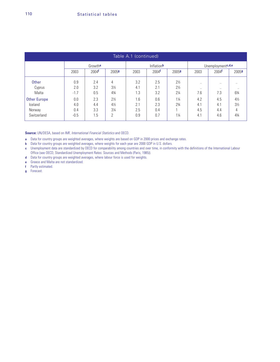| Table A.1 (continued) |        |                     |                |      |                    |                |                                 |                   |                |  |
|-----------------------|--------|---------------------|----------------|------|--------------------|----------------|---------------------------------|-------------------|----------------|--|
|                       |        | Growth <sup>a</sup> |                |      | Inflation <b>b</b> |                | Unemployment <sup>c, d, e</sup> |                   |                |  |
|                       | 2003   | 2004 <sup>f</sup>   | 20059          | 2003 | 2004 <sup>f</sup>  | 20059          | 2003                            | 2004 <sup>f</sup> | 20059          |  |
| Other                 | 0.9    | 2.4                 | 4              | 3.2  | 2.5                | $2\frac{1}{2}$ | $\ddotsc$                       | $\ddotsc$         | $\ddotsc$      |  |
| Cyprus                | 2.0    | 3.2                 | $3\frac{1}{2}$ | 4.1  | 2.1                | $2\frac{1}{2}$ | $\ddotsc$                       | $\cdot$ .         | $\cdot$ .      |  |
| Malta                 | $-1.7$ | 0.5                 | $4\frac{3}{4}$ | 1.3  | 3.2                | $2\frac{1}{4}$ | 7.6                             | 7.3               | 63⁄4           |  |
| <b>Other Europe</b>   | 0.0    | 2.3                 | $2\frac{1}{2}$ | 1.6  | 0.6                | $1\frac{1}{4}$ | 4.2                             | 4.5               | $4\frac{1}{2}$ |  |
| Iceland               | 4.0    | 4.4                 | $4\frac{1}{2}$ | 2.1  | 2.3                | $2\frac{3}{4}$ | 4.1                             | 4.1               | $3\frac{1}{2}$ |  |
| Norway                | 0.4    | 3.3                 | $3\frac{1}{4}$ | 2.5  | 0.4                |                | 4.5                             | 4.4               | 4              |  |
| Switzerland           | $-0.5$ | 1.5                 | 2              | 0.9  | 0.7                | $1\frac{1}{4}$ | 4.1                             | 4.6               | $4\frac{3}{4}$ |  |

**Source:** UN/DESA, based on IMF, International Financial Statistics and OECD.

**a** Data for country groups are weighted averages, where weights are based on GDP in 2000 prices and exchange rates.

**b** Data for country groups are weighted averages, where weights for each year are 2000 GDP in U.S. dollars.

**c** Unemployment data are standardized by OECD for comparability among countries and over time, in conformity with the definitions of the International Labour Office (see OECD, Standardized Unemployment Rates: Sources and Methods (Paris, 1985)).

**d** Data for country groups are weighted averages, where labour force is used for weights.

**e** Greece and Malta are not standardized.

**f** Partly estimated.

**g** Forecast.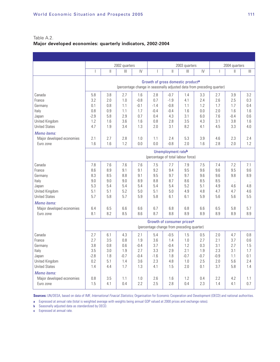Table A.2. **Major developed economies: quarterly indicators, 2002-2004**

|                           |                          |                                    | 2002 quarters |        |                |              | 2003 quarters                              |        |                                                                        | 2004 quarters |              |  |
|---------------------------|--------------------------|------------------------------------|---------------|--------|----------------|--------------|--------------------------------------------|--------|------------------------------------------------------------------------|---------------|--------------|--|
|                           | $\overline{\phantom{a}}$ | $\mathbb{I}$                       | III           | IV     | $\overline{1}$ | $\mathbb{I}$ | $\mathbb{H}$                               | IV     | $\mathsf{I}$                                                           | $\mathbb{I}$  | $\mathbb{H}$ |  |
|                           |                          |                                    |               |        |                |              | Growth of gross domestic producta          |        |                                                                        |               |              |  |
|                           |                          |                                    |               |        |                |              |                                            |        | (percentage change in seasonally adjusted data from preceding quarter) |               |              |  |
| Canada                    | 5.8                      | 3.8                                | 2.7           | 1.6    | 2.8            | $-0.7$       | 1.4                                        | 3.3    | 2.7                                                                    | 3.9           | 3.2          |  |
| France                    | 3.2                      | 2.0                                | 1.0           | $-0.8$ | 0.7            | $-1.9$       | 4.1                                        | 2.4    | 2.6                                                                    | 2.5           | 0.3          |  |
| Germany                   | 0.1                      | 0.8                                | 1.1           | $-0.1$ | $-1.4$         | $-0.8$       | 1.1                                        | 1.2    | 1.7                                                                    | 1.7           | 0.4          |  |
| Italy                     | 0.8                      | 0.9                                | 1.1           | 1.7    | $-0.4$         | $-0.4$       | 1.6                                        | 0.0    | 2.0                                                                    | 1.6           | 1.6          |  |
| Japan                     | $-2.9$                   | 5.8                                | 2.9           | 0.7    | 0.4            | 4.3          | 3.1                                        | 6.0    | 7.6                                                                    | $-0.4$        | 0.6          |  |
| United Kingdom            | 1.2                      | 1.6                                | 3.6           | 1.6    | 0.8            | 2.8          | 3.5                                        | 4.3    | 3.1                                                                    | 3.8           | 1.6          |  |
| <b>United States</b>      | 4.7                      | 1.9                                | 3.4           | 1.3    | 2.0            | 3.1          | 8.2                                        | 4.1    | 4.5                                                                    | 3.3           | 4.0          |  |
| Memo items:               |                          |                                    |               |        |                |              |                                            |        |                                                                        |               |              |  |
| Major developed economies | 2.1                      | 2.7                                | 2.8           | 1.0    | 1.1            | 2.4          | 5.3                                        | 3.9    | 4.6                                                                    | 2.3           | 2.4          |  |
| Euro zone                 | 1.6                      | 1.6                                | 1.2           | 0.0    | 0.0            | $-0.8$       | 2.0                                        | 1.6    | 2.8                                                                    | 2.0           | 1.2          |  |
|                           |                          | Unemployment rateb                 |               |        |                |              |                                            |        |                                                                        |               |              |  |
|                           |                          | (percentage of total labour force) |               |        |                |              |                                            |        |                                                                        |               |              |  |
| Canada                    | 7.8                      | 7.6                                | 7.6           | 7.6    | 7.5            | 7.7          | 7.9                                        | 7.5    | 7.4                                                                    | 7.2           | 7.1          |  |
| France                    | 8.6                      | 8.9                                | 9.1           | 9.1    | 9.2            | 9.4          | 9.5                                        | 9.6    | 9.6                                                                    | 9.5           | 9.6          |  |
| Germany                   | 8.3                      | 8.5                                | 8.8           | 9.1    | 9.5            | 9.7          | 9.7                                        | 9.6    | 9.6                                                                    | 9.8           | 8.9          |  |
| Italy                     | 9.0                      | 9.0                                | 9.0           | 8.9    | 8.8            | 8.7          | 8.6                                        | 8.5    | 8.5                                                                    | $\ddotsc$     | $\ddotsc$    |  |
| Japan                     | 5.3                      | 5.4                                | 5.4           | 5.4    | 5.4            | 5.4          | 5.2                                        | 5.1    | 4.9                                                                    | 4.6           | 4.8          |  |
| United Kingdom            | 5.1                      | 5.1                                | 5.2           | 5.0    | 5.1            | 5.0          | 4.9                                        | 4.8    | 4.7                                                                    | 4.7           | 4.6          |  |
| <b>United States</b>      | 5.7                      | 5.8                                | 5.7           | 5.9    | 5.8            | 6.1          | 6.1                                        | 5.9    | 5.6                                                                    | 5.6           | 5.5          |  |
| Memo items:               |                          |                                    |               |        |                |              |                                            |        |                                                                        |               |              |  |
| Major developed economies | 6.4                      | 6.5                                | 6.6           | 6.6    | 6.7            | 6.8          | 6.8                                        | 6.6    | 6.5                                                                    | 5.8           | 5.7          |  |
| Euro zone                 | 8.1                      | 8.2                                | 8.5           | 8.6    | 8.7            | 8.8          | 8.9                                        | 8.9    | 8.9                                                                    | 8.9           | 8.9          |  |
|                           |                          |                                    |               |        |                |              | Growth of consumer prices <sup>c</sup>     |        |                                                                        |               |              |  |
|                           |                          |                                    |               |        |                |              | (percentage change from preceding quarter) |        |                                                                        |               |              |  |
| Canada                    | 2.7                      | 6.1                                | 4.3           | 2.1    | 5.4            | $-0.5$       | 1.5                                        | 0.5    | 2.0                                                                    | 4.7           | 0.8          |  |
| France                    | 2.7                      | 3.5                                | 0.8           | 1.9    | 3.6            | 1.4          | 1.0                                        | 2.7    | 2.1                                                                    | 3.7           | 0.6          |  |
| Germany                   | 3.8                      | 0.8                                | 0.6           | $-0.4$ | 3.7            | $-0.4$       | 1.2                                        | 0.3    | 3.1                                                                    | 2.7           | 1.5          |  |
| Italy                     | 3.5                      | 3.0                                | 1.9           | 2.7    | 3.3            | 2.9          | 2.1                                        | 1.9    | 2.3                                                                    | 3.1           | 1.7          |  |
| Japan                     | $-2.8$                   | 1.8                                | $-0.7$        | $-0.4$ | $-1.6$         | 1.8          | $-0.7$                                     | $-0.7$ | $-0.9$                                                                 | 1.1           | 0.1          |  |
| United Kingdom            | 0.2                      | 5.1                                | 1.4           | 3.6    | 2.3            | 4.8          | 1.0                                        | 2.5    | 2.0                                                                    | 5.6           | 2.4          |  |
| <b>United States</b>      | 1.4                      | 4.4                                | 1.7           | 1.3    | 4.1            | 1.5          | 2.0                                        | 0.1    | 3.7                                                                    | 5.8           | 1.4          |  |
| Memo items:               |                          |                                    |               |        |                |              |                                            |        |                                                                        |               |              |  |
| Major developed economies | 0.8                      | 3.5                                | 1.1           | 1.0    | 2.6            | 1.6          | 1.2                                        | 0.4    | 2.2                                                                    | 4.2           | 1.1          |  |
| Euro zone                 | 1.5                      | 4.1                                | 0.4           | 2.2    | 2.5            | 2.8          | 0.4                                        | 2.3    | 1.4                                                                    | 4.1           | 0.7          |  |

**Sources:** UN/DESA, based on data of IMF, International Finacial Statistics; Organisation for Economic Cooperation and Development (OECD) and national authorities.

**a** Expressed at annual rate (total is weighted average with weights being annual GDP valued at 2000 prices and exchange rates).

**b** Seasonally adjusted data as standardized by OECD.

**c** Expressed at annual rate.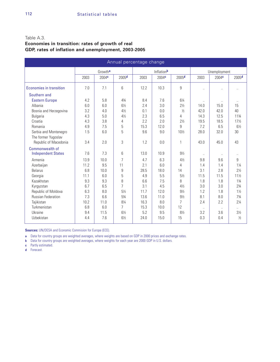## Table A.3.

## **Economies in transition: rates of growth of real GDP, rates of inflation and unemployment, 2003-2005**

| Annual percentage change  |      |                   |                   |      |                   |                   |           |                      |                   |  |  |  |
|---------------------------|------|-------------------|-------------------|------|-------------------|-------------------|-----------|----------------------|-------------------|--|--|--|
|                           |      | Growtha           |                   |      | Inflationb        |                   |           | Unemployment         |                   |  |  |  |
|                           | 2003 | 2004 <sup>c</sup> | 2005 <sup>d</sup> | 2003 | 2004 <sup>c</sup> | 2005 <sup>d</sup> | 2003      | 2004 <sup>c</sup>    | 2005 <sup>d</sup> |  |  |  |
| Economies in transition   | 7.0  | 7.1               | 6                 | 12.2 | 10.3              | $\overline{9}$    | Ω.        |                      | $\ddotsc$         |  |  |  |
| Southern and              |      |                   |                   |      |                   |                   |           |                      |                   |  |  |  |
| <b>Eastern Europe</b>     | 4.2  | 5.8               | 43/4              | 8.4  | 7.6               | $6\frac{1}{4}$    | $\ddotsc$ |                      |                   |  |  |  |
| Albania                   | 6.0  | 6.0               | $6\%$             | 2.4  | 3.0               | $2\frac{1}{2}$    | 14.0      | 15.0                 | 15                |  |  |  |
| Bosnia and Herzegovina    | 3.2  | 4.0               | $4\frac{1}{2}$    | 0.1  | 0.0               | $\frac{1}{2}$     | 42.0      | 42.0                 | 40                |  |  |  |
| <b>Bulgaria</b>           | 4.3  | 5.0               | $4\frac{1}{2}$    | 2.3  | 6.5               | 4                 | 14.3      | 12.5                 | 113/4             |  |  |  |
| Croatia                   | 4.3  | 3.8               | 4                 | 2.2  | 2.0               | $2\frac{1}{2}$    | 19.5      | 18.5                 | $17\frac{1}{2}$   |  |  |  |
| Romania                   | 4.9  | 7.5               | 5                 | 15.3 | 12.0              | 9                 | 7.2       | 6.5                  | $6\%$             |  |  |  |
| Serbia and Montenegro     | 1.5  | 6.0               | 5                 | 9.6  | 9.0               | 10½               | 28.0      | 32.0                 | 30                |  |  |  |
| The former Yugoslav       |      |                   |                   |      |                   |                   |           |                      |                   |  |  |  |
| Republic of Macedonia     | 3.4  | 2.0               | 3                 | 1.2  | 0.0               | 1                 | 43.0      | 45.0                 | 43                |  |  |  |
| Commonwealth of           |      |                   |                   |      |                   |                   |           |                      |                   |  |  |  |
| <b>Independent States</b> | 7.6  | 7.3               | 6                 | 13.0 | 10.9              | $9\frac{1}{2}$    | $\ddotsc$ | $\ddot{\phantom{1}}$ | Ω.                |  |  |  |
| Armenia                   | 13.9 | 10.0              | 7                 | 4.7  | 6.3               | $4\frac{1}{2}$    | 9.8       | 9.6                  | 9                 |  |  |  |
| Azerbaijan                | 11.2 | 9.5               | 11                | 2.1  | 6.0               | 4                 | 1.4       | 1.4                  | $1\frac{1}{4}$    |  |  |  |
| <b>Belarus</b>            | 6.8  | 10.0              | 9                 | 28.5 | 18.0              | 14                | 3.1       | 2.8                  | $2\frac{1}{2}$    |  |  |  |
| Georgia                   | 11.1 | 6.0               | 5                 | 4.9  | 5.5               | $5\%$             | 11.5      | 11.5                 | $11\frac{1}{2}$   |  |  |  |
| Kazakhstan                | 9.3  | 9.3               | 8                 | 6.6  | 7.5               | 8                 | 1.8       | 1.8                  | $1\frac{3}{4}$    |  |  |  |
| Kyrgyzstan                | 6.7  | 6.5               | 7                 | 3.1  | 4.5               | $4\frac{1}{2}$    | 3.0       | 3.0                  | $2\frac{3}{4}$    |  |  |  |
| Republic of Moldova       | 6.3  | 8.0               | $5\frac{1}{2}$    | 11.7 | 12.0              | $9\%$             | 1.2       | 1.8                  | $1\frac{1}{2}$    |  |  |  |
| <b>Russian Federation</b> | 7.3  | 6.6               | 53⁄4              | 13.6 | 11.0              | $9\frac{1}{2}$    | 8.1       | 8.0                  | 73/4              |  |  |  |
| Tajikistan                | 10.2 | 11.0              | 81⁄4              | 16.3 | 8.0               | 7                 | 2.4       | 2.2                  | $2\frac{1}{4}$    |  |  |  |
| Turkmenistan              | 6.8  | 6.0               | $\overline{7}$    | 15.3 | 10.0              | 12                | $\ddotsc$ | $\cdot$ .            | $\ddotsc$         |  |  |  |
| Ukraine                   | 9.4  | 11.5              | $6\frac{1}{2}$    | 5.2  | 9.5               | $8\frac{1}{2}$    | 3.2       | 3.6                  | $3\frac{1}{2}$    |  |  |  |
| Uzbekistan                | 4.4  | 7.6               | $6\%$             | 24.0 | 15.0              | 15                | 0.3       | 0.4                  | $\frac{1}{2}$     |  |  |  |
|                           |      |                   |                   |      |                   |                   |           |                      |                   |  |  |  |

**Sources:** UN/DESA and Economic Commision for Europe (ECE).

**a** Data for country groups are weighted averages, where weights are based on GDP in 2000 prices and exchange rates.

**b** Data for country groups are weighted averages, where weights for each year are 2000 GDP in U.S. dollars.

**c** Partly estimated.

**d** Forecast.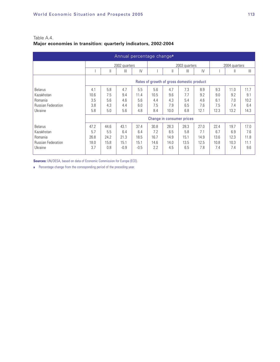| Annual percentage change <sup>a</sup> |                                           |      |                |        |      |                           |               |      |               |      |                |
|---------------------------------------|-------------------------------------------|------|----------------|--------|------|---------------------------|---------------|------|---------------|------|----------------|
|                                       |                                           |      | 2002 quarters  |        |      |                           | 2003 quarters |      | 2004 quarters |      |                |
|                                       |                                           | Ш    | $\mathbf{III}$ | IV     |      | $\mathsf{I}$              | Ш             | IV   |               | Ш    | $\mathbf{III}$ |
|                                       | Rates of growth of gross domestic product |      |                |        |      |                           |               |      |               |      |                |
| <b>Belarus</b>                        | 4.1                                       | 5.8  | 4.7            | 5.5    | 5.6  | 4.7                       | 7.3           | 8.9  | 9.3           | 11.0 | 11.7           |
| Kazakhstan                            | 10.6                                      | 7.5  | 9.4            | 11.4   | 10.5 | 9.6                       | 7.7           | 9.2  | 9.0           | 9.2  | 9.1            |
| Romania                               | 3.5                                       | 5.6  | 4.6            | 5.6    | 4.4  | 4.3                       | 5.4           | 4.6  | 6.1           | 7.0  | 10.2           |
| <b>Russian Federation</b>             | 3.8                                       | 4.3  | 4.4            | 6.0    | 7.5  | 7.9                       | 6.5           | 7.6  | 7.5           | 7.4  | 6.4            |
| Ukraine                               | 5.8                                       | 5.0  | 5.6            | 4.8    | 8.4  | 10.0                      | 6.8           | 12.1 | 12.3          | 13.2 | 14.3           |
|                                       |                                           |      |                |        |      | Change in consumer prices |               |      |               |      |                |
| <b>Belarus</b>                        | 47.2                                      | 44.6 | 43.1           | 37.4   | 30.8 | 28.3                      | 28.3          | 27.0 | 22.4          | 19.7 | 17.0           |
| Kazakhstan                            | 5.7                                       | 5.5  | 6.4            | 6.4    | 7.2  | 6.5                       | 5.8           | 71   | 6.7           | 6.9  | 7.6            |
| Romania                               | 26.8                                      | 24.2 | 21.3           | 18.5   | 16.7 | 14.9                      | 15.1          | 14.9 | 13.6          | 12.3 | 11.8           |
| <b>Russian Federation</b>             | 18.0                                      | 15.8 | 15.1           | 15.1   | 14.6 | 14.0                      | 13.5          | 12.5 | 10.8          | 10.3 | 11.1           |
| Ukraine                               | 3.7                                       | 0.8  | $-0.9$         | $-0.5$ | 2.2  | 4.5                       | 6.5           | 7.8  | 7.4           | 7.4  | 9.6            |

## Table A.4. **Major economies in transition: quarterly indicators, 2002-2004**

**Sources:** UN/DESA, based on data of Economic Commission for Europe (ECE).

**a** Percentage change from the corresponding period of the preceding year.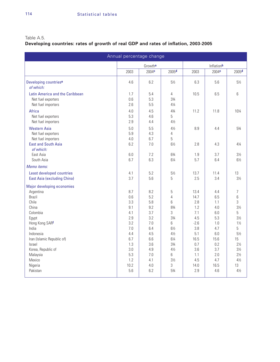## Table A.5.

# **Developing countries: rates of growth of real GDP and rates of inflation, 2003-2005**

| Annual percentage change             |            |                     |                        |             |                   |                      |  |  |  |  |  |
|--------------------------------------|------------|---------------------|------------------------|-------------|-------------------|----------------------|--|--|--|--|--|
|                                      |            | Growth <sup>a</sup> |                        |             | Inflationb        |                      |  |  |  |  |  |
|                                      | 2003       | 2004 <sup>c</sup>   | 2005 <sup>d</sup>      | 2003        | 2004 <sup>c</sup> | 2005 <sup>d</sup>    |  |  |  |  |  |
| Developing countries <sup>e</sup>    | 4.6        | 6.2                 | $5\frac{1}{2}$         | 6.3         | 5.6               | $5\frac{1}{2}$       |  |  |  |  |  |
| of which:                            |            |                     |                        |             |                   |                      |  |  |  |  |  |
| Latin America and the Caribbean      | 1.7        | 5.4                 | $\overline{4}$         | 10.5        | 6.5               | 6                    |  |  |  |  |  |
| Net fuel exporters                   | 0.6        | 5.3                 | 33/4                   |             |                   |                      |  |  |  |  |  |
| Net fuel importers                   | 2.6        | 5.5                 | $4\frac{1}{4}$         |             |                   |                      |  |  |  |  |  |
| Africa                               | 4.0        | 4.5                 | 43/4                   | 11.2        | 11.8              | 101/4                |  |  |  |  |  |
| Net fuel exporters                   | 5.3        | 4.6                 | 5                      |             |                   |                      |  |  |  |  |  |
| Net fuel importers                   | 2.9        | 4.4                 | $4\frac{1}{2}$         |             |                   |                      |  |  |  |  |  |
| <b>Western Asia</b>                  | 5.0        | 5.5                 | $4\frac{1}{2}$         | 8.9         | 4.4               | $5\frac{3}{4}$       |  |  |  |  |  |
| Net fuel exporters                   | 5.9        | 4.3                 | $\overline{4}$         |             |                   |                      |  |  |  |  |  |
| Net fuel importers                   | 4.0        | 6.7                 | 5                      |             |                   |                      |  |  |  |  |  |
| <b>East and South Asia</b>           | 6.2        | 7.0                 | $6\frac{1}{2}$         | 2.8         | 4.3               | $4\frac{1}{4}$       |  |  |  |  |  |
| of which:                            |            |                     |                        |             |                   |                      |  |  |  |  |  |
| East Asia                            | 6.0        | 7.2                 | $6\frac{3}{4}$         | 1.9         | 3.7               | $3\frac{1}{2}$       |  |  |  |  |  |
| South Asia                           | 6.7        | 6.3                 | $6\frac{1}{4}$         | 5.7         | 6.4               | $6\frac{1}{2}$       |  |  |  |  |  |
| Memo items:                          |            |                     |                        |             |                   |                      |  |  |  |  |  |
| Least developed countries            | 4.1        | 5.2                 | $5\frac{1}{2}$         | 13.7        | 11.4              | 13                   |  |  |  |  |  |
| East Asia (excluding China)          | 3.7        | 5.6                 | 5                      | 2.5         | 3.4               | $3\frac{1}{2}$       |  |  |  |  |  |
| Major developing economies           |            |                     |                        |             |                   |                      |  |  |  |  |  |
| Argentina                            | 8.7        | 8.2                 | 5                      | 13.4        | 4.4               | 7                    |  |  |  |  |  |
| <b>Brazil</b>                        | 0.6        | 5.2                 | $\overline{4}$         | 14.7        | 6.5               | 6                    |  |  |  |  |  |
| Chile                                | 3.3        | 5.8                 | 6                      | 2.8         | 1.1               | 3                    |  |  |  |  |  |
| China                                | 9.1        | 9.2                 | 83⁄4                   | 1.2         | 4.0               | $3\frac{1}{2}$       |  |  |  |  |  |
| Colombia                             | 4.1        | 3.7                 | 3                      | 7.1         | 6.0               | 5                    |  |  |  |  |  |
| Egypt                                | 2.9        | 3.2                 | 33/4                   | 4.5         | 5.3               | $3\frac{1}{2}$       |  |  |  |  |  |
| Hong Kong SARf                       | 3.2        | 7.0                 | 6                      | $-2.6$      | 1.0               | $1\frac{1}{2}$       |  |  |  |  |  |
| India                                | 7.0        | 6.4                 | $6\frac{1}{2}$         | 3.8         | 4.7               | 5                    |  |  |  |  |  |
| Indonesia                            | 4.4        | 4.5                 | $4\frac{1}{2}$         | 5.1         | 6.0               | $5\frac{1}{2}$       |  |  |  |  |  |
| Iran (Islamic Republic of)<br>Israel | 6.7<br>1.3 | 6.6<br>3.6          | $6\frac{1}{4}$<br>33⁄4 | 16.5<br>0.7 | 15.6<br>0.2       | 15<br>$2\frac{1}{2}$ |  |  |  |  |  |
| Korea, Republic of                   | 3.0        | 4.9                 | $4\frac{1}{2}$         | 3.6         | 3.7               | $3\frac{1}{2}$       |  |  |  |  |  |
| Malaysia                             | 5.3        | 7.0                 | 6                      | 1.1         | 2.0               | $2\frac{1}{2}$       |  |  |  |  |  |
| Mexico                               | 1.2        | 4.1                 | $3\frac{1}{2}$         | 4.5         | 4.7               | $4\frac{1}{2}$       |  |  |  |  |  |
| Nigeria                              | 10.2       | 4.0                 | 3                      | 14.0        | 16.5              | 13                   |  |  |  |  |  |
| Pakistan                             | 5.6        | 6.2                 | 53⁄4                   | 2.9         | 4.6               | $4\frac{1}{2}$       |  |  |  |  |  |
|                                      |            |                     |                        |             |                   |                      |  |  |  |  |  |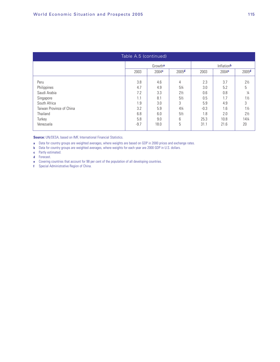| Table A.5 (continued)    |                                                     |                     |                |        |                    |                |  |  |  |  |
|--------------------------|-----------------------------------------------------|---------------------|----------------|--------|--------------------|----------------|--|--|--|--|
|                          |                                                     | Growth <sup>a</sup> |                |        | Inflation <b>b</b> |                |  |  |  |  |
|                          | 2005 <sup>d</sup><br>2003<br>2004c<br>2003<br>2004c |                     |                |        |                    |                |  |  |  |  |
| Peru                     | 3.8                                                 | 4.6                 | 4              | 2.3    | 3.7                | $2\frac{1}{2}$ |  |  |  |  |
| Philippines              | 4.7                                                 | 4.9                 | 51⁄4           | 3.0    | 5.2                | 5              |  |  |  |  |
| Saudi Arabia             | 7.2                                                 | 3.3                 | $2\frac{1}{2}$ | 0.6    | 0.8                | $\frac{1}{4}$  |  |  |  |  |
| Singapore                | 1.1                                                 | 8.1                 | $5\frac{1}{2}$ | 0.5    | 1.7                | $1\frac{1}{2}$ |  |  |  |  |
| South Africa             | 1.9                                                 | 3.0                 | 3              | 5.9    | 4.9                | 3              |  |  |  |  |
| Taiwan Province of China | 3.2                                                 | 5.9                 | $4\frac{1}{4}$ | $-0.3$ | 1.6                | $1\frac{1}{2}$ |  |  |  |  |
| Thailand                 | 6.8                                                 | 6.0                 | $5\frac{1}{2}$ | 1.8    | 2.0                | $2\frac{1}{2}$ |  |  |  |  |
| Turkey                   | 5.8                                                 | 9.0                 | 6              | 25.3   | 10.8               | 141/4          |  |  |  |  |
| Venezuela                | $-9.7$                                              | 18.0                | 5              | 31.1   | 21.6               | 20             |  |  |  |  |

**Source:** UN/DESA, based on IMF, International Financial Statistics.

**a** Data for country groups are weighted averages, where weights are based on GDP in 2000 prices and exchange rates.

**b** Data for country groups are weighted averages, where weights for each year are 2000 GDP in U.S. dollars.

**c** Partly estimated.

**d** Forecast.

**e** Covering countries that account for 98 per cent of the population of all developing countries.

**f** Special Administrative Region of China.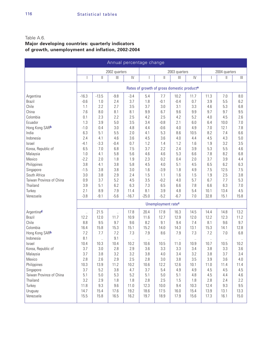## Table A.6. **Major developing countries: quarterly indicators of growth, unemployment and inflation, 2002-2004**

| Annual percentage change  |                          |               |                                      |               |            |                                |                                                        |            |                          |               |                   |
|---------------------------|--------------------------|---------------|--------------------------------------|---------------|------------|--------------------------------|--------------------------------------------------------|------------|--------------------------|---------------|-------------------|
|                           |                          |               | 2002 quarters                        |               |            |                                | 2003 quarters                                          |            |                          | 2004 quarters |                   |
|                           | $\overline{\phantom{a}}$ | $\mathsf{II}$ | $\left\vert \right\vert \right\vert$ | $\mathsf{IV}$ |            | $\vert\vert$                   | $\begin{array}{c} \hline \end{array}$                  | IV         | $\overline{\phantom{a}}$ | Ш             | $\vert\vert\vert$ |
|                           |                          |               |                                      |               |            |                                | Rates of growth of gross domestic product <sup>a</sup> |            |                          |               |                   |
|                           |                          |               |                                      |               |            |                                |                                                        |            |                          |               |                   |
| Argentina                 | $-16.3$                  | $-13.5$       | $-9.8$                               | $-3.4$        | 5.4        | 7.7                            | 10.2                                                   | 11.7       | 11.3                     | 7.0           | 8.0               |
| <b>Brazil</b><br>Chile    | $-0.6$                   | 1.0<br>2.2    | 2.4<br>2.7                           | 3.7<br>3.5    | 1.8<br>3.7 | $-0.1$                         | $-0.4$<br>3.1                                          | 0.7<br>3.3 | 3.9                      | 5.5           | 6.2<br>6.8        |
| China                     | 1.1<br>7.6               | 8.0           | 8.1                                  | 8.1           | 9.9        | $3.0\,$<br>6.7                 | 9.6                                                    | 9.9        | 4.6<br>9.7               | 5.3<br>9.7    | 9.5               |
| Colombia                  | 0.1                      | 2.3           | 2.2                                  | 2.5           | 4.2        | 2.5                            | 4.2                                                    | 5.2        | 4.0                      | 4.5           | 2.6               |
| Ecuador                   | 1.3                      |               | 5.0                                  |               |            | $-0.8$                         |                                                        | 6.0        |                          |               |                   |
| Hong Kong SARb            | $-1.0$                   | 3.9<br>0.4    | 3.0                                  | 3.5<br>4.8    | 3.4<br>4.4 | $-0.6$                         | 2.1<br>4.0                                             | 4.9        | 6.4<br>7.0               | 10.0<br>12.1  | $7.0$<br>7.8      |
|                           | 6.3                      | 5.1           | 5.5                                  |               |            | 5.3                            | 8.6                                                    | 10.5       | 8.2                      | 7.4           | 6.6               |
| India<br>Indonesia        | 2.4                      |               | 4.6                                  | 2.0<br>3.6    | 4.1<br>4.5 | 3.6                            |                                                        | 4.4        | 4.5                      | 4.3           | 5.0               |
| <b>Israel</b>             | $-4.1$                   | 4.1<br>$-3.3$ | $-0.4$                               | 0.7           | 1.2        | 1.4                            | 4.0<br>1.2                                             | 1.6        | 1.9                      | 3.2           | 3.5               |
| Korea, Republic of        | 6.5                      | 7.0           | 6.8                                  | 7.5           | 3.7        | 2.2                            | 2.4                                                    | 3.9        | 5.3                      | 5.5           | 4.6               |
|                           | 1.0                      | 4.1           | 5.8                                  | 5.6           | 4.6        | 4.6                            | 5.3                                                    | 6.6        | 7.8                      | 8.2           | 6.8               |
| Malaysia<br>Mexico        | $-2.2$                   | 2.0           | 1.8                                  | 1.9           | 2.3        | 0.2                            | 0.4                                                    | 2.0        | 3.7                      | 3.9           | 4.4               |
| Philippines               | 3.8                      | 4.1           | 3.8                                  | 5.8           | 4.5        | 4.0                            | 5.1                                                    | 4.5        | 6.5                      | 6.2           | 6.3               |
|                           | $-1.5$                   | 3.8           | 3.8                                  | 3.0           | 1.6        | $-3.9$                         | 1.8                                                    | 4.9        | 7.5                      | 12.5          | 7.5               |
| Singapore<br>South Africa | 3.0                      | 3.8           | 2.9                                  | 2.4           | 1.5        | 1.1                            | 1.6                                                    | 1.5        | 1.9                      | 2.5           | 3.8               |
| Taiwan Province of China  | 0.9                      | 3.7           | 5.2                                  | 4.5           | 3.5        | $-0.2$                         | 4.0                                                    | 5.7        | 6.7                      | 7.7           | 5.3               |
| Thailand                  | 3.9                      | 5.1           | 6.2                                  | 6.3           | 7.3        | 6.5                            | 6.6                                                    | 7.8        | 6.6                      | 6.3           | $7.0$             |
| Turkey                    | 2.1                      | 8.9           | 7.9                                  | 11.4          | 8.1        | 3.9                            | 4.8                                                    | 5.4        | 10.1                     | 13.4          | 4.5               |
| Venezuela                 | $-3.8$                   | $-9.1$        | $-5.6$                               | $-16.7$       | $-25.0$    | $-5.2$                         | $-6.7$                                                 | 7.0        | 32.8                     | 15.1          | 15.8              |
|                           |                          |               |                                      |               |            |                                |                                                        |            |                          |               |                   |
|                           |                          |               |                                      |               |            | Unemployment rate <sup>c</sup> |                                                        |            |                          |               |                   |
| Argentinad                | $\ddotsc$                | 21.5          | $\ddotsc$                            | 17.8          | 20.4       | 17.8                           | 16.3                                                   | 14.5       | 14.4                     | 14.8          | 13.2              |
| <b>Brazil</b>             | 12.2                     | 12.0          | 11.7                                 | 10.9          | 11.6       | 12.7                           | 12.9                                                   | 12.0       | 12.2                     | 12.3          | 11.2              |
| Chile                     | 8.8                      | 9.5           | 9.7                                  | 9.6           | 8.2        | 9.1                            | 9.4                                                    | 7.4        | 8.1                      | 9.6           | 9.7               |
| Colombia                  | 16.4                     | 15.8          | 15.3                                 | 15.1          | 15.2       | 14.0                           | 14.3                                                   | 13.1       | 15.3                     | 14.1          | 12.8              |
| Hong Kong SARb            | 7.2                      | 7.7           | 7.2                                  | 7.3           | 7.9        | 8.6                            | 7.9                                                    | 7.3        | 7.2                      | 7.0           | 6.8               |
| Indonesia                 | 8.1                      | $\ddotsc$     | 9.1                                  | $\ddotsc$     | $\ddotsc$  | $\ddot{\phantom{a}}$           | $\ddotsc$                                              | $\ddotsc$  | $\ldots$                 | $\ddotsc$     |                   |
| Israel                    | 10.4                     | 10.3          | 10.4                                 | 10.2          | 10.6       | 10.5                           | 11.0                                                   | 10.9       | 10.7                     | 10.5          | 10.2              |
| Korea, Republic of        | 3.7                      | 3.0           | 2.8                                  | 2.9           | 3.6        | 3.3                            | 3.3                                                    | 3.4        | 3.8                      | 3.3           | 3.6               |
| Malaysia                  | 3.7                      | 3.8           | 3.2                                  | 3.2           | 3.8        | 4.0                            | 3.4                                                    | 3.2        | 3.8                      | 3.7           | 3.4               |
| Mexico                    | 2.8                      | 2.6           | 2.9                                  | 2.5           | 2.8        | 3.0                            | 3.8                                                    | 3.5        | 3.9                      | 3.6           | 4.0               |
| Philippines               | 10.3                     | 13.9          | 11.2                                 | 10.2          | 10.6       | 12.2                           | 12.6                                                   | 10.1       | 11.0                     | 11.4          | 11.4              |
| Singapore                 | 3.7                      | 5.2           | 3.8                                  | 4.7           | 3.7        | 5.4                            | 4.9                                                    | 4.9        | 4.5                      | 4.5           | 4.5               |
| Taiwan Province of China  | 5.1                      | 5.0           | 5.3                                  | 5.2           | 5.1        | $5.0\,$                        | 5.1                                                    | 4.8        | 4.5                      | 4.4           | 4.6               |
| Thailand                  | 3.2                      | 2.9           | 1.8                                  | 1.8           | 2.8        | 2.5                            | 1.5                                                    | 1.8        | 2.8                      | 2.4           | 2.2               |
| Turkey                    | 11.8                     | 9.3           | 9.6                                  | 11.0          | 12.3       | 10.0                           | 9.4                                                    | 10.3       | 12.4                     | 9.3           | 9.5               |
| Uruguay                   | 14.7                     | 15.4          | 17.6                                 | 19.2          | 18.6       | 17.5                           | 16.0                                                   | 15.4       | 13.9                     | 13.1          | 13.3              |
| Venezuela                 | 15.5                     | 15.8          | 16.5                                 | 16.2          | 19.7       | 18.9                           | 17.9                                                   | 15.6       | 17.3                     | 16.1          | 15.0              |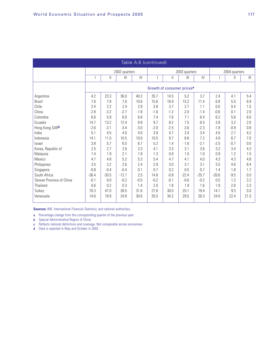| Table A.6 (continued)    |                                        |         |               |        |        |               |         |         |         |               |              |  |
|--------------------------|----------------------------------------|---------|---------------|--------|--------|---------------|---------|---------|---------|---------------|--------------|--|
|                          |                                        |         | 2002 quarters |        |        | 2003 quarters |         |         |         | 2004 quarters |              |  |
|                          | Ш<br>$\mathbf{III}$                    |         |               | IV     |        | $\mathsf{II}$ | Ш       | IV      |         | Ш             | $\mathbb{H}$ |  |
|                          | Growth of consumer prices <sup>a</sup> |         |               |        |        |               |         |         |         |               |              |  |
| Argentina                | 4.2                                    | 23.3    | 36.0          | 40.3   | 35.7   | 14.5          | 5.2     | 3.7     | 2.4     | 4.1           | 5.4          |  |
| <b>Brazil</b>            | 7.6                                    | 7.8     | 7.6           | 10.6   | 15.6   | 16.9          | 15.2    | 11.4    | 6.8     | 5.5           | 6.9          |  |
| Chile                    | 2.4                                    | 2.2     | 2.4           | 2.9    | 3.8    | 3.7           | 2.7     | 1.1     | 0.0     | 0.4           | 1.5          |  |
| China                    | $-2.8$                                 | $-3.2$  | $-2.7$        | $-1.8$ | $-1.6$ | $-1.2$        | $-2.0$  | $-1.4$  | $-0.6$  | 0.1           | 2.0          |  |
| Colombia                 | 6.6                                    | 5.9     | 6.0           | 6.8    | 74     | 7.6           | 7.1     | 6.4     | 6.2     | 5.6           | 6.0          |  |
| Ecuador                  | 14.7                                   | 13.2    | 12.4          | 9.9    | 9.7    | 8.2           | 7.5     | 6.5     | 3.9     | 3.2           | 2.0          |  |
| Hong Kong SARb           | $-2.6$                                 | $-3.1$  | $-3.4$        | $-3.0$ | $-2.0$ | $-2.5$        | $-3.6$  | $-2.3$  | $-1.8$  | $-0.9$        | 0.8          |  |
| India                    | 5.1                                    | 4.5     | 4.0           | 4.0    | 3.8    | 4.7           | 3.4     | 3.4     | 4.0     | 2.7           | 4.2          |  |
| Indonesia                | 14.1                                   | 11.5    | 10.5          | 10.0   | 10.5   | 9.7           | 8.8     | 7.2     | 4.9     | 6.7           | 7.0          |  |
| <b>Israel</b>            | 3.8                                    | 5.7     | 6.5           | 6.7    | 5.2    | 1.4           | $-1.6$  | $-2.1$  | $-2.5$  | $-0.7$        | 0.0          |  |
| Korea, Republic of       | 2.5                                    | 2.7     | 2.6           | 3.3    | 4.1    | 3.3           | 3.1     | 3.6     | 3.2     | 3.4           | 4.3          |  |
| Malaysia                 | 1.4                                    | 1.9     | 2.1           | 1.8    | 1.3    | 0.9           | 1.0     | 1.0     | 0.9     | 1.2           | 1.5          |  |
| Mexico                   | 4.7                                    | 4.8     | 5.2           | 5.3    | 5.4    | 4.7           | 4.1     | 4.0     | 4.3     | 4.3           | 4.8          |  |
| Philippines              | 3.5                                    | 3.2     | 2.6           | 2.4    | 2.9    | 3.0           | 3.1     | 31      | 3.5     | 4.6           | 6.4          |  |
| Singapore                | $-0.8$                                 | $-0.4$  | $-0.4$        | 0.1    | 0.7    | 0.2           | 0.5     | 0.7     | 1.4     | 1.8           | 1.7          |  |
| South Africa             | $-36.4$                                | $-30.5$ | $-12.1$       | 2.5    | 14.8   | $-0.8$        | $-22.4$ | $-25.7$ | $-20.6$ | $-9.5$        | 0.0          |  |
| Taiwan Province of China | $-0.1$                                 | 0.0     | $-0.2$        | $-0.5$ | $-0.2$ | $-0.1$        | $-0.6$  | $-0.2$  | 0.5     | 1.2           | 3.2          |  |
| Thailand                 | 0.6                                    | 0.2     | 0.3           | 1.4    | 2.0    | 1.8           | 1.9     | 1.6     | 1.9     | 2.6           | 3.3          |  |
| Turkey                   | 70.3                                   | 47.0    | 39.5          | 31.6   | 27.6   | 30.0          | 25.1    | 19.4    | 14.1    | 9.3           | 0.0          |  |
| Venezuela                | 14.6                                   | 18.9    | 24.8          | 30.6   | 35.5   | 34.2          | 29.5    | 26.3    | 24.0    | 22.4          | 21.5         |  |

**Sources:** IMF, *International Financial Statistics*, and national authorities.

**a** Percentage change from the corresponding quarter of the previous year.

**b** Special Administrative Region of China.

- **c** Reflects national definitions and coverage. Not comparable across economies.
- **d** Data is reported in May and October in 2002.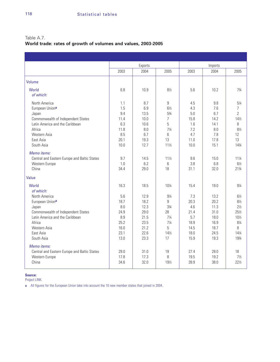## Table A.7.

## **World trade: rates of growth of volumes and values, 2003-2005**

|                                                                                                                                                                         |                                                                   | Exports                                                              |                                                                                                    |                                                                   | Imports                                                              |                                                                                                              |
|-------------------------------------------------------------------------------------------------------------------------------------------------------------------------|-------------------------------------------------------------------|----------------------------------------------------------------------|----------------------------------------------------------------------------------------------------|-------------------------------------------------------------------|----------------------------------------------------------------------|--------------------------------------------------------------------------------------------------------------|
|                                                                                                                                                                         | 2003                                                              | 2004                                                                 | 2005                                                                                               | 2003                                                              | 2004                                                                 | 2005                                                                                                         |
| Volume                                                                                                                                                                  |                                                                   |                                                                      |                                                                                                    |                                                                   |                                                                      |                                                                                                              |
| World<br>of which:                                                                                                                                                      | 6.8                                                               | 10.9                                                                 | $8\%$                                                                                              | 5.6                                                               | 10.2                                                                 | $7\frac{3}{4}$                                                                                               |
| North America<br>European Uniona<br>Japan<br>Commonwealth of Independent States<br>Latin America and the Caribbean<br>Africa<br>Western Asia<br>East Asia<br>South Asia | 1.1<br>1.5<br>9.4<br>11.4<br>6.3<br>11.8<br>8.5<br>20.1<br>10.0   | 8.7<br>6.9<br>13.5<br>10.0<br>10.6<br>8.0<br>6.7<br>19.3<br>12.7     | 9<br>$6\frac{1}{2}$<br>53/4<br>$\overline{7}$<br>5<br>$7\frac{1}{4}$<br>6<br>13<br>$11\frac{1}{2}$ | 4.5<br>4.3<br>5.0<br>15.8<br>1.6<br>7.2<br>4.7<br>11.0<br>10.0    | 9.8<br>7.6<br>6.7<br>14.2<br>14.1<br>8.0<br>7.8<br>17.8<br>15.1      | 51⁄4<br>7<br>$\overline{2}$<br>14%<br>8<br>81/2<br>12<br>13<br>143⁄4                                         |
| Memo items:<br>Central and Eastern Europe and Baltic States<br>Western Europe<br>China                                                                                  | 9.7<br>1.0<br>34.4                                                | 14.5<br>6.2<br>29.0                                                  | $11\frac{1}{2}$<br>6<br>18                                                                         | 9.6<br>3.8<br>31.1                                                | 15.0<br>6.8<br>32.0                                                  | 111/4<br>$6\frac{1}{2}$<br>213/4                                                                             |
| Value                                                                                                                                                                   |                                                                   |                                                                      |                                                                                                    |                                                                   |                                                                      |                                                                                                              |
| World<br>of which:                                                                                                                                                      | 16.3                                                              | 18.5                                                                 | 101/4                                                                                              | 15.4                                                              | 19.0                                                                 | 91⁄4                                                                                                         |
| North America<br>European Uniona<br>Japan<br>Commonwealth of Independent States<br>Latin America and the Caribbean<br>Africa<br>Western Asia<br>East Asia<br>South Asia | 5.6<br>18.7<br>8.0<br>24.9<br>8.9<br>25.2<br>16.0<br>23.1<br>13.0 | 12.9<br>18.2<br>12.3<br>29.0<br>21.5<br>23.5<br>21.2<br>22.6<br>23.3 | 91⁄4<br>9<br>33⁄4<br>28<br>$7\frac{1}{4}$<br>$7\frac{1}{4}$<br>5<br>$14\frac{1}{2}$<br>17          | 7.3<br>20.3<br>4.6<br>21.4<br>5.7<br>18.9<br>14.5<br>18.0<br>15.9 | 13.2<br>20.2<br>11.3<br>31.0<br>18.0<br>16.9<br>18.7<br>24.5<br>19.3 | $6\frac{1}{2}$<br>$8\frac{1}{2}$<br>$2\frac{1}{2}$<br>251/2<br>101/2<br>81/4<br>8<br>$14\frac{1}{4}$<br>1934 |
| Memo items:<br>Central and Eastern Europe and Baltic States<br>Western Europe<br>China                                                                                  | 29.0<br>17.8<br>34.6                                              | 31.0<br>17.3<br>32.0                                                 | 19<br>8<br>191/2                                                                                   | 27.4<br>19.5<br>39.9                                              | 28.0<br>19.2<br>38.0                                                 | 18<br>$7\frac{1}{2}$<br>221/2                                                                                |

#### **Source:**

Project LINK.

**a** All figures for the European Union take into account the 10 new member states that joined in 2004.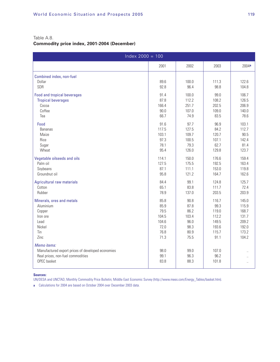## Table A.8.

## **Commodity price index, 2001-2004 (December)**

| $Index 2000 = 100$                                                                                                   |                      |                      |                        |                      |
|----------------------------------------------------------------------------------------------------------------------|----------------------|----------------------|------------------------|----------------------|
|                                                                                                                      | 2001                 | 2002                 | 2003                   | 2004a                |
| Combined index, non-fuel<br>Dollar<br>SDR                                                                            | 89.6<br>92.8         | 100.0<br>96.4        | 111.3<br>98.8          | 122.6<br>104.8       |
| <b>Food and tropical beverages</b>                                                                                   | 91.4                 | 100.0                | 99.0                   | 106.7                |
| <b>Tropical beverages</b>                                                                                            | 87.8                 | 112.2                | 108.2                  | 126.5                |
| Cocoa                                                                                                                | 166.4                | 251.7                | 202.5                  | 206.9                |
| Coffee                                                                                                               | 90.0                 | 107.0                | 109.0                  | 140.0                |
| Tea                                                                                                                  | 66.7                 | 74.9                 | 83.5                   | 78.6                 |
| Food                                                                                                                 | 91.6                 | 97.7                 | 96.9                   | 103.1                |
| <b>Bananas</b>                                                                                                       | 117.5                | 127.5                | 84.2                   | 112.7                |
| Maize                                                                                                                | 103.1                | 109.7                | 120.7                  | 90.5                 |
| Rice                                                                                                                 | 97.3                 | 100.5                | 107.1                  | 142.4                |
| Sugar                                                                                                                | 78.1                 | 79.3                 | 62.7                   | 81.4                 |
| Wheat                                                                                                                | 95.4                 | 126.0                | 129.8                  | 123.7                |
| Vegetable oilseeds and oils                                                                                          | 114.1                | 150.0                | 176.6                  | 159.4                |
| Palm oil                                                                                                             | 127.5                | 175.5                | 192.5                  | 163.4                |
| Soybeans                                                                                                             | 87.1                 | 111.1                | 153.0                  | 119.8                |
| Groundnut oil                                                                                                        | 95.8                 | 121.2                | 164.7                  | 162.6                |
| <b>Agricultural raw materials</b>                                                                                    | 84.4                 | 99.1                 | 124.8                  | 125.7                |
| Cotton                                                                                                               | 65.1                 | 83.8                 | 111.7                  | 72.4                 |
| Rubber                                                                                                               | 78.9                 | 137.0                | 203.5                  | 203.9                |
| Minerals, ores and metals                                                                                            | 85.8                 | 90.8                 | 116.7                  | 145.0                |
| Aluminium                                                                                                            | 85.9                 | 87.8                 | 99.3                   | 115.9                |
| Copper                                                                                                               | 79.5                 | 86.2                 | 119.0                  | 168.7                |
| Iron ore                                                                                                             | 104.5                | 103.4                | 112.2                  | 131.7                |
| Lead                                                                                                                 | 104.6                | 96.0                 | 149.5                  | 209.2                |
| Nickel                                                                                                               | 72.0                 | 98.3                 | 193.6                  | 192.0                |
| Tin                                                                                                                  | 76.8                 | 80.9                 | 115.7                  | 173.2                |
| Zinc                                                                                                                 | 71.3                 | 75.5                 | 91.1                   | 104.2                |
| Memo items:<br>Manufactured export prices of developed economies<br>Real prices, non-fuel commodities<br>OPEC basket | 98.0<br>99.1<br>83.8 | 99.0<br>96.3<br>88.3 | 107.0<br>96.2<br>101.8 | $\ddot{\phantom{a}}$ |

#### **Sources:**

UN/DESA and UNCTAD, Monthly Commodity Price Bulletin; Middle East Economic Survey (http://www.mees.com/Energy\_Tables/basket.htm).

**a** Calculations for 2004 are based on October 2004 over December 2003 data.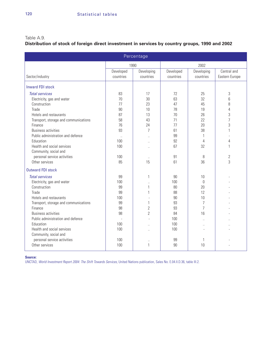## Table A.9.

## **Distribution of stock of foreign direct investment in services by country groups, 1990 and 2002**

| Percentage                            |                        |                         |                        |                         |                               |  |  |  |  |  |  |  |
|---------------------------------------|------------------------|-------------------------|------------------------|-------------------------|-------------------------------|--|--|--|--|--|--|--|
|                                       | 1990                   |                         | 2002                   |                         |                               |  |  |  |  |  |  |  |
| Sector/industry                       | Developed<br>countries | Developing<br>countries | Developed<br>countries | Developing<br>countries | Central and<br>Eastern Europe |  |  |  |  |  |  |  |
| <b>Inward FDI stock</b>               |                        |                         |                        |                         |                               |  |  |  |  |  |  |  |
| <b>Total services</b>                 | 83                     | 17                      | 72                     | 25                      | 3                             |  |  |  |  |  |  |  |
| Electricity, gas and water            | 70                     | 30                      | 63                     | 32                      | 6                             |  |  |  |  |  |  |  |
| Construction                          | 77                     | 23                      | 47                     | 45                      | 8                             |  |  |  |  |  |  |  |
| Trade                                 | 90                     | 10                      | 78                     | 19                      | $\overline{4}$                |  |  |  |  |  |  |  |
| Hotels and restaurants                | 87                     | 13                      | 70                     | 26                      | 3                             |  |  |  |  |  |  |  |
| Transport, storage and communications | 58                     | 43                      | 71                     | 22                      | $\overline{7}$                |  |  |  |  |  |  |  |
| Finance                               | 76                     | 24                      | 77                     | 20                      | 3                             |  |  |  |  |  |  |  |
| <b>Business activities</b>            | 93                     | $\overline{7}$          | 61                     | 38                      | 1                             |  |  |  |  |  |  |  |
| Public administration and defence     | $\ldots$               | $\ddot{\phantom{0}}$    | 99                     | $\mathbf{1}$            |                               |  |  |  |  |  |  |  |
| Education                             | 100                    | $\ddot{\phantom{a}}$    | 92                     | 4                       | 4                             |  |  |  |  |  |  |  |
| Health and social services            | 100                    | ÷.                      | 67                     | 32                      | 1                             |  |  |  |  |  |  |  |
| Community, social and                 |                        |                         |                        |                         |                               |  |  |  |  |  |  |  |
| personal service activities           | 100                    | $\ddotsc$               | 91                     | 8                       | 2                             |  |  |  |  |  |  |  |
| Other services                        | 85                     | 15                      | 61                     | 36                      | 3                             |  |  |  |  |  |  |  |
| <b>Outward FDI stock</b>              |                        |                         |                        |                         |                               |  |  |  |  |  |  |  |
| <b>Total services</b>                 | 99                     | 1                       | 90                     | 10                      |                               |  |  |  |  |  |  |  |
| Electricity, gas and water            | 100                    | $\ddotsc$               | 100                    | $\overline{0}$          |                               |  |  |  |  |  |  |  |
| Construction                          | 99                     | 1                       | 80                     | 20                      |                               |  |  |  |  |  |  |  |
| Trade                                 | 99                     | 1                       | 88                     | 12                      |                               |  |  |  |  |  |  |  |
| Hotels and restaurants                | 100                    |                         | 90                     | 10                      |                               |  |  |  |  |  |  |  |
| Transport, storage and communications | 99                     | 1                       | 93                     | $\overline{7}$          |                               |  |  |  |  |  |  |  |
| Finance                               | 98                     | $\overline{2}$          | 93                     | $\overline{7}$          |                               |  |  |  |  |  |  |  |
| <b>Business activities</b>            | 98                     | $\overline{2}$          | 84                     | 16                      |                               |  |  |  |  |  |  |  |
| Public administration and defence     |                        |                         | 100                    |                         |                               |  |  |  |  |  |  |  |
| Education                             | 100                    | a.                      | 100                    | $\ddot{\phantom{a}}$    |                               |  |  |  |  |  |  |  |
| Health and social services            | 100                    | ÷.                      | 100                    |                         |                               |  |  |  |  |  |  |  |
| Community, social and                 |                        |                         |                        |                         |                               |  |  |  |  |  |  |  |
| personal service activities           | 100                    |                         | 99                     | 1                       |                               |  |  |  |  |  |  |  |
| Other services                        | 100                    | 1                       | 90                     | 10                      |                               |  |  |  |  |  |  |  |

**Source:**

UNCTAD, World Investment Report 2004: The Shift Towards Services, United Nations publication, Sales No. E.04.II.D.36, table III.2.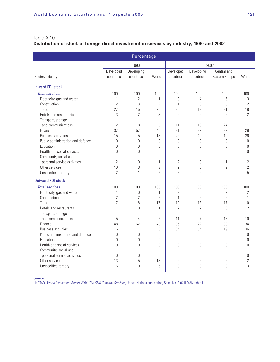## Table A.10.

## **Distribution of stock of foreign direct investment in services by industry, 1990 and 2002**

| Percentage                        |                        |                         |                  |                        |                         |                               |                |  |  |  |  |  |
|-----------------------------------|------------------------|-------------------------|------------------|------------------------|-------------------------|-------------------------------|----------------|--|--|--|--|--|
|                                   |                        | 1990                    |                  | 2002                   |                         |                               |                |  |  |  |  |  |
| Sector/industry                   | Developed<br>countries | Developing<br>countries | World            | Developed<br>countries | Developing<br>countries | Central and<br>Eastern Europe | World          |  |  |  |  |  |
| <b>Inward FDI stock</b>           |                        |                         |                  |                        |                         |                               |                |  |  |  |  |  |
| <b>Total services</b>             | 100                    | 100                     | 100              | 100                    | 100                     | 100                           | 100            |  |  |  |  |  |
| Electricity, gas and water        | 1                      | $\overline{2}$          | $\mathbf{1}$     | 3                      | $\overline{4}$          | 6                             | 3              |  |  |  |  |  |
| Construction                      | $\overline{2}$         | 3                       | $\overline{2}$   | $\mathbf{1}$           | 3                       | 5                             | $\overline{2}$ |  |  |  |  |  |
| Trade                             | 27                     | 15                      | 25               | 20                     | 13                      | 21                            | 18             |  |  |  |  |  |
| Hotels and restaurants            | 3                      | $\overline{2}$          | 3                | $\overline{2}$         | $\overline{2}$          | $\overline{2}$                | $\overline{2}$ |  |  |  |  |  |
| Transport, storage                |                        |                         |                  |                        |                         |                               |                |  |  |  |  |  |
| and communications                | $\overline{2}$         | 8                       | 3                | 11                     | 10                      | 24                            | 11             |  |  |  |  |  |
| Finance                           | 37                     | 57                      | 40               | 31                     | 22                      | 29                            | 29             |  |  |  |  |  |
| <b>Business activities</b>        | 15                     | 5                       | 13               | 22                     | 40                      | 10                            | 26             |  |  |  |  |  |
| Public administration and defence | $\Omega$               | $\theta$                | $\mathbf{0}$     | 0                      | $\mathbf{0}$            | $\mathbf{0}$                  | 0              |  |  |  |  |  |
| Education                         | $\Omega$               | $\theta$                | $\Omega$         | 0                      | $\theta$                | $\theta$                      | $\theta$       |  |  |  |  |  |
| Health and social services        | $\Omega$               | $\Omega$                | $\Omega$         | $\theta$               | 0                       | $\theta$                      | $\theta$       |  |  |  |  |  |
| Community, social and             |                        |                         |                  |                        |                         |                               |                |  |  |  |  |  |
| personal service activities       | $\overline{2}$         | $\theta$                | 1                | 2                      | $\theta$                | $\mathbf{1}$                  | $\sqrt{2}$     |  |  |  |  |  |
| Other services                    | 10                     | 8                       | $\overline{9}$   | $\overline{2}$         | 3                       | $\overline{2}$                | $\overline{2}$ |  |  |  |  |  |
| Unspecified tertiary              | $\overline{2}$         | $\mathbf{1}$            | $\overline{2}$   | 6                      | $\overline{2}$          | $\Omega$                      | 5              |  |  |  |  |  |
| <b>Outward FDI stock</b>          |                        |                         |                  |                        |                         |                               |                |  |  |  |  |  |
| <b>Total services</b>             | 100                    | 100                     | 100              | 100                    | 100                     | 100                           | 100            |  |  |  |  |  |
| Electricity, gas and water        | 1                      | $\mathbf 0$             | $\mathbf{1}$     | $\overline{2}$         | $\mathbf 0$             | $\overline{2}$                | $\overline{2}$ |  |  |  |  |  |
| Construction                      | $\overline{2}$         | $\overline{2}$          | $\overline{2}$   | 1                      | $\overline{2}$          | $\overline{2}$                | $\mathbf{1}$   |  |  |  |  |  |
| Trade                             | 17                     | 16                      | 17               | 10                     | 12                      | 17                            | 10             |  |  |  |  |  |
| Hotels and restaurants            | $\mathbf{1}$           | $\Omega$                | $\mathbf{1}$     | $\overline{2}$         | $\overline{2}$          | $\theta$                      | $\overline{2}$ |  |  |  |  |  |
| Transport, storage                |                        |                         |                  |                        |                         |                               |                |  |  |  |  |  |
| and communications                | 5                      | $\overline{4}$          | 5                | 11                     | $\overline{7}$          | 18                            | 10             |  |  |  |  |  |
| Finance                           | 48                     | 62                      | 48               | 35                     | 22                      | 39                            | 34             |  |  |  |  |  |
| <b>Business activities</b>        | 6                      | 11                      | 6                | 34                     | 54                      | 19                            | 36             |  |  |  |  |  |
| Public administration and defence | $\Omega$               | $\theta$                | 0                | 0                      | 0                       | $\theta$                      | $\overline{0}$ |  |  |  |  |  |
| Education                         | $\overline{0}$         | $\mathbf{0}$            | $\boldsymbol{0}$ | 0                      | $\overline{0}$          | $\mathbf{0}$                  | $\overline{0}$ |  |  |  |  |  |
| Health and social services        | $\Omega$               | $\Omega$                | $\Omega$         | $\Omega$               | $\Omega$                | $\mathbf{0}$                  | $\theta$       |  |  |  |  |  |
| Community, social and             |                        |                         |                  |                        |                         |                               |                |  |  |  |  |  |
| personal service activities       | $\theta$               | $\theta$                | $\Omega$         | 0                      | $\theta$                | $\theta$                      | $\theta$       |  |  |  |  |  |
| Other services                    | 13                     | 5                       | 13               | $\overline{2}$         | $\overline{2}$          | $\sqrt{2}$                    | $\overline{2}$ |  |  |  |  |  |
| Unspecified tertiary              | 6                      | $\overline{0}$          | 6                | 3                      | 0                       | $\overline{0}$                | 3              |  |  |  |  |  |

**Source:**

UNCTAD, World Investment Report 2004: The Shift Towards Services, United Nations publication, Sales No. E.04.II.D.36, table III.1.